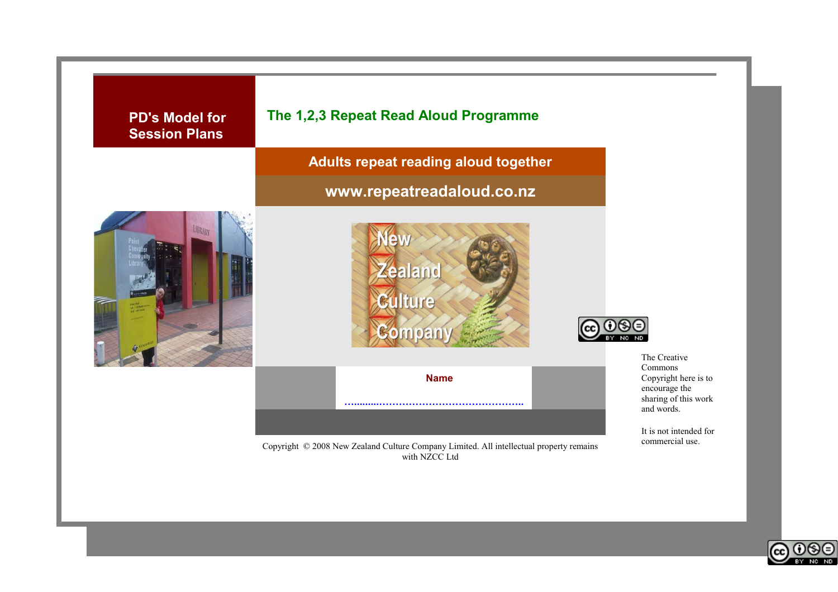

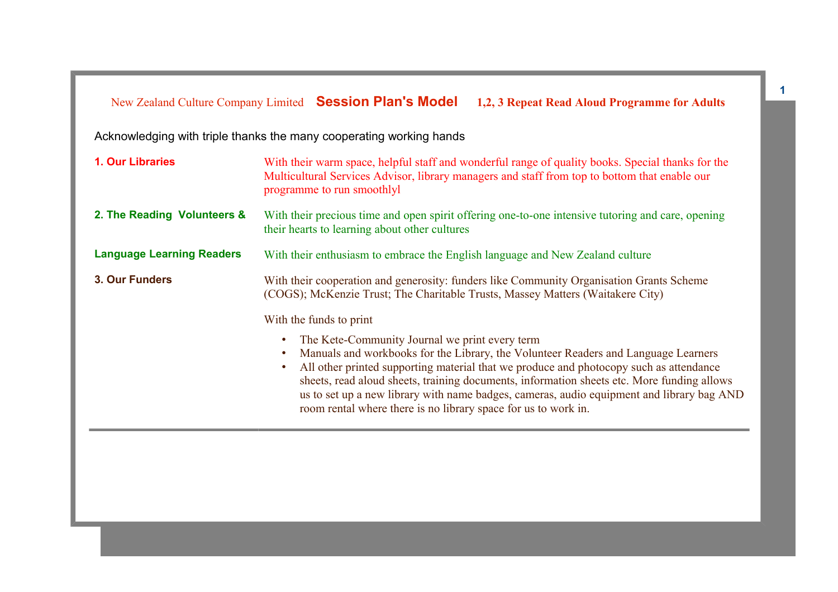Acknowledging with triple thanks the many cooperating working hands

| 2. The Reading Volunteers &<br>With their precious time and open spirit offering one-to-one intensive tutoring and care, opening<br>their hearts to learning about other cultures<br><b>Language Learning Readers</b><br>With their enthusiasm to embrace the English language and New Zealand culture<br>3. Our Funders<br>With their cooperation and generosity: funders like Community Organisation Grants Scheme<br>(COGS); McKenzie Trust; The Charitable Trusts, Massey Matters (Waitakere City)<br>With the funds to print<br>The Kete-Community Journal we print every term<br>Manuals and workbooks for the Library, the Volunteer Readers and Language Learners<br>$\bullet$<br>All other printed supporting material that we produce and photocopy such as attendance<br>$\bullet$<br>sheets, read aloud sheets, training documents, information sheets etc. More funding allows |
|---------------------------------------------------------------------------------------------------------------------------------------------------------------------------------------------------------------------------------------------------------------------------------------------------------------------------------------------------------------------------------------------------------------------------------------------------------------------------------------------------------------------------------------------------------------------------------------------------------------------------------------------------------------------------------------------------------------------------------------------------------------------------------------------------------------------------------------------------------------------------------------------|
|                                                                                                                                                                                                                                                                                                                                                                                                                                                                                                                                                                                                                                                                                                                                                                                                                                                                                             |
|                                                                                                                                                                                                                                                                                                                                                                                                                                                                                                                                                                                                                                                                                                                                                                                                                                                                                             |
|                                                                                                                                                                                                                                                                                                                                                                                                                                                                                                                                                                                                                                                                                                                                                                                                                                                                                             |
|                                                                                                                                                                                                                                                                                                                                                                                                                                                                                                                                                                                                                                                                                                                                                                                                                                                                                             |
| us to set up a new library with name badges, cameras, audio equipment and library bag AND<br>room rental where there is no library space for us to work in.                                                                                                                                                                                                                                                                                                                                                                                                                                                                                                                                                                                                                                                                                                                                 |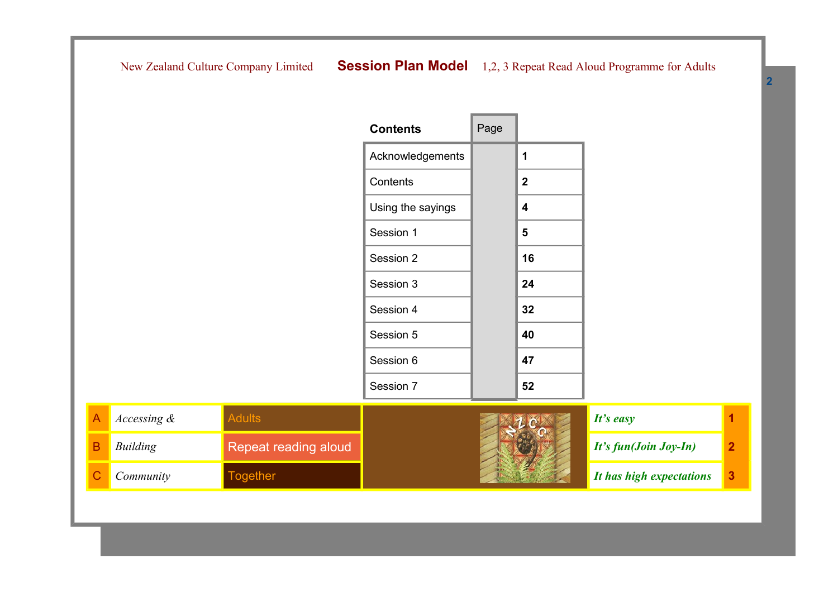| <b>Contents</b>   | Page |              |  |
|-------------------|------|--------------|--|
| Acknowledgements  |      | 1            |  |
| Contents          |      | $\mathbf{2}$ |  |
| Using the sayings |      | 4            |  |
| Session 1         |      | 5            |  |
| Session 2         |      | 16           |  |
| Session 3         |      | 24           |  |
| Session 4         |      | 32           |  |
| Session 5         |      | 40           |  |
| Session 6         |      | 47           |  |
| Session 7         |      | 52           |  |

| Accessing $\&$ |                      | It's easy                |  |
|----------------|----------------------|--------------------------|--|
| Building       | Repeat reading aloud | $It's fun(Join Joy-In)$  |  |
| Community      | ogether              | It has high expectations |  |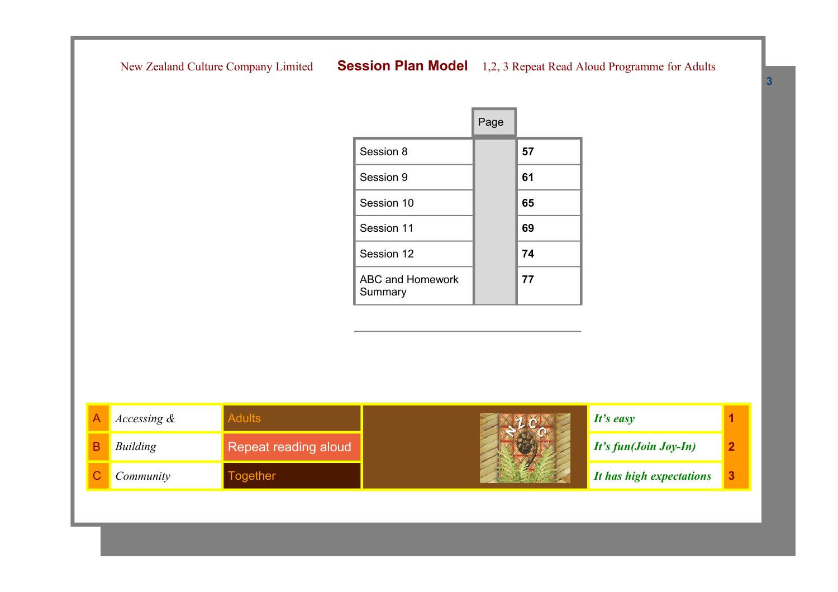|                                    | Page |    |
|------------------------------------|------|----|
| Session 8                          |      | 57 |
| Session 9                          |      | 61 |
| Session 10                         |      | 65 |
| Session 11                         |      | 69 |
| Session 12                         |      | 74 |
| <b>ABC and Homework</b><br>Summary |      | 77 |

| Accessing $\&$ |                      | It's easy                            |  |
|----------------|----------------------|--------------------------------------|--|
| Building       | Repeat reading aloud | $\blacksquare$ It's fun(Join Joy-In) |  |
| Community      | ogether              | It has high expectations             |  |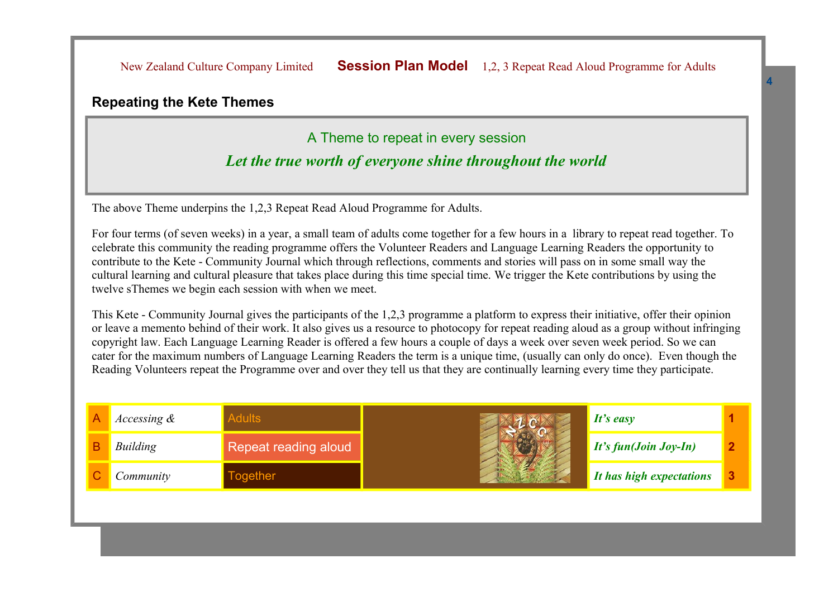#### **Repeating the Kete Themes**

#### A Theme to repeat in every session

#### *Let the true worth of everyone shine throughout the world*

The above Theme underpins the 1,2,3 Repeat Read Aloud Programme for Adults.

For four terms (of seven weeks) in a year, a small team of adults come together for a few hours in a library to repeat read together. To celebrate this community the reading programme offers the Volunteer Readers and Language Learning Readers the opportunity to contribute to the Kete - Community Journal which through reflections, comments and stories will pass on in some small way the cultural learning and cultural pleasure that takes place during this time special time. We trigger the Kete contributions by using the twelve sThemes we begin each session with when we meet.

This Kete - Community Journal gives the participants of the 1,2,3 programme a platform to express their initiative, offer their opinion or leave a memento behind of their work. It also gives us a resource to photocopy for repeat reading aloud as a group without infringing copyright law. Each Language Learning Reader is offered a few hours a couple of days a week over seven week period. So we can cater for the maximum numbers of Language Learning Readers the term is a unique time, (usually can only do once). Even though the Reading Volunteers repeat the Programme over and over they tell us that they are continually learning every time they participate.

| <i>Accessing <math>\&amp;</math></i> |                             | It's easy                |  |
|--------------------------------------|-----------------------------|--------------------------|--|
| Building                             | <b>Repeat reading aloud</b> | $It's fun(Join Joy-In)$  |  |
| Community                            | ogether                     | It has high expectations |  |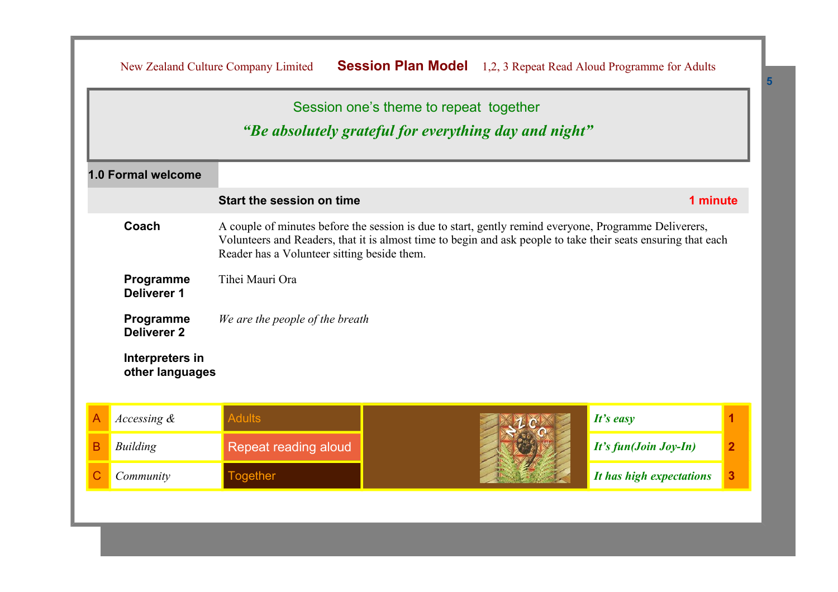|   |                                                                                                                                                                                                                                                                                | New Zealand Culture Company Limited                   | <b>Session Plan Model</b>              |  | 1,2, 3 Repeat Read Aloud Programme for Adults |                |
|---|--------------------------------------------------------------------------------------------------------------------------------------------------------------------------------------------------------------------------------------------------------------------------------|-------------------------------------------------------|----------------------------------------|--|-----------------------------------------------|----------------|
|   |                                                                                                                                                                                                                                                                                | "Be absolutely grateful for everything day and night" | Session one's theme to repeat together |  |                                               |                |
|   | 1.0 Formal welcome                                                                                                                                                                                                                                                             |                                                       |                                        |  |                                               |                |
|   |                                                                                                                                                                                                                                                                                | Start the session on time                             |                                        |  | 1 minute                                      |                |
|   | Coach<br>A couple of minutes before the session is due to start, gently remind everyone, Programme Deliverers,<br>Volunteers and Readers, that it is almost time to begin and ask people to take their seats ensuring that each<br>Reader has a Volunteer sitting beside them. |                                                       |                                        |  |                                               |                |
|   | Tihei Mauri Ora<br>Programme<br><b>Deliverer 1</b>                                                                                                                                                                                                                             |                                                       |                                        |  |                                               |                |
|   | Programme<br><b>Deliverer 2</b>                                                                                                                                                                                                                                                | We are the people of the breath                       |                                        |  |                                               |                |
|   | Interpreters in<br>other languages                                                                                                                                                                                                                                             |                                                       |                                        |  |                                               |                |
| A | Accessing &                                                                                                                                                                                                                                                                    | <b>Adults</b>                                         |                                        |  | It's easy                                     | 1              |
| B | <b>Building</b>                                                                                                                                                                                                                                                                | Repeat reading aloud                                  |                                        |  | It's fun(Join Joy-In)                         | $\overline{2}$ |
| С | Community                                                                                                                                                                                                                                                                      | <b>Together</b>                                       |                                        |  | It has high expectations                      | 3              |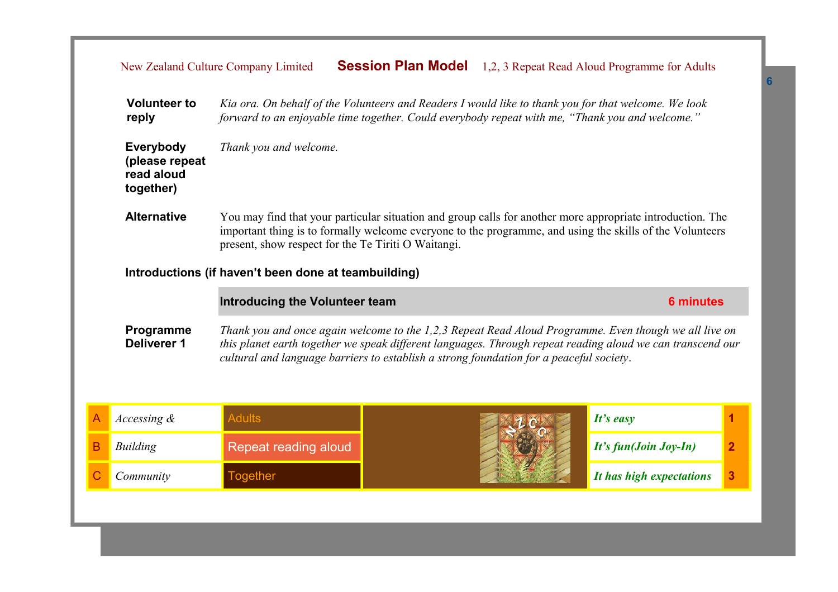| Kia ora. On behalf of the Volunteers and Readers I would like to thank you for that welcome. We look<br><b>Volunteer to</b><br>forward to an enjoyable time together. Could everybody repeat with me, "Thank you and welcome."<br>reply |                                                                                                                                                                                                                                                                                                     |                                                           |                                                                                                                                                                                                                                                                                                                |                          |              |  |
|-----------------------------------------------------------------------------------------------------------------------------------------------------------------------------------------------------------------------------------------|-----------------------------------------------------------------------------------------------------------------------------------------------------------------------------------------------------------------------------------------------------------------------------------------------------|-----------------------------------------------------------|----------------------------------------------------------------------------------------------------------------------------------------------------------------------------------------------------------------------------------------------------------------------------------------------------------------|--------------------------|--------------|--|
|                                                                                                                                                                                                                                         | Everybody<br>(please repeat<br>read aloud<br>together)                                                                                                                                                                                                                                              | Thank you and welcome.                                    |                                                                                                                                                                                                                                                                                                                |                          |              |  |
|                                                                                                                                                                                                                                         | <b>Alternative</b><br>You may find that your particular situation and group calls for another more appropriate introduction. The<br>important thing is to formally welcome everyone to the programme, and using the skills of the Volunteers<br>present, show respect for the Te Tiriti O Waitangi. |                                                           |                                                                                                                                                                                                                                                                                                                |                          |              |  |
|                                                                                                                                                                                                                                         | Introductions (if haven't been done at teambuilding)                                                                                                                                                                                                                                                |                                                           |                                                                                                                                                                                                                                                                                                                |                          |              |  |
|                                                                                                                                                                                                                                         |                                                                                                                                                                                                                                                                                                     | <b>Introducing the Volunteer team</b><br><b>6 minutes</b> |                                                                                                                                                                                                                                                                                                                |                          |              |  |
|                                                                                                                                                                                                                                         | Programme<br><b>Deliverer 1</b>                                                                                                                                                                                                                                                                     |                                                           | Thank you and once again welcome to the 1,2,3 Repeat Read Aloud Programme. Even though we all live on<br>this planet earth together we speak different languages. Through repeat reading aloud we can transcend our<br>cultural and language barriers to establish a strong foundation for a peaceful society. |                          |              |  |
|                                                                                                                                                                                                                                         | Accessing $\&$                                                                                                                                                                                                                                                                                      | <b>Adults</b>                                             |                                                                                                                                                                                                                                                                                                                | It's easy                | 1            |  |
| B                                                                                                                                                                                                                                       | <b>Building</b>                                                                                                                                                                                                                                                                                     | Repeat reading aloud                                      |                                                                                                                                                                                                                                                                                                                | It's fun(Join Joy-In)    | $\mathbf{2}$ |  |
|                                                                                                                                                                                                                                         | Community                                                                                                                                                                                                                                                                                           | <b>Together</b>                                           |                                                                                                                                                                                                                                                                                                                | It has high expectations | 3            |  |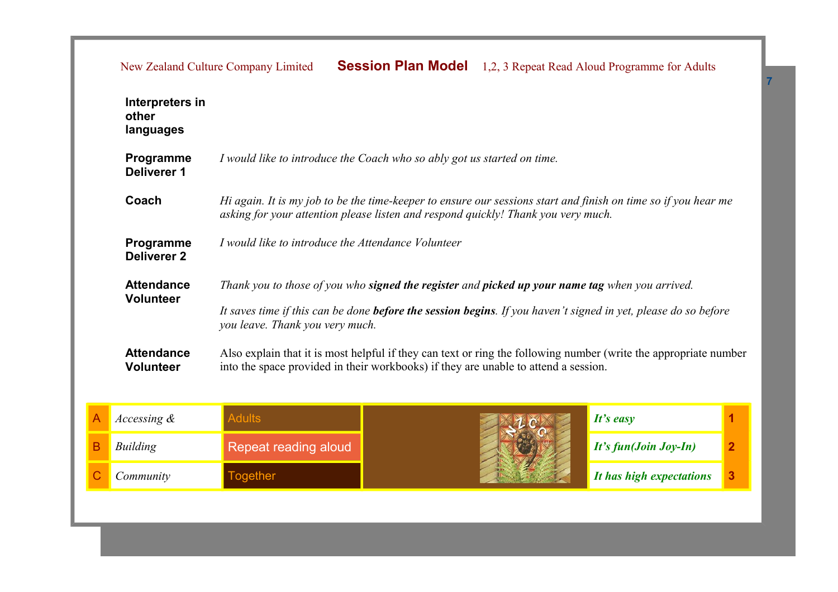|                                       | <b>Session Plan Model</b><br>New Zealand Culture Company Limited<br>1,2, 3 Repeat Read Aloud Programme for Adults                                                                                       |
|---------------------------------------|---------------------------------------------------------------------------------------------------------------------------------------------------------------------------------------------------------|
| Interpreters in<br>other<br>languages |                                                                                                                                                                                                         |
| Programme<br>Deliverer 1              | I would like to introduce the Coach who so ably got us started on time.                                                                                                                                 |
| Coach                                 | Hi again. It is my job to be the time-keeper to ensure our sessions start and finish on time so if you hear me<br>asking for your attention please listen and respond quickly! Thank you very much.     |
| Programme<br><b>Deliverer 2</b>       | I would like to introduce the Attendance Volunteer                                                                                                                                                      |
| <b>Attendance</b>                     | Thank you to those of you who <b>signed the register</b> and <b>picked up your name tag</b> when you arrived.                                                                                           |
| <b>Volunteer</b>                      | It saves time if this can be done <b>before the session begins</b> . If you haven't signed in yet, please do so before<br>you leave. Thank you very much.                                               |
| <b>Attendance</b><br><b>Volunteer</b> | Also explain that it is most helpful if they can text or ring the following number (write the appropriate number<br>into the space provided in their workbooks) if they are unable to attend a session. |
|                                       |                                                                                                                                                                                                         |

| Accessing & |                      | It's easy                |  |
|-------------|----------------------|--------------------------|--|
| Building    | Repeat reading aloud | $It's fun(Join Joy-In)$  |  |
| Community   | <b>Fogether</b>      | It has high expectations |  |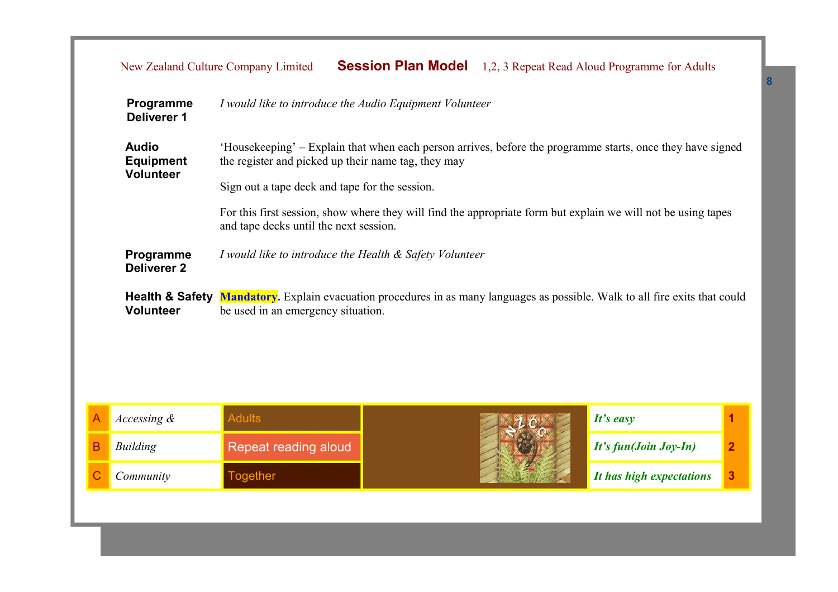|   | Programme<br><b>Deliverer 1</b>                                                            |                                                                                                                                                         | I would like to introduce the Audio Equipment Volunteer                                                    |                          |                |  |  |
|---|--------------------------------------------------------------------------------------------|---------------------------------------------------------------------------------------------------------------------------------------------------------|------------------------------------------------------------------------------------------------------------|--------------------------|----------------|--|--|
|   | <b>Audio</b><br><b>Equipment</b><br><b>Volunteer</b>                                       | the register and picked up their name tag, they may                                                                                                     | 'Housekeeping' – Explain that when each person arrives, before the programme starts, once they have signed |                          |                |  |  |
|   |                                                                                            | Sign out a tape deck and tape for the session.                                                                                                          |                                                                                                            |                          |                |  |  |
|   |                                                                                            | For this first session, show where they will find the appropriate form but explain we will not be using tapes<br>and tape decks until the next session. |                                                                                                            |                          |                |  |  |
|   | Programme<br>I would like to introduce the Health & Safety Volunteer<br><b>Deliverer 2</b> |                                                                                                                                                         |                                                                                                            |                          |                |  |  |
|   | <b>Health &amp; Safety</b><br><b>Volunteer</b>                                             | Mandatory. Explain evacuation procedures in as many languages as possible. Walk to all fire exits that could<br>be used in an emergency situation.      |                                                                                                            |                          |                |  |  |
|   |                                                                                            |                                                                                                                                                         |                                                                                                            |                          |                |  |  |
|   |                                                                                            |                                                                                                                                                         |                                                                                                            |                          |                |  |  |
|   | Accessing &                                                                                | <b>Adults</b>                                                                                                                                           |                                                                                                            | It's easy                | 1              |  |  |
| B | Building                                                                                   | Repeat reading aloud                                                                                                                                    |                                                                                                            | It's fun(Join Joy-In)    | $\overline{2}$ |  |  |
| C | Community                                                                                  | <b>Together</b>                                                                                                                                         |                                                                                                            | It has high expectations | 3              |  |  |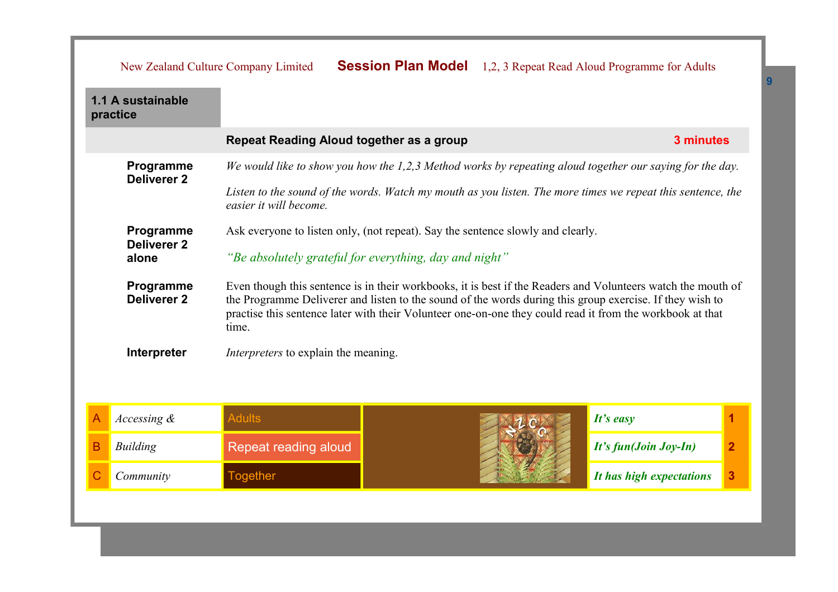|   |                                 | New Zealand Culture Company Limited                                                                                                                                                                                                                                                                                                            | <b>Session Plan Model</b> 1,2, 3 Repeat Read Aloud Programme for Adults                                     |                       |  |  |
|---|---------------------------------|------------------------------------------------------------------------------------------------------------------------------------------------------------------------------------------------------------------------------------------------------------------------------------------------------------------------------------------------|-------------------------------------------------------------------------------------------------------------|-----------------------|--|--|
|   | 1.1 A sustainable<br>practice   |                                                                                                                                                                                                                                                                                                                                                |                                                                                                             |                       |  |  |
|   |                                 | Repeat Reading Aloud together as a group                                                                                                                                                                                                                                                                                                       |                                                                                                             | 3 minutes             |  |  |
|   | Programme<br><b>Deliverer 2</b> |                                                                                                                                                                                                                                                                                                                                                | We would like to show you how the 1,2,3 Method works by repeating aloud together our saying for the day.    |                       |  |  |
|   |                                 | easier it will become.                                                                                                                                                                                                                                                                                                                         | Listen to the sound of the words. Watch my mouth as you listen. The more times we repeat this sentence, the |                       |  |  |
|   | Programme<br><b>Deliverer 2</b> | Ask everyone to listen only, (not repeat). Say the sentence slowly and clearly.                                                                                                                                                                                                                                                                |                                                                                                             |                       |  |  |
|   | alone                           | "Be absolutely grateful for everything, day and night"                                                                                                                                                                                                                                                                                         |                                                                                                             |                       |  |  |
|   | Programme<br><b>Deliverer 2</b> | Even though this sentence is in their workbooks, it is best if the Readers and Volunteers watch the mouth of<br>the Programme Deliverer and listen to the sound of the words during this group exercise. If they wish to<br>practise this sentence later with their Volunteer one-on-one they could read it from the workbook at that<br>time. |                                                                                                             |                       |  |  |
|   | Interpreter                     | <i>Interpreters</i> to explain the meaning.                                                                                                                                                                                                                                                                                                    |                                                                                                             |                       |  |  |
|   |                                 |                                                                                                                                                                                                                                                                                                                                                |                                                                                                             |                       |  |  |
| A | Accessing $\&$                  | <b>Adults</b>                                                                                                                                                                                                                                                                                                                                  |                                                                                                             | It's easy             |  |  |
| В | Building                        | Repeat reading aloud                                                                                                                                                                                                                                                                                                                           |                                                                                                             | It's fun(Join Joy-In) |  |  |

**C** *Community* **If the** *I***C** *It has high expectations* **3**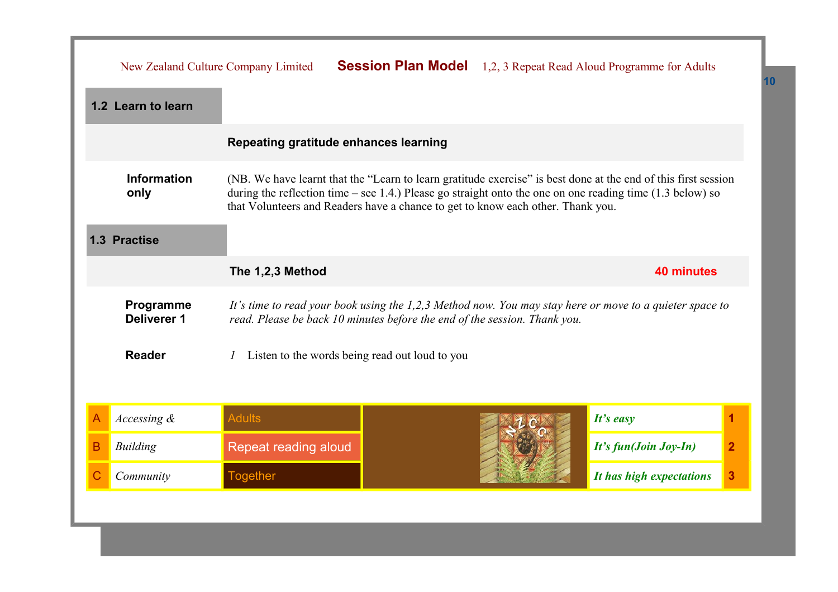| 1.2 Learn to learn<br>Repeating gratitude enhances learning<br><b>Information</b><br>(NB. We have learnt that the "Learn to learn gratitude exercise" is best done at the end of this first session<br>during the reflection time – see 1.4.) Please go straight onto the one on one reading time $(1.3$ below) so<br>only<br>that Volunteers and Readers have a chance to get to know each other. Thank you.<br>1.3 Practise<br>The 1,2,3 Method<br><b>40 minutes</b><br>Programme<br>It's time to read your book using the 1,2,3 Method now. You may stay here or move to a quieter space to<br>Deliverer 1<br>read. Please be back 10 minutes before the end of the session. Thank you.<br><b>Reader</b><br>Listen to the words being read out loud to you<br><b>Adults</b><br>It's easy<br>Accessing &<br>1<br>A<br>$\overline{2}$<br><b>Building</b><br>Repeat reading aloud<br>It's fun(Join Joy-In)<br>B<br><b>Together</b><br>3<br>$\mathsf{C}$<br>It has high expectations<br>Community |  |  | New Zealand Culture Company Limited | <b>Session Plan Model</b> 1,2, 3 Repeat Read Aloud Programme for Adults |  |  |  |
|--------------------------------------------------------------------------------------------------------------------------------------------------------------------------------------------------------------------------------------------------------------------------------------------------------------------------------------------------------------------------------------------------------------------------------------------------------------------------------------------------------------------------------------------------------------------------------------------------------------------------------------------------------------------------------------------------------------------------------------------------------------------------------------------------------------------------------------------------------------------------------------------------------------------------------------------------------------------------------------------------|--|--|-------------------------------------|-------------------------------------------------------------------------|--|--|--|
|                                                                                                                                                                                                                                                                                                                                                                                                                                                                                                                                                                                                                                                                                                                                                                                                                                                                                                                                                                                                  |  |  |                                     |                                                                         |  |  |  |
|                                                                                                                                                                                                                                                                                                                                                                                                                                                                                                                                                                                                                                                                                                                                                                                                                                                                                                                                                                                                  |  |  |                                     |                                                                         |  |  |  |
|                                                                                                                                                                                                                                                                                                                                                                                                                                                                                                                                                                                                                                                                                                                                                                                                                                                                                                                                                                                                  |  |  |                                     |                                                                         |  |  |  |
|                                                                                                                                                                                                                                                                                                                                                                                                                                                                                                                                                                                                                                                                                                                                                                                                                                                                                                                                                                                                  |  |  |                                     |                                                                         |  |  |  |
|                                                                                                                                                                                                                                                                                                                                                                                                                                                                                                                                                                                                                                                                                                                                                                                                                                                                                                                                                                                                  |  |  |                                     |                                                                         |  |  |  |
|                                                                                                                                                                                                                                                                                                                                                                                                                                                                                                                                                                                                                                                                                                                                                                                                                                                                                                                                                                                                  |  |  |                                     |                                                                         |  |  |  |
|                                                                                                                                                                                                                                                                                                                                                                                                                                                                                                                                                                                                                                                                                                                                                                                                                                                                                                                                                                                                  |  |  |                                     |                                                                         |  |  |  |
|                                                                                                                                                                                                                                                                                                                                                                                                                                                                                                                                                                                                                                                                                                                                                                                                                                                                                                                                                                                                  |  |  |                                     |                                                                         |  |  |  |
|                                                                                                                                                                                                                                                                                                                                                                                                                                                                                                                                                                                                                                                                                                                                                                                                                                                                                                                                                                                                  |  |  |                                     |                                                                         |  |  |  |
|                                                                                                                                                                                                                                                                                                                                                                                                                                                                                                                                                                                                                                                                                                                                                                                                                                                                                                                                                                                                  |  |  |                                     |                                                                         |  |  |  |
|                                                                                                                                                                                                                                                                                                                                                                                                                                                                                                                                                                                                                                                                                                                                                                                                                                                                                                                                                                                                  |  |  |                                     |                                                                         |  |  |  |
|                                                                                                                                                                                                                                                                                                                                                                                                                                                                                                                                                                                                                                                                                                                                                                                                                                                                                                                                                                                                  |  |  |                                     |                                                                         |  |  |  |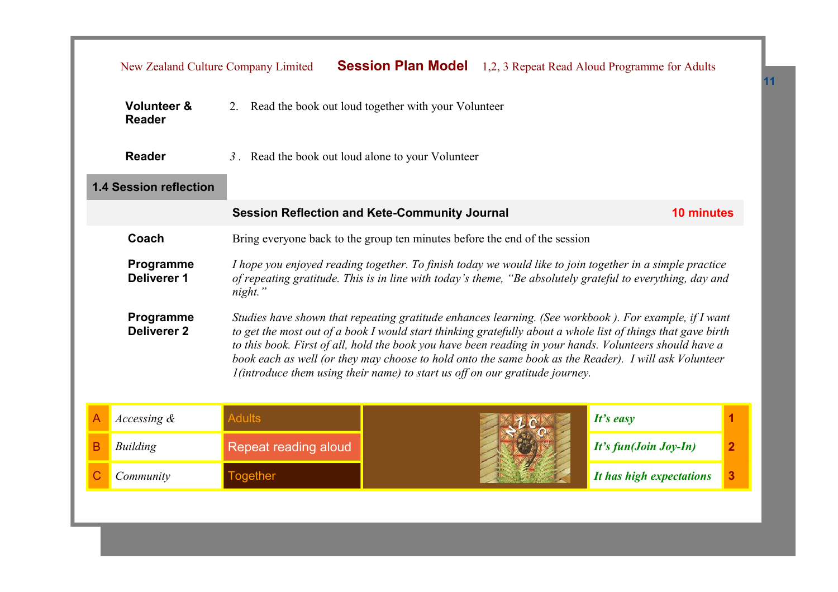|   | New Zealand Culture Company Limited                                                                                                                                                                                                                                                                                                                                                                                                                                                                                                                           |                                                                            | <b>Session Plan Model</b>                         |                          | 1,2, 3 Repeat Read Aloud Programme for Adults                                                                                                                                                                          |   |  |
|---|---------------------------------------------------------------------------------------------------------------------------------------------------------------------------------------------------------------------------------------------------------------------------------------------------------------------------------------------------------------------------------------------------------------------------------------------------------------------------------------------------------------------------------------------------------------|----------------------------------------------------------------------------|---------------------------------------------------|--------------------------|------------------------------------------------------------------------------------------------------------------------------------------------------------------------------------------------------------------------|---|--|
|   | <b>Volunteer &amp;</b><br>Read the book out loud together with your Volunteer<br>2.<br><b>Reader</b>                                                                                                                                                                                                                                                                                                                                                                                                                                                          |                                                                            |                                                   |                          |                                                                                                                                                                                                                        |   |  |
|   | <b>Reader</b>                                                                                                                                                                                                                                                                                                                                                                                                                                                                                                                                                 |                                                                            | 3. Read the book out loud alone to your Volunteer |                          |                                                                                                                                                                                                                        |   |  |
|   | <b>1.4 Session reflection</b>                                                                                                                                                                                                                                                                                                                                                                                                                                                                                                                                 |                                                                            |                                                   |                          |                                                                                                                                                                                                                        |   |  |
|   |                                                                                                                                                                                                                                                                                                                                                                                                                                                                                                                                                               | <b>Session Reflection and Kete-Community Journal</b>                       |                                                   |                          | <b>10 minutes</b>                                                                                                                                                                                                      |   |  |
|   | Coach                                                                                                                                                                                                                                                                                                                                                                                                                                                                                                                                                         | Bring everyone back to the group ten minutes before the end of the session |                                                   |                          |                                                                                                                                                                                                                        |   |  |
|   | Programme<br><b>Deliverer 1</b>                                                                                                                                                                                                                                                                                                                                                                                                                                                                                                                               | night."                                                                    |                                                   |                          | I hope you enjoyed reading together. To finish today we would like to join together in a simple practice<br>of repeating gratitude. This is in line with today's theme, "Be absolutely grateful to everything, day and |   |  |
|   | Programme<br>Studies have shown that repeating gratitude enhances learning. (See workbook). For example, if I want<br><b>Deliverer 2</b><br>to get the most out of a book I would start thinking gratefully about a whole list of things that gave birth<br>to this book. First of all, hold the book you have been reading in your hands. Volunteers should have a<br>book each as well (or they may choose to hold onto the same book as the Reader). I will ask Volunteer<br>I (introduce them using their name) to start us off on our gratitude journey. |                                                                            |                                                   |                          |                                                                                                                                                                                                                        |   |  |
| A | Accessing $\&$                                                                                                                                                                                                                                                                                                                                                                                                                                                                                                                                                | <b>Adults</b>                                                              |                                                   |                          | It's easy                                                                                                                                                                                                              | 1 |  |
| B | <b>Building</b>                                                                                                                                                                                                                                                                                                                                                                                                                                                                                                                                               | Repeat reading aloud                                                       |                                                   | It's fun(Join Joy-In)    | $\overline{2}$                                                                                                                                                                                                         |   |  |
|   | Community                                                                                                                                                                                                                                                                                                                                                                                                                                                                                                                                                     | <b>Together</b>                                                            |                                                   | It has high expectations | 3                                                                                                                                                                                                                      |   |  |
|   |                                                                                                                                                                                                                                                                                                                                                                                                                                                                                                                                                               |                                                                            |                                                   |                          |                                                                                                                                                                                                                        |   |  |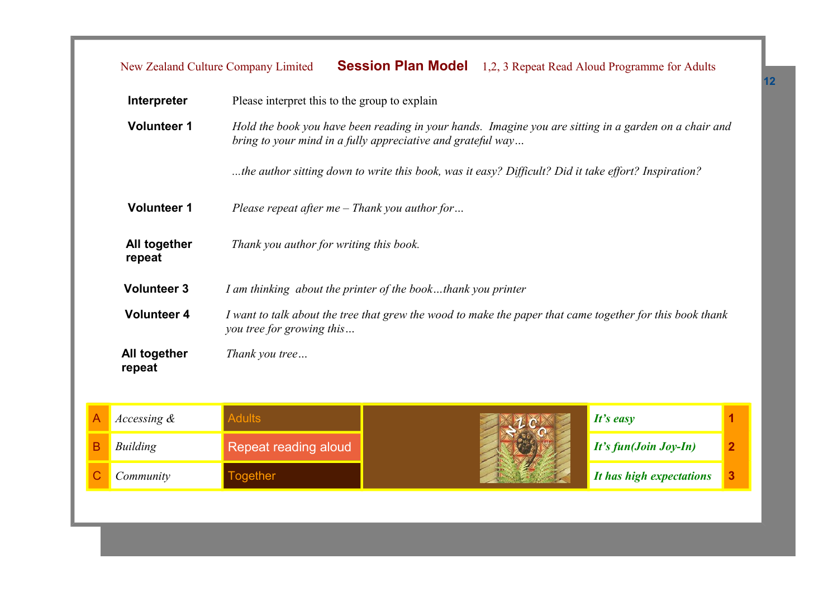| Interpreter            | Please interpret this to the group to explain                                                                                                                        |
|------------------------|----------------------------------------------------------------------------------------------------------------------------------------------------------------------|
| <b>Volunteer 1</b>     | Hold the book you have been reading in your hands. Imagine you are sitting in a garden on a chair and<br>bring to your mind in a fully appreciative and grateful way |
|                        | the author sitting down to write this book, was it easy? Difficult? Did it take effort? Inspiration?                                                                 |
| <b>Volunteer 1</b>     | Please repeat after $me$ – Thank you author for                                                                                                                      |
| All together<br>repeat | Thank you author for writing this book.                                                                                                                              |
| <b>Volunteer 3</b>     | I am thinking about the printer of the bookthank you printer                                                                                                         |
| <b>Volunteer 4</b>     | I want to talk about the tree that grew the wood to make the paper that came together for this book thank<br>you tree for growing this                               |
| All together<br>repeat | Thank you tree                                                                                                                                                       |

| Accessing $\&$ |                      | It's easy                |  |
|----------------|----------------------|--------------------------|--|
| Building       | Repeat reading aloud | $It's fun(Join Joy-In)$  |  |
| Community      | <b>gether</b>        | It has high expectations |  |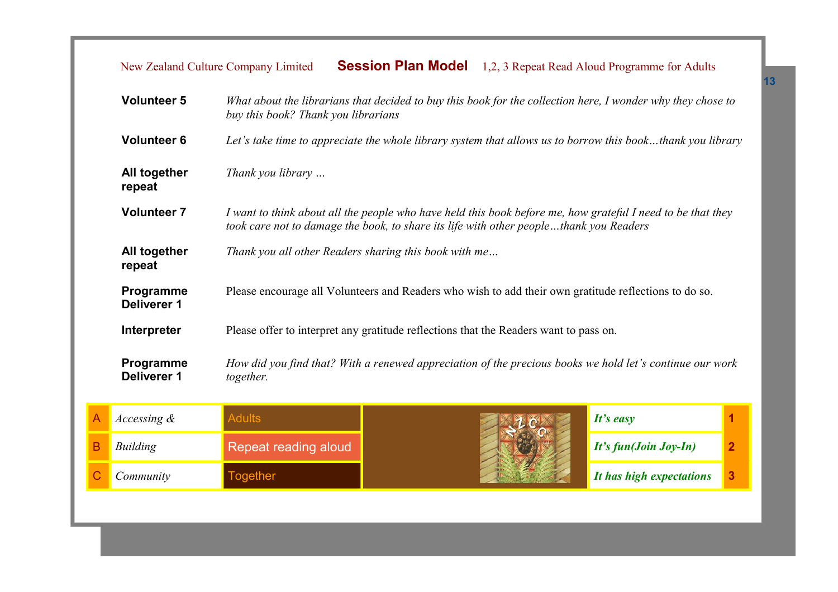| <b>Volunteer 5</b>              | What about the librarians that decided to buy this book for the collection here, I wonder why they chose to<br>buy this book? Thank you librarians                                                    |
|---------------------------------|-------------------------------------------------------------------------------------------------------------------------------------------------------------------------------------------------------|
| <b>Volunteer 6</b>              | Let's take time to appreciate the whole library system that allows us to borrow this bookthank you library                                                                                            |
| All together<br>repeat          | Thank you library                                                                                                                                                                                     |
| <b>Volunteer 7</b>              | I want to think about all the people who have held this book before me, how grateful I need to be that they<br>took care not to damage the book, to share its life with other peoplethank you Readers |
| All together<br>repeat          | Thank you all other Readers sharing this book with me                                                                                                                                                 |
| Programme<br>Deliverer 1        | Please encourage all Volunteers and Readers who wish to add their own gratitude reflections to do so.                                                                                                 |
| Interpreter                     | Please offer to interpret any gratitude reflections that the Readers want to pass on.                                                                                                                 |
| <b>Programme</b><br>Deliverer 1 | How did you find that? With a renewed appreciation of the precious books we hold let's continue our work<br>together.                                                                                 |

| <i>Accessing</i> & |                      | It's easy                          |  |
|--------------------|----------------------|------------------------------------|--|
| Building           | Repeat reading aloud | $\mathbf{I}$ It's fun(Join Joy-In) |  |
| Community          | ogether              | It has high expectations           |  |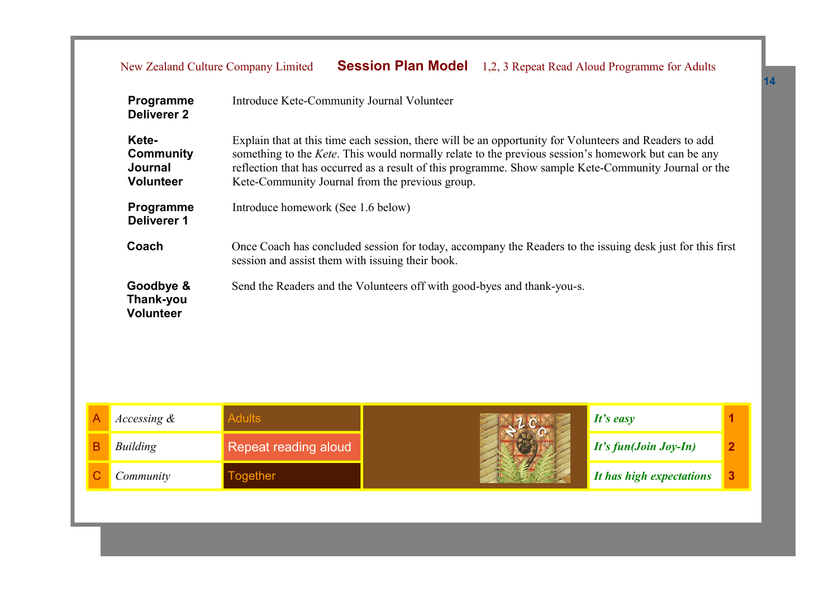|                                                                                                                       | Programme<br><b>Deliverer 2</b>                          | Introduce Kete-Community Journal Volunteer                                                                                                                                                                                                                                                                                                                                        |                                    |                       |   |  |  |
|-----------------------------------------------------------------------------------------------------------------------|----------------------------------------------------------|-----------------------------------------------------------------------------------------------------------------------------------------------------------------------------------------------------------------------------------------------------------------------------------------------------------------------------------------------------------------------------------|------------------------------------|-----------------------|---|--|--|
|                                                                                                                       | Kete-<br><b>Community</b><br>Journal<br><b>Volunteer</b> | Explain that at this time each session, there will be an opportunity for Volunteers and Readers to add<br>something to the <i>Kete</i> . This would normally relate to the previous session's homework but can be any<br>reflection that has occurred as a result of this programme. Show sample Kete-Community Journal or the<br>Kete-Community Journal from the previous group. |                                    |                       |   |  |  |
|                                                                                                                       | Programme<br>Deliverer 1                                 |                                                                                                                                                                                                                                                                                                                                                                                   | Introduce homework (See 1.6 below) |                       |   |  |  |
|                                                                                                                       | Coach                                                    | Once Coach has concluded session for today, accompany the Readers to the issuing desk just for this first<br>session and assist them with issuing their book.                                                                                                                                                                                                                     |                                    |                       |   |  |  |
| Goodbye &<br>Send the Readers and the Volunteers off with good-byes and thank-you-s.<br>Thank-you<br><b>Volunteer</b> |                                                          |                                                                                                                                                                                                                                                                                                                                                                                   |                                    |                       |   |  |  |
| А                                                                                                                     | Accessing &                                              | <b>Adults</b>                                                                                                                                                                                                                                                                                                                                                                     |                                    | It's easy             | 1 |  |  |
| B                                                                                                                     | Building                                                 | Repeat reading aloud                                                                                                                                                                                                                                                                                                                                                              |                                    | It's fun(Join Joy-In) | 2 |  |  |

C *Community* Together *It has high expectations* **3**



| It's easy                |   |
|--------------------------|---|
| It's fun(Join Joy-In)    | 2 |
| It has high expectations | 3 |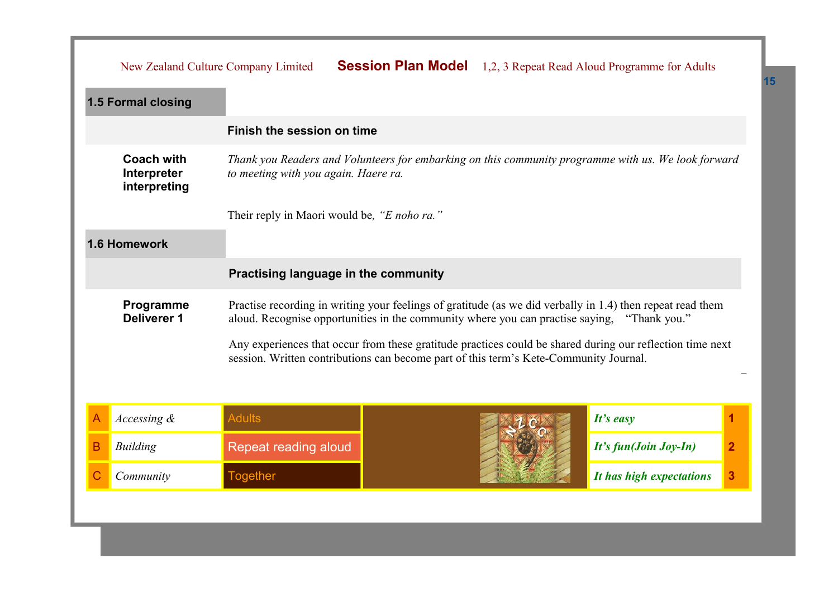|   | New Zealand Culture Company Limited              |                                             | <b>Session Plan Model</b> 1,2, 3 Repeat Read Aloud Programme for Adults                                                                     |  |                                                                                                                            |                |
|---|--------------------------------------------------|---------------------------------------------|---------------------------------------------------------------------------------------------------------------------------------------------|--|----------------------------------------------------------------------------------------------------------------------------|----------------|
|   | 1.5 Formal closing                               |                                             |                                                                                                                                             |  |                                                                                                                            |                |
|   |                                                  | Finish the session on time                  |                                                                                                                                             |  |                                                                                                                            |                |
|   | <b>Coach with</b><br>Interpreter<br>interpreting |                                             | Thank you Readers and Volunteers for embarking on this community programme with us. We look forward<br>to meeting with you again. Haere ra. |  |                                                                                                                            |                |
|   |                                                  | Their reply in Maori would be, "E noho ra." |                                                                                                                                             |  |                                                                                                                            |                |
|   | 1.6 Homework                                     |                                             |                                                                                                                                             |  |                                                                                                                            |                |
|   | Practising language in the community             |                                             |                                                                                                                                             |  |                                                                                                                            |                |
|   | Programme<br><b>Deliverer 1</b>                  |                                             | aloud. Recognise opportunities in the community where you can practise saying,                                                              |  | Practise recording in writing your feelings of gratitude (as we did verbally in 1.4) then repeat read them<br>"Thank you." |                |
|   |                                                  |                                             | session. Written contributions can become part of this term's Kete-Community Journal.                                                       |  | Any experiences that occur from these gratitude practices could be shared during our reflection time next                  |                |
|   |                                                  |                                             |                                                                                                                                             |  |                                                                                                                            |                |
| A | Accessing &                                      | <b>Adults</b>                               |                                                                                                                                             |  | It's easy                                                                                                                  | 1              |
| В | <b>Building</b>                                  | Repeat reading aloud                        |                                                                                                                                             |  | It's fun(Join Joy-In)                                                                                                      | $\overline{2}$ |
| С | Community                                        | <b>Together</b>                             |                                                                                                                                             |  | It has high expectations                                                                                                   | 3              |
|   |                                                  |                                             |                                                                                                                                             |  |                                                                                                                            |                |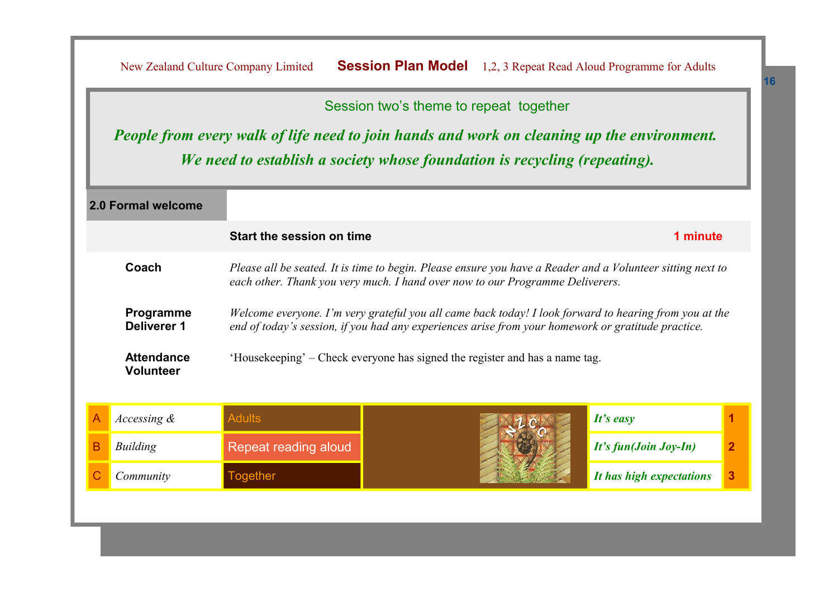Session two's theme to repeat together

*People from every walk of life need to join hands and work on cleaning up the environment. We need to establish a society whose foundation is recycling (repeating).*

|                          | 2.0 Formal welcome                                                                                                                                                                                   |                           |                                                                                                                                                                                                              |                          |   |
|--------------------------|------------------------------------------------------------------------------------------------------------------------------------------------------------------------------------------------------|---------------------------|--------------------------------------------------------------------------------------------------------------------------------------------------------------------------------------------------------------|--------------------------|---|
|                          |                                                                                                                                                                                                      | Start the session on time |                                                                                                                                                                                                              | 1 minute                 |   |
|                          | Coach<br>Please all be seated. It is time to begin. Please ensure you have a Reader and a Volunteer sitting next to<br>each other. Thank you very much. I hand over now to our Programme Deliverers. |                           |                                                                                                                                                                                                              |                          |   |
| Programme<br>Deliverer 1 |                                                                                                                                                                                                      |                           | Welcome everyone. I'm very grateful you all came back today! I look forward to hearing from you at the<br>end of today's session, if you had any experiences arise from your homework or gratitude practice. |                          |   |
|                          | <b>Attendance</b><br><b>Volunteer</b>                                                                                                                                                                |                           | 'Housekeeping' – Check everyone has signed the register and has a name tag.                                                                                                                                  |                          |   |
| Α                        | Accessing $\&$                                                                                                                                                                                       | <b>Adults</b>             |                                                                                                                                                                                                              | It's easy                |   |
| B                        | Building                                                                                                                                                                                             | Repeat reading aloud      |                                                                                                                                                                                                              | It's fun(Join Joy-In)    | 2 |
|                          | Community                                                                                                                                                                                            | <b>Together</b>           |                                                                                                                                                                                                              | It has high expectations | 3 |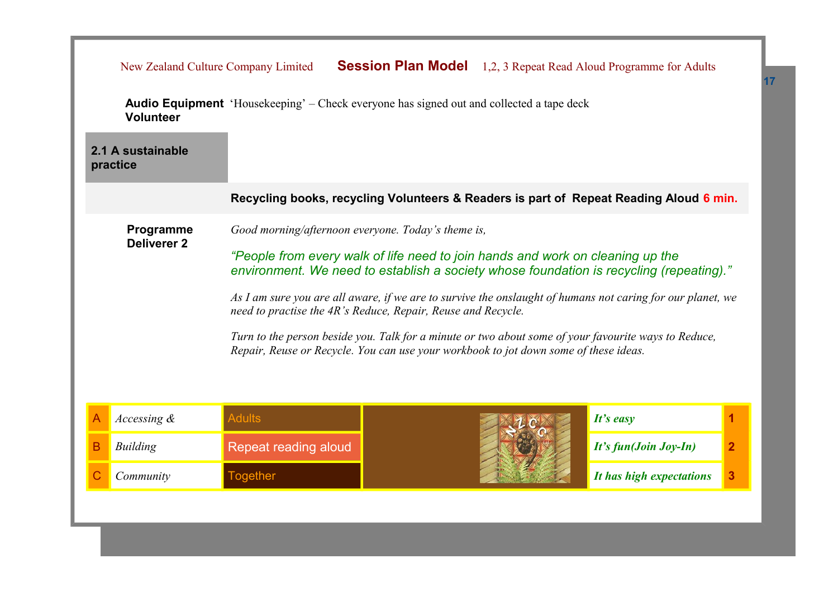|                                                                                                                                                                                                                                                                                                                                                                                                                                                                                                                                                                                                                                                  | New Zealand Culture Company Limited                                                             |  |                       | <b>Session Plan Model</b> 1,2, 3 Repeat Read Aloud Programme for Adults                |   |
|--------------------------------------------------------------------------------------------------------------------------------------------------------------------------------------------------------------------------------------------------------------------------------------------------------------------------------------------------------------------------------------------------------------------------------------------------------------------------------------------------------------------------------------------------------------------------------------------------------------------------------------------------|-------------------------------------------------------------------------------------------------|--|-----------------------|----------------------------------------------------------------------------------------|---|
| Volunteer                                                                                                                                                                                                                                                                                                                                                                                                                                                                                                                                                                                                                                        | <b>Audio Equipment</b> 'Housekeeping' – Check everyone has signed out and collected a tape deck |  |                       |                                                                                        |   |
| 2.1 A sustainable<br>practice                                                                                                                                                                                                                                                                                                                                                                                                                                                                                                                                                                                                                    |                                                                                                 |  |                       |                                                                                        |   |
|                                                                                                                                                                                                                                                                                                                                                                                                                                                                                                                                                                                                                                                  |                                                                                                 |  |                       | Recycling books, recycling Volunteers & Readers is part of Repeat Reading Aloud 6 min. |   |
| Programme<br>Good morning/afternoon everyone. Today's theme is,<br><b>Deliverer 2</b><br>"People from every walk of life need to join hands and work on cleaning up the<br>environment. We need to establish a society whose foundation is recycling (repeating)."<br>As I am sure you are all aware, if we are to survive the onslaught of humans not caring for our planet, we<br>need to practise the 4R's Reduce, Repair, Reuse and Recycle.<br>Turn to the person beside you. Talk for a minute or two about some of your favourite ways to Reduce,<br>Repair, Reuse or Recycle. You can use your workbook to jot down some of these ideas. |                                                                                                 |  |                       |                                                                                        |   |
| Accessing &                                                                                                                                                                                                                                                                                                                                                                                                                                                                                                                                                                                                                                      | <b>Adults</b>                                                                                   |  |                       | It's easy                                                                              | 1 |
| <b>Building</b><br>В                                                                                                                                                                                                                                                                                                                                                                                                                                                                                                                                                                                                                             | Repeat reading aloud                                                                            |  | It's fun(Join Joy-In) | $\overline{2}$                                                                         |   |
| Community                                                                                                                                                                                                                                                                                                                                                                                                                                                                                                                                                                                                                                        | <b>Together</b>                                                                                 |  |                       | It has high expectations                                                               | 3 |
|                                                                                                                                                                                                                                                                                                                                                                                                                                                                                                                                                                                                                                                  |                                                                                                 |  |                       |                                                                                        |   |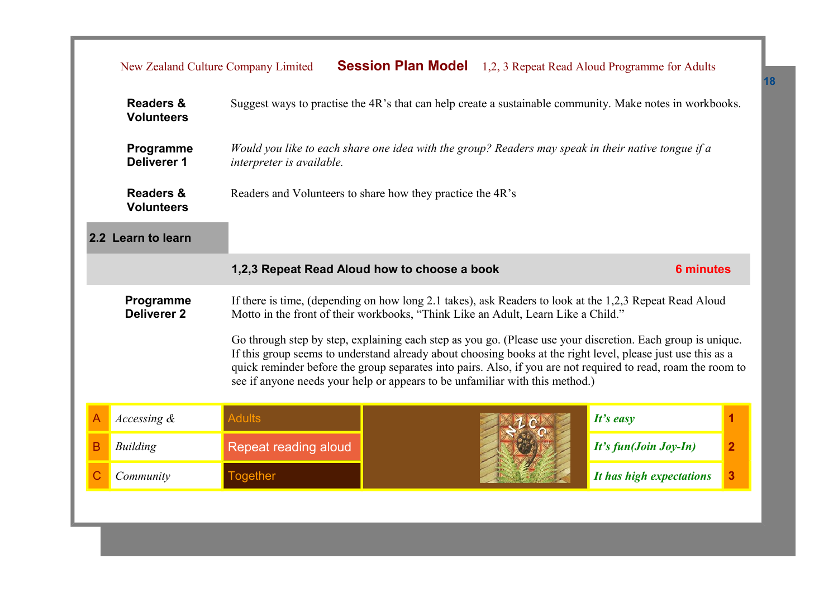|   | New Zealand Culture Company Limited                                                                                                                                                                                                                                                                                                                                                                                          |                                                                                                                                  | <b>Session Plan Model</b> |  | 1,2, 3 Repeat Read Aloud Programme for Adults                                                           |                |
|---|------------------------------------------------------------------------------------------------------------------------------------------------------------------------------------------------------------------------------------------------------------------------------------------------------------------------------------------------------------------------------------------------------------------------------|----------------------------------------------------------------------------------------------------------------------------------|---------------------------|--|---------------------------------------------------------------------------------------------------------|----------------|
|   | Suggest ways to practise the 4R's that can help create a sustainable community. Make notes in workbooks.<br><b>Readers &amp;</b><br><b>Volunteers</b>                                                                                                                                                                                                                                                                        |                                                                                                                                  |                           |  |                                                                                                         |                |
|   | Programme<br><b>Deliverer 1</b>                                                                                                                                                                                                                                                                                                                                                                                              | Would you like to each share one idea with the group? Readers may speak in their native tongue if a<br>interpreter is available. |                           |  |                                                                                                         |                |
|   | <b>Readers &amp;</b><br>Readers and Volunteers to share how they practice the 4R's<br><b>Volunteers</b>                                                                                                                                                                                                                                                                                                                      |                                                                                                                                  |                           |  |                                                                                                         |                |
|   | 2.2 Learn to learn                                                                                                                                                                                                                                                                                                                                                                                                           |                                                                                                                                  |                           |  |                                                                                                         |                |
|   | 1,2,3 Repeat Read Aloud how to choose a book<br><b>6 minutes</b>                                                                                                                                                                                                                                                                                                                                                             |                                                                                                                                  |                           |  |                                                                                                         |                |
|   | Programme<br><b>Deliverer 2</b>                                                                                                                                                                                                                                                                                                                                                                                              | Motto in the front of their workbooks, "Think Like an Adult, Learn Like a Child."                                                |                           |  | If there is time, (depending on how long 2.1 takes), ask Readers to look at the 1,2,3 Repeat Read Aloud |                |
|   | Go through step by step, explaining each step as you go. (Please use your discretion. Each group is unique.<br>If this group seems to understand already about choosing books at the right level, please just use this as a<br>quick reminder before the group separates into pairs. Also, if you are not required to read, roam the room to<br>see if anyone needs your help or appears to be unfamiliar with this method.) |                                                                                                                                  |                           |  |                                                                                                         |                |
| A | Accessing $\&$                                                                                                                                                                                                                                                                                                                                                                                                               | <b>Adults</b>                                                                                                                    |                           |  | It's easy                                                                                               | $\mathbf{1}$   |
| B | Building                                                                                                                                                                                                                                                                                                                                                                                                                     | Repeat reading aloud                                                                                                             |                           |  | It's fun(Join Joy-In)                                                                                   | $\overline{2}$ |
|   | Community                                                                                                                                                                                                                                                                                                                                                                                                                    | <b>Together</b>                                                                                                                  |                           |  | It has high expectations                                                                                | 3              |
|   |                                                                                                                                                                                                                                                                                                                                                                                                                              |                                                                                                                                  |                           |  |                                                                                                         |                |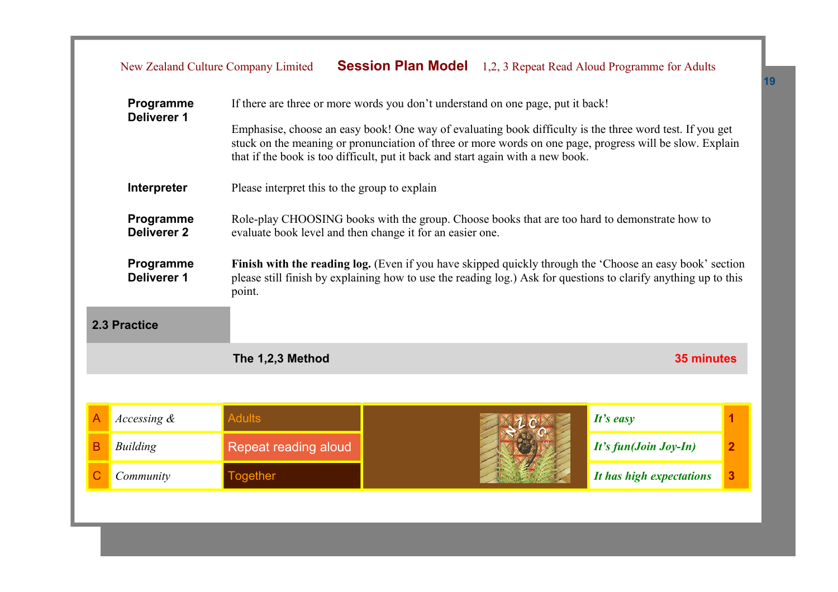| Programme<br><b>Deliverer 1</b> |                                 | If there are three or more words you don't understand on one page, put it back!                                                                                                                                                       |                                                                                                                                                                                                                                                                                                         |                          |                         |  |  |
|---------------------------------|---------------------------------|---------------------------------------------------------------------------------------------------------------------------------------------------------------------------------------------------------------------------------------|---------------------------------------------------------------------------------------------------------------------------------------------------------------------------------------------------------------------------------------------------------------------------------------------------------|--------------------------|-------------------------|--|--|
|                                 |                                 |                                                                                                                                                                                                                                       | Emphasise, choose an easy book! One way of evaluating book difficulty is the three word test. If you get<br>stuck on the meaning or pronunciation of three or more words on one page, progress will be slow. Explain<br>that if the book is too difficult, put it back and start again with a new book. |                          |                         |  |  |
|                                 | Interpreter                     | Please interpret this to the group to explain                                                                                                                                                                                         |                                                                                                                                                                                                                                                                                                         |                          |                         |  |  |
|                                 | Programme<br><b>Deliverer 2</b> |                                                                                                                                                                                                                                       | Role-play CHOOSING books with the group. Choose books that are too hard to demonstrate how to<br>evaluate book level and then change it for an easier one.                                                                                                                                              |                          |                         |  |  |
|                                 | Programme<br><b>Deliverer 1</b> | Finish with the reading log. (Even if you have skipped quickly through the 'Choose an easy book' section<br>please still finish by explaining how to use the reading log.) Ask for questions to clarify anything up to this<br>point. |                                                                                                                                                                                                                                                                                                         |                          |                         |  |  |
| 2.3 Practice                    |                                 |                                                                                                                                                                                                                                       |                                                                                                                                                                                                                                                                                                         |                          |                         |  |  |
|                                 |                                 | The 1,2,3 Method                                                                                                                                                                                                                      |                                                                                                                                                                                                                                                                                                         | <b>35 minutes</b>        |                         |  |  |
|                                 |                                 |                                                                                                                                                                                                                                       |                                                                                                                                                                                                                                                                                                         |                          |                         |  |  |
| A                               | Accessing $\&$                  | <b>Adults</b>                                                                                                                                                                                                                         |                                                                                                                                                                                                                                                                                                         | $It's$ easy              |                         |  |  |
| B                               | <b>Building</b>                 | Repeat reading aloud                                                                                                                                                                                                                  |                                                                                                                                                                                                                                                                                                         | It's fun(Join Joy-In)    | $\overline{\mathbf{2}}$ |  |  |
| С                               | Community                       | <b>Together</b>                                                                                                                                                                                                                       |                                                                                                                                                                                                                                                                                                         | It has high expectations | 3                       |  |  |
|                                 |                                 |                                                                                                                                                                                                                                       |                                                                                                                                                                                                                                                                                                         |                          |                         |  |  |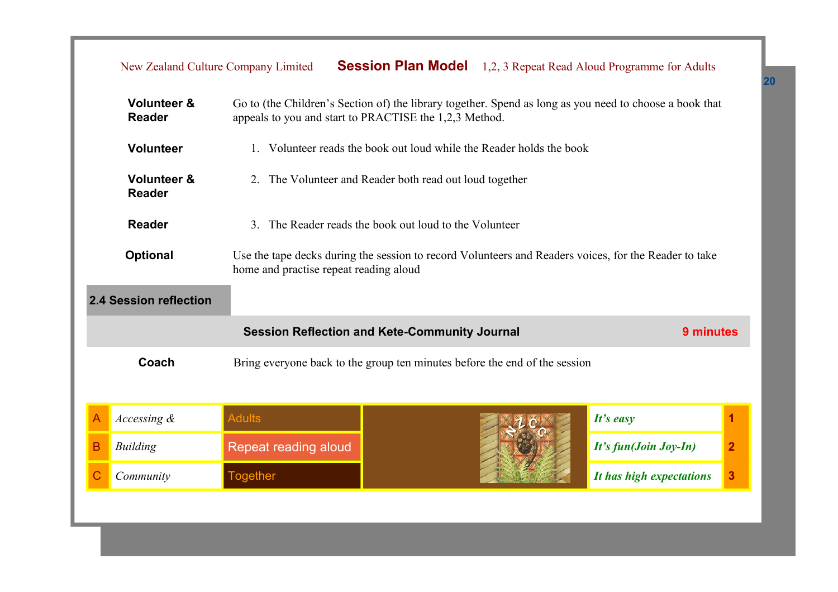|   | New Zealand Culture Company Limited                                                                                                                                                                          |                                                                            |                                                                      |  | <b>Session Plan Model</b> 1,2, 3 Repeat Read Aloud Programme for Adults |                |  |  |
|---|--------------------------------------------------------------------------------------------------------------------------------------------------------------------------------------------------------------|----------------------------------------------------------------------------|----------------------------------------------------------------------|--|-------------------------------------------------------------------------|----------------|--|--|
|   | <b>Volunteer &amp;</b><br>Go to (the Children's Section of) the library together. Spend as long as you need to choose a book that<br><b>Reader</b><br>appeals to you and start to PRACTISE the 1,2,3 Method. |                                                                            |                                                                      |  |                                                                         |                |  |  |
|   | <b>Volunteer</b>                                                                                                                                                                                             |                                                                            | 1. Volunteer reads the book out loud while the Reader holds the book |  |                                                                         |                |  |  |
|   | <b>Volunteer &amp;</b><br><b>Reader</b>                                                                                                                                                                      |                                                                            | 2. The Volunteer and Reader both read out loud together              |  |                                                                         |                |  |  |
|   | <b>Reader</b><br>3. The Reader reads the book out loud to the Volunteer                                                                                                                                      |                                                                            |                                                                      |  |                                                                         |                |  |  |
|   | <b>Optional</b><br>Use the tape decks during the session to record Volunteers and Readers voices, for the Reader to take<br>home and practise repeat reading aloud                                           |                                                                            |                                                                      |  |                                                                         |                |  |  |
|   | <b>2.4 Session reflection</b>                                                                                                                                                                                |                                                                            |                                                                      |  |                                                                         |                |  |  |
|   |                                                                                                                                                                                                              | <b>Session Reflection and Kete-Community Journal</b>                       |                                                                      |  | 9 minutes                                                               |                |  |  |
|   | Coach                                                                                                                                                                                                        | Bring everyone back to the group ten minutes before the end of the session |                                                                      |  |                                                                         |                |  |  |
| A | Accessing &                                                                                                                                                                                                  | <b>Adults</b>                                                              |                                                                      |  | $It's$ easy                                                             | 1              |  |  |
| B | <b>Building</b>                                                                                                                                                                                              | Repeat reading aloud                                                       |                                                                      |  | It's fun(Join Joy-In)                                                   | $\overline{2}$ |  |  |
| C | Community                                                                                                                                                                                                    | <b>Together</b>                                                            |                                                                      |  | It has high expectations                                                | 3              |  |  |
|   |                                                                                                                                                                                                              |                                                                            |                                                                      |  |                                                                         |                |  |  |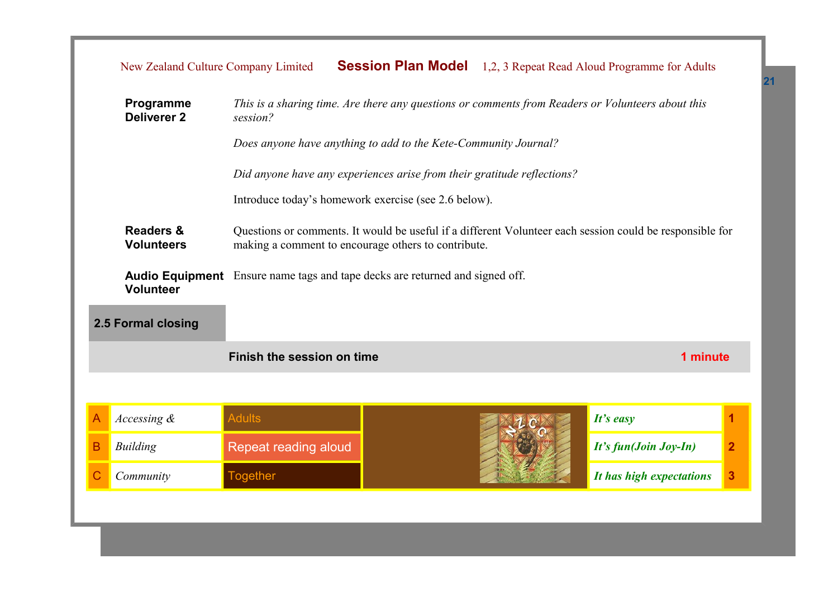|   | <b>Session Plan Model</b> 1,2, 3 Repeat Read Aloud Programme for Adults<br>New Zealand Culture Company Limited                            |                                                                                                                                                                 |                                                      |  |                          |                |  |
|---|-------------------------------------------------------------------------------------------------------------------------------------------|-----------------------------------------------------------------------------------------------------------------------------------------------------------------|------------------------------------------------------|--|--------------------------|----------------|--|
|   | This is a sharing time. Are there any questions or comments from Readers or Volunteers about this<br>Programme<br>Deliverer 2<br>session? |                                                                                                                                                                 |                                                      |  |                          |                |  |
|   | Does anyone have anything to add to the Kete-Community Journal?                                                                           |                                                                                                                                                                 |                                                      |  |                          |                |  |
|   |                                                                                                                                           | Did anyone have any experiences arise from their gratitude reflections?                                                                                         |                                                      |  |                          |                |  |
|   |                                                                                                                                           |                                                                                                                                                                 | Introduce today's homework exercise (see 2.6 below). |  |                          |                |  |
|   | <b>Readers &amp;</b><br><b>Volunteers</b>                                                                                                 | Questions or comments. It would be useful if a different Volunteer each session could be responsible for<br>making a comment to encourage others to contribute. |                                                      |  |                          |                |  |
|   | <b>Audio Equipment</b> Ensure name tags and tape decks are returned and signed off.<br><b>Volunteer</b>                                   |                                                                                                                                                                 |                                                      |  |                          |                |  |
|   | 2.5 Formal closing                                                                                                                        |                                                                                                                                                                 |                                                      |  |                          |                |  |
|   |                                                                                                                                           | Finish the session on time                                                                                                                                      |                                                      |  | 1 minute                 |                |  |
|   |                                                                                                                                           |                                                                                                                                                                 |                                                      |  |                          |                |  |
| А | Accessing &                                                                                                                               | <b>Adults</b>                                                                                                                                                   |                                                      |  | It's easy                | 1              |  |
| B | <b>Building</b>                                                                                                                           | Repeat reading aloud                                                                                                                                            |                                                      |  | It's fun(Join Joy-In)    | $\overline{2}$ |  |
| Ć | Community                                                                                                                                 | <b>Together</b>                                                                                                                                                 |                                                      |  | It has high expectations | 3              |  |
|   |                                                                                                                                           |                                                                                                                                                                 |                                                      |  |                          |                |  |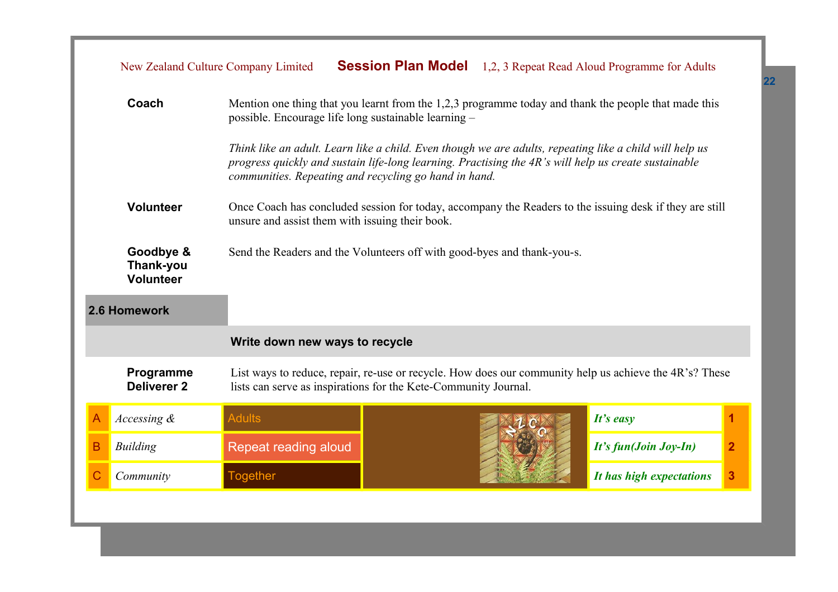|   | New Zealand Culture Company Limited                                                                                                                                     |                                                                                                                                                              |                                                                                                                                                                                                                                                                          |  | <b>Session Plan Model</b> 1,2, 3 Repeat Read Aloud Programme for Adults |                |  |
|---|-------------------------------------------------------------------------------------------------------------------------------------------------------------------------|--------------------------------------------------------------------------------------------------------------------------------------------------------------|--------------------------------------------------------------------------------------------------------------------------------------------------------------------------------------------------------------------------------------------------------------------------|--|-------------------------------------------------------------------------|----------------|--|
|   | Coach                                                                                                                                                                   | Mention one thing that you learnt from the 1,2,3 programme today and thank the people that made this<br>possible. Encourage life long sustainable learning - |                                                                                                                                                                                                                                                                          |  |                                                                         |                |  |
|   |                                                                                                                                                                         |                                                                                                                                                              | Think like an adult. Learn like a child. Even though we are adults, repeating like a child will help us<br>progress quickly and sustain life-long learning. Practising the 4R's will help us create sustainable<br>communities. Repeating and recycling go hand in hand. |  |                                                                         |                |  |
|   | Volunteer<br>Once Coach has concluded session for today, accompany the Readers to the issuing desk if they are still<br>unsure and assist them with issuing their book. |                                                                                                                                                              |                                                                                                                                                                                                                                                                          |  |                                                                         |                |  |
|   | Goodbye &<br>Thank-you<br><b>Volunteer</b>                                                                                                                              | Send the Readers and the Volunteers off with good-byes and thank-you-s.                                                                                      |                                                                                                                                                                                                                                                                          |  |                                                                         |                |  |
|   | 2.6 Homework                                                                                                                                                            |                                                                                                                                                              |                                                                                                                                                                                                                                                                          |  |                                                                         |                |  |
|   |                                                                                                                                                                         | Write down new ways to recycle                                                                                                                               |                                                                                                                                                                                                                                                                          |  |                                                                         |                |  |
|   | Programme<br><b>Deliverer 2</b>                                                                                                                                         |                                                                                                                                                              | List ways to reduce, repair, re-use or recycle. How does our community help us achieve the 4R's? These<br>lists can serve as inspirations for the Kete-Community Journal.                                                                                                |  |                                                                         |                |  |
| Α | Accessing &                                                                                                                                                             | <b>Adults</b>                                                                                                                                                |                                                                                                                                                                                                                                                                          |  | It's easy                                                               |                |  |
| В | <b>Building</b>                                                                                                                                                         | Repeat reading aloud                                                                                                                                         |                                                                                                                                                                                                                                                                          |  | It's fun(Join Joy-In)                                                   | $\overline{2}$ |  |
|   | Community                                                                                                                                                               | <b>Together</b>                                                                                                                                              |                                                                                                                                                                                                                                                                          |  | It has high expectations                                                | 3              |  |
|   |                                                                                                                                                                         |                                                                                                                                                              |                                                                                                                                                                                                                                                                          |  |                                                                         |                |  |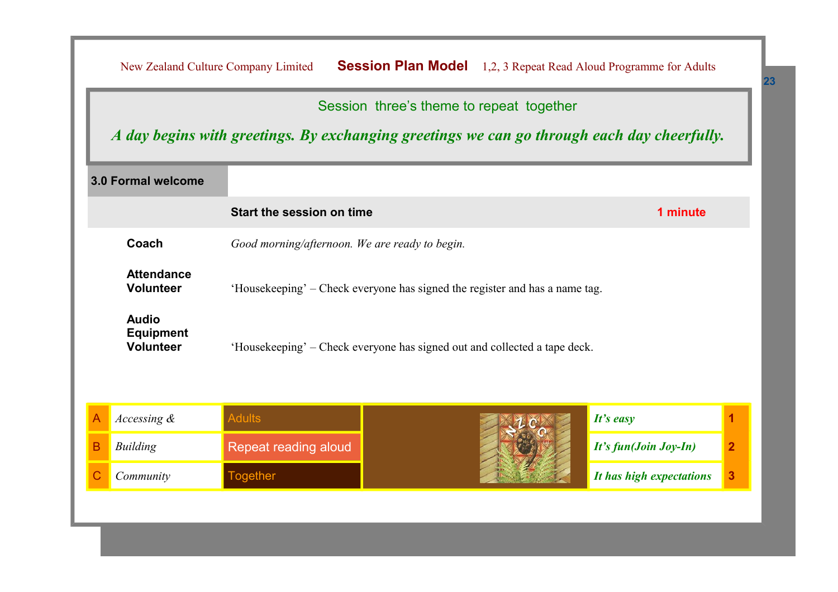|                                                                                                                      |                                                                                                                                         |                           |                                                                           |                          | <b>Session Plan Model</b> 1,2, 3 Repeat Read Aloud Programme for Adults<br>New Zealand Culture Company Limited |  |  |  |  |  |  |  |
|----------------------------------------------------------------------------------------------------------------------|-----------------------------------------------------------------------------------------------------------------------------------------|---------------------------|---------------------------------------------------------------------------|--------------------------|----------------------------------------------------------------------------------------------------------------|--|--|--|--|--|--|--|
|                                                                                                                      | Session three's theme to repeat together<br>A day begins with greetings. By exchanging greetings we can go through each day cheerfully. |                           |                                                                           |                          |                                                                                                                |  |  |  |  |  |  |  |
|                                                                                                                      | 3.0 Formal welcome                                                                                                                      |                           |                                                                           |                          |                                                                                                                |  |  |  |  |  |  |  |
|                                                                                                                      |                                                                                                                                         | Start the session on time |                                                                           | 1 minute                 |                                                                                                                |  |  |  |  |  |  |  |
| Coach<br>Good morning/afternoon. We are ready to begin.                                                              |                                                                                                                                         |                           |                                                                           |                          |                                                                                                                |  |  |  |  |  |  |  |
| <b>Attendance</b><br><b>Volunteer</b><br>'Housekeeping' – Check everyone has signed the register and has a name tag. |                                                                                                                                         |                           |                                                                           |                          |                                                                                                                |  |  |  |  |  |  |  |
|                                                                                                                      | <b>Audio</b><br><b>Equipment</b><br><b>Volunteer</b>                                                                                    |                           | 'Housekeeping' – Check everyone has signed out and collected a tape deck. |                          |                                                                                                                |  |  |  |  |  |  |  |
|                                                                                                                      |                                                                                                                                         |                           |                                                                           |                          |                                                                                                                |  |  |  |  |  |  |  |
|                                                                                                                      | Accessing &                                                                                                                             | <b>Adults</b>             |                                                                           | It's easy                | 1                                                                                                              |  |  |  |  |  |  |  |
| B                                                                                                                    | <b>Building</b>                                                                                                                         | Repeat reading aloud      |                                                                           | It's fun(Join Joy-In)    | $\overline{2}$                                                                                                 |  |  |  |  |  |  |  |
|                                                                                                                      | Community                                                                                                                               | <b>Together</b>           |                                                                           | It has high expectations | 3                                                                                                              |  |  |  |  |  |  |  |
|                                                                                                                      |                                                                                                                                         |                           |                                                                           |                          |                                                                                                                |  |  |  |  |  |  |  |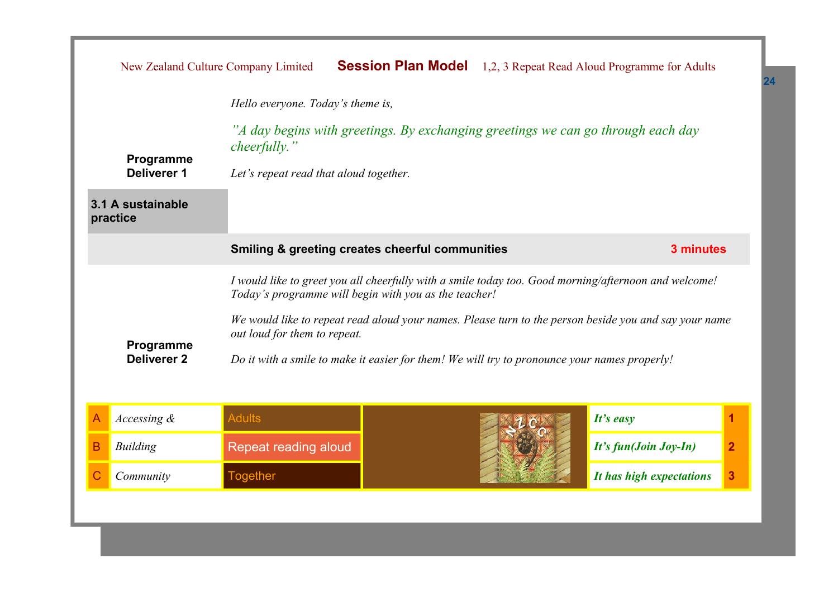|                                                            |                                   | New Zealand Culture Company Limited                                                                                                                           |                                                                                              |  | <b>Session Plan Model</b> 1,2, 3 Repeat Read Aloud Programme for Adults |                |
|------------------------------------------------------------|-----------------------------------|---------------------------------------------------------------------------------------------------------------------------------------------------------------|----------------------------------------------------------------------------------------------|--|-------------------------------------------------------------------------|----------------|
|                                                            | Hello everyone. Today's theme is, |                                                                                                                                                               |                                                                                              |  |                                                                         |                |
|                                                            | Programme                         | <i>cheerfully.</i> "                                                                                                                                          | "A day begins with greetings. By exchanging greetings we can go through each day             |  |                                                                         |                |
|                                                            | <b>Deliverer 1</b>                | Let's repeat read that aloud together.                                                                                                                        |                                                                                              |  |                                                                         |                |
| 3.1 A sustainable<br>practice                              |                                   |                                                                                                                                                               |                                                                                              |  |                                                                         |                |
| <b>Smiling &amp; greeting creates cheerful communities</b> |                                   |                                                                                                                                                               | 3 minutes                                                                                    |  |                                                                         |                |
|                                                            |                                   | I would like to greet you all cheerfully with a smile today too. Good morning/afternoon and welcome!<br>Today's programme will begin with you as the teacher! |                                                                                              |  |                                                                         |                |
|                                                            |                                   | We would like to repeat read aloud your names. Please turn to the person beside you and say your name<br>out loud for them to repeat.                         |                                                                                              |  |                                                                         |                |
|                                                            | Programme<br><b>Deliverer 2</b>   |                                                                                                                                                               | Do it with a smile to make it easier for them! We will try to pronounce your names properly! |  |                                                                         |                |
|                                                            |                                   |                                                                                                                                                               |                                                                                              |  |                                                                         |                |
| Α                                                          | Accessing $\&$                    | <b>Adults</b>                                                                                                                                                 |                                                                                              |  | It's easy                                                               | 1              |
| B                                                          | <b>Building</b>                   | Repeat reading aloud                                                                                                                                          |                                                                                              |  | It's fun(Join Joy-In)                                                   | $\overline{2}$ |
|                                                            | Community                         | <b>Together</b>                                                                                                                                               |                                                                                              |  | It has high expectations                                                | 3              |
|                                                            |                                   |                                                                                                                                                               |                                                                                              |  |                                                                         |                |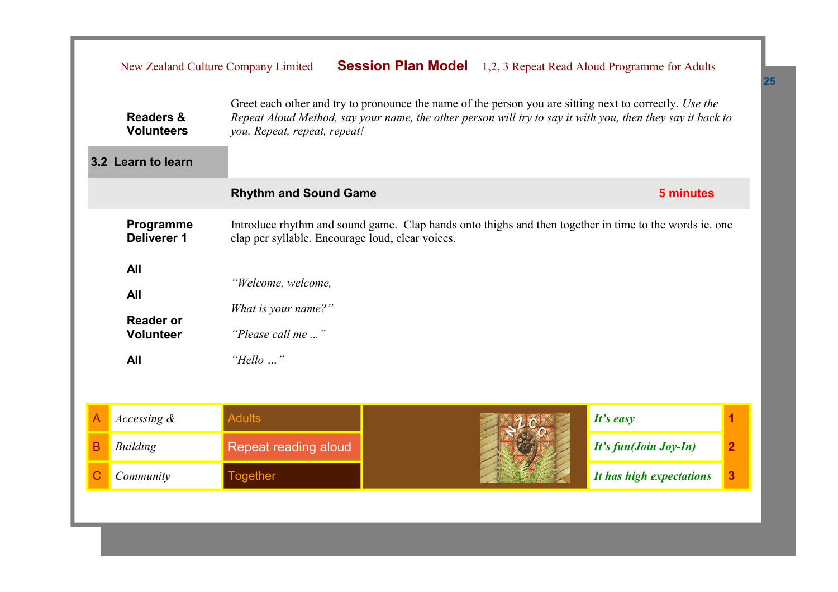|                                                                                                                                                                                                                                                                                                                          |                 | New Zealand Culture Company Limited |  |  | <b>Session Plan Model</b> 1,2, 3 Repeat Read Aloud Programme for Adults |                         |
|--------------------------------------------------------------------------------------------------------------------------------------------------------------------------------------------------------------------------------------------------------------------------------------------------------------------------|-----------------|-------------------------------------|--|--|-------------------------------------------------------------------------|-------------------------|
| Greet each other and try to pronounce the name of the person you are sitting next to correctly. Use the<br><b>Readers &amp;</b><br>Repeat Aloud Method, say your name, the other person will try to say it with you, then they say it back to<br><b>Volunteers</b><br>you. Repeat, repeat, repeat!<br>3.2 Learn to learn |                 |                                     |  |  |                                                                         |                         |
|                                                                                                                                                                                                                                                                                                                          |                 | <b>Rhythm and Sound Game</b>        |  |  | 5 minutes                                                               |                         |
| Introduce rhythm and sound game. Clap hands onto thighs and then together in time to the words ie. one<br>Programme<br>Deliverer 1<br>clap per syllable. Encourage loud, clear voices.                                                                                                                                   |                 |                                     |  |  |                                                                         |                         |
| All<br>"Welcome, welcome,<br><b>All</b><br>What is your name?"<br><b>Reader or</b><br>"Please call me "<br><b>Volunteer</b><br>All<br>"Hello "                                                                                                                                                                           |                 |                                     |  |  |                                                                         |                         |
| A                                                                                                                                                                                                                                                                                                                        | Accessing &     | <b>Adults</b>                       |  |  | $It's$ easy                                                             | 1                       |
| B                                                                                                                                                                                                                                                                                                                        | <b>Building</b> | Repeat reading aloud                |  |  | It's fun(Join Joy-In)                                                   | $\overline{2}$          |
|                                                                                                                                                                                                                                                                                                                          | Community       | <b>Together</b>                     |  |  | It has high expectations                                                | $\overline{\mathbf{3}}$ |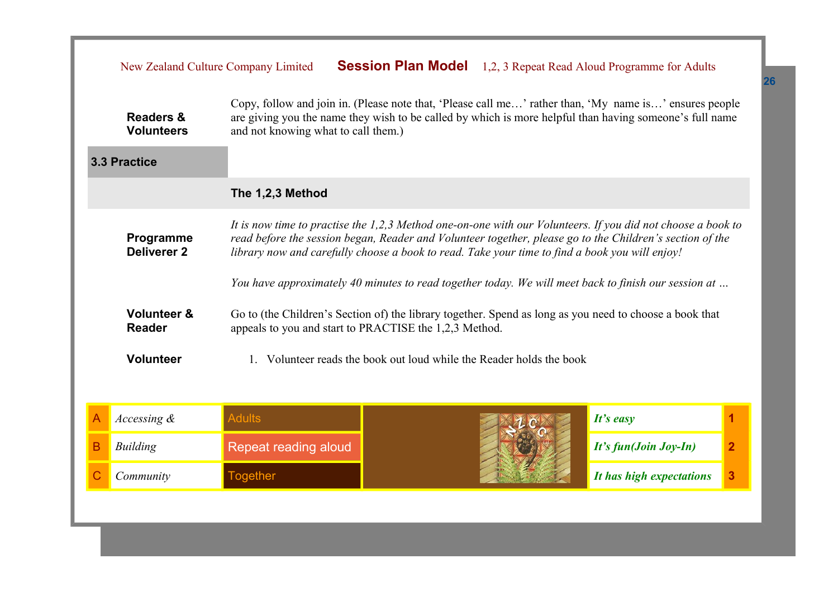|                  | New Zealand Culture Company Limited                                                                                                                                                                                                                                                                                                                          |                                                        |                                                                   |  | <b>Session Plan Model</b> 1,2, 3 Repeat Read Aloud Programme for Adults                                 |                |
|------------------|--------------------------------------------------------------------------------------------------------------------------------------------------------------------------------------------------------------------------------------------------------------------------------------------------------------------------------------------------------------|--------------------------------------------------------|-------------------------------------------------------------------|--|---------------------------------------------------------------------------------------------------------|----------------|
|                  | Copy, follow and join in. (Please note that, 'Please call me' rather than, 'My name is' ensures people<br>are giving you the name they wish to be called by which is more helpful than having someone's full name<br><b>Readers &amp;</b><br>and not knowing what to call them.)<br><b>Volunteers</b>                                                        |                                                        |                                                                   |  |                                                                                                         |                |
|                  | <b>3.3 Practice</b>                                                                                                                                                                                                                                                                                                                                          |                                                        |                                                                   |  |                                                                                                         |                |
| The 1,2,3 Method |                                                                                                                                                                                                                                                                                                                                                              |                                                        |                                                                   |  |                                                                                                         |                |
|                  | It is now time to practise the 1,2,3 Method one-on-one with our Volunteers. If you did not choose a book to<br>Programme<br>read before the session began, Reader and Volunteer together, please go to the Children's section of the<br><b>Deliverer 2</b><br>library now and carefully choose a book to read. Take your time to find a book you will enjoy! |                                                        |                                                                   |  |                                                                                                         |                |
|                  | You have approximately 40 minutes to read together today. We will meet back to finish our session at                                                                                                                                                                                                                                                         |                                                        |                                                                   |  |                                                                                                         |                |
|                  | <b>Volunteer &amp;</b><br><b>Reader</b>                                                                                                                                                                                                                                                                                                                      | appeals to you and start to PRACTISE the 1,2,3 Method. |                                                                   |  | Go to (the Children's Section of) the library together. Spend as long as you need to choose a book that |                |
|                  | <b>Volunteer</b>                                                                                                                                                                                                                                                                                                                                             |                                                        | Volunteer reads the book out loud while the Reader holds the book |  |                                                                                                         |                |
|                  |                                                                                                                                                                                                                                                                                                                                                              |                                                        |                                                                   |  |                                                                                                         |                |
| Α                | Accessing &                                                                                                                                                                                                                                                                                                                                                  | <b>Adults</b>                                          |                                                                   |  | $It's$ easy                                                                                             | 1              |
| B                | <b>Building</b>                                                                                                                                                                                                                                                                                                                                              | Repeat reading aloud                                   |                                                                   |  | It's fun(Join Joy-In)                                                                                   | $\overline{2}$ |
|                  | Community                                                                                                                                                                                                                                                                                                                                                    | <b>Together</b>                                        |                                                                   |  | It has high expectations                                                                                | 3              |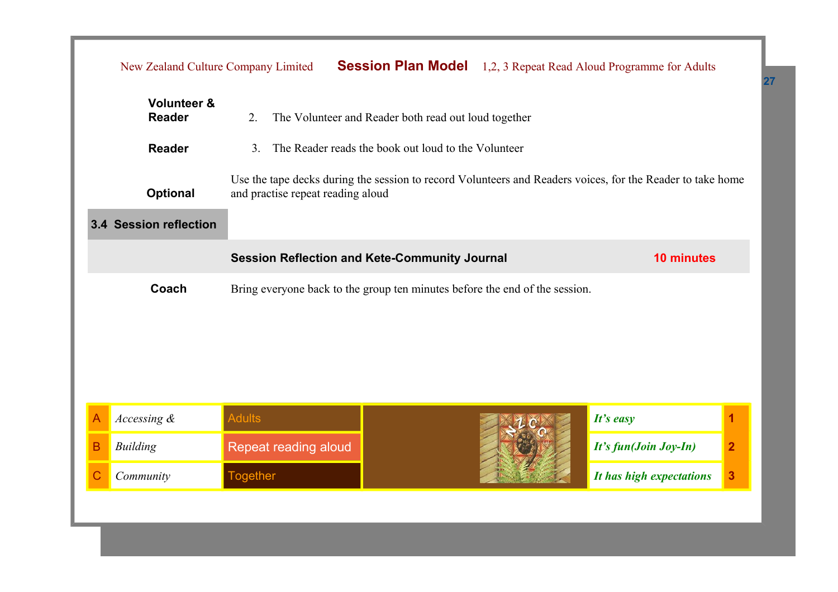|   | New Zealand Culture Company Limited                                                                                                                                |                      | <b>Session Plan Model</b> |                       | 1,2, 3 Repeat Read Aloud Programme for Adults |   |
|---|--------------------------------------------------------------------------------------------------------------------------------------------------------------------|----------------------|---------------------------|-----------------------|-----------------------------------------------|---|
|   | <b>Volunteer &amp;</b><br><b>Reader</b><br>The Volunteer and Reader both read out loud together<br>2.                                                              |                      |                           |                       |                                               |   |
|   | <b>Reader</b><br>The Reader reads the book out loud to the Volunteer<br>3 <sub>1</sub>                                                                             |                      |                           |                       |                                               |   |
|   | Use the tape decks during the session to record Volunteers and Readers voices, for the Reader to take home<br><b>Optional</b><br>and practise repeat reading aloud |                      |                           |                       |                                               |   |
|   | 3.4 Session reflection                                                                                                                                             |                      |                           |                       |                                               |   |
|   | <b>Session Reflection and Kete-Community Journal</b>                                                                                                               |                      |                           | 10 minutes            |                                               |   |
|   | Coach<br>Bring everyone back to the group ten minutes before the end of the session.                                                                               |                      |                           |                       |                                               |   |
|   |                                                                                                                                                                    |                      |                           |                       |                                               |   |
|   |                                                                                                                                                                    |                      |                           |                       |                                               |   |
|   |                                                                                                                                                                    |                      |                           |                       |                                               |   |
| А | Accessing &                                                                                                                                                        | <b>Adults</b>        |                           |                       | It's easy                                     | 1 |
| В | <b>Building</b>                                                                                                                                                    | Repeat reading aloud |                           | It's fun(Join Joy-In) | $\overline{2}$                                |   |
|   | Community                                                                                                                                                          | <b>Together</b>      |                           |                       | It has high expectations                      | 3 |
|   |                                                                                                                                                                    |                      |                           |                       |                                               |   |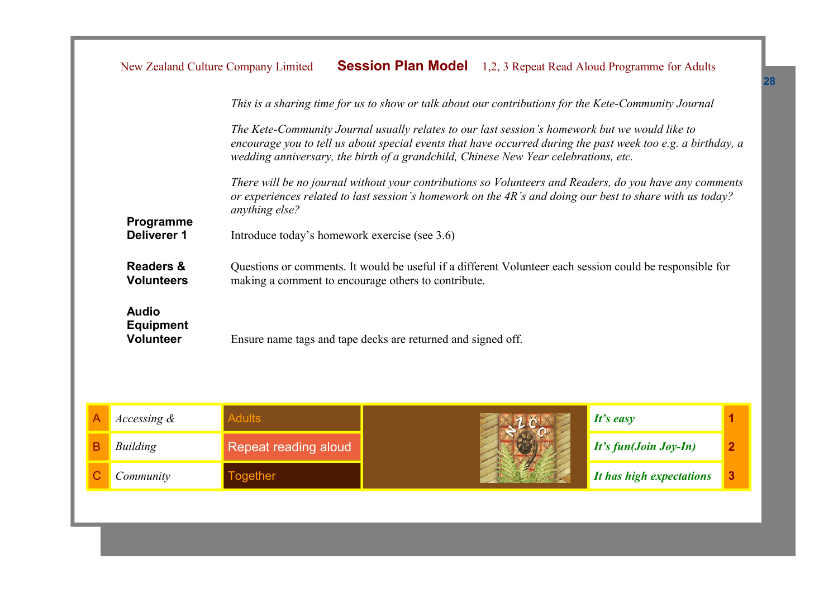|                                                                                                                                                                                                              | New Zealand Culture Company Limited                                                                  |                                                                                                                                                                                                                                       | <b>Session Plan Model</b> |  | 1,2, 3 Repeat Read Aloud Programme for Adults                                                                |                |  |
|--------------------------------------------------------------------------------------------------------------------------------------------------------------------------------------------------------------|------------------------------------------------------------------------------------------------------|---------------------------------------------------------------------------------------------------------------------------------------------------------------------------------------------------------------------------------------|---------------------------|--|--------------------------------------------------------------------------------------------------------------|----------------|--|
|                                                                                                                                                                                                              | This is a sharing time for us to show or talk about our contributions for the Kete-Community Journal |                                                                                                                                                                                                                                       |                           |  |                                                                                                              |                |  |
|                                                                                                                                                                                                              |                                                                                                      | The Kete-Community Journal usually relates to our last session's homework but we would like to<br>wedding anniversary, the birth of a grandchild, Chinese New Year celebrations, etc.                                                 |                           |  | encourage you to tell us about special events that have occurred during the past week too e.g. a birthday, a |                |  |
|                                                                                                                                                                                                              |                                                                                                      | There will be no journal without your contributions so Volunteers and Readers, do you have any comments<br>or experiences related to last session's homework on the 4R's and doing our best to share with us today?<br>anything else? |                           |  |                                                                                                              |                |  |
| Programme<br><b>Deliverer 1</b><br>Introduce today's homework exercise (see 3.6)                                                                                                                             |                                                                                                      |                                                                                                                                                                                                                                       |                           |  |                                                                                                              |                |  |
| <b>Readers &amp;</b><br>Questions or comments. It would be useful if a different Volunteer each session could be responsible for<br><b>Volunteers</b><br>making a comment to encourage others to contribute. |                                                                                                      |                                                                                                                                                                                                                                       |                           |  |                                                                                                              |                |  |
| <b>Audio</b><br><b>Equipment</b><br><b>Volunteer</b><br>Ensure name tags and tape decks are returned and signed off.                                                                                         |                                                                                                      |                                                                                                                                                                                                                                       |                           |  |                                                                                                              |                |  |
| А                                                                                                                                                                                                            | Accessing &                                                                                          | <b>Adults</b>                                                                                                                                                                                                                         |                           |  | It's easy                                                                                                    | 1              |  |
| B                                                                                                                                                                                                            | <b>Building</b>                                                                                      | Repeat reading aloud                                                                                                                                                                                                                  |                           |  | It's fun(Join Joy-In)                                                                                        | $\overline{2}$ |  |
| С                                                                                                                                                                                                            | Community                                                                                            | <b>Together</b>                                                                                                                                                                                                                       |                           |  | It has high expectations                                                                                     | 3              |  |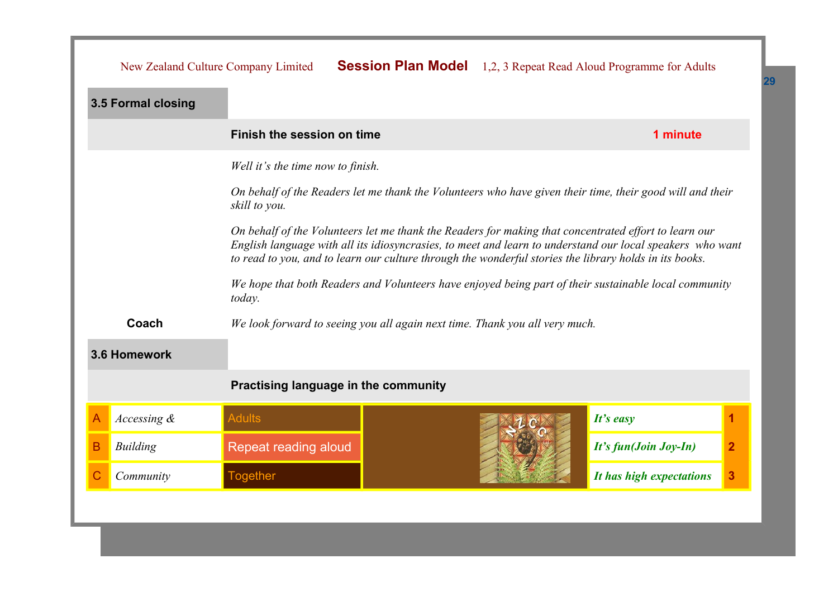|   | New Zealand Culture Company Limited                                                                                                                                                                                                                                                                                          |                                                                             |  |          | <b>Session Plan Model</b> 1,2, 3 Repeat Read Aloud Programme for Adults |                         |
|---|------------------------------------------------------------------------------------------------------------------------------------------------------------------------------------------------------------------------------------------------------------------------------------------------------------------------------|-----------------------------------------------------------------------------|--|----------|-------------------------------------------------------------------------|-------------------------|
|   | 3.5 Formal closing                                                                                                                                                                                                                                                                                                           |                                                                             |  |          |                                                                         |                         |
|   | Finish the session on time                                                                                                                                                                                                                                                                                                   |                                                                             |  | 1 minute |                                                                         |                         |
|   | Well it's the time now to finish.                                                                                                                                                                                                                                                                                            |                                                                             |  |          |                                                                         |                         |
|   | On behalf of the Readers let me thank the Volunteers who have given their time, their good will and their<br>skill to you.                                                                                                                                                                                                   |                                                                             |  |          |                                                                         |                         |
|   | On behalf of the Volunteers let me thank the Readers for making that concentrated effort to learn our<br>English language with all its idiosyncrasies, to meet and learn to understand our local speakers who want<br>to read to you, and to learn our culture through the wonderful stories the library holds in its books. |                                                                             |  |          |                                                                         |                         |
|   | We hope that both Readers and Volunteers have enjoyed being part of their sustainable local community<br>today.                                                                                                                                                                                                              |                                                                             |  |          |                                                                         |                         |
|   | Coach                                                                                                                                                                                                                                                                                                                        | We look forward to seeing you all again next time. Thank you all very much. |  |          |                                                                         |                         |
|   | 3.6 Homework                                                                                                                                                                                                                                                                                                                 |                                                                             |  |          |                                                                         |                         |
|   |                                                                                                                                                                                                                                                                                                                              | Practising language in the community                                        |  |          |                                                                         |                         |
| Α | Accessing $\&$                                                                                                                                                                                                                                                                                                               | <b>Adults</b>                                                               |  |          | It's easy                                                               | 1                       |
| B | <b>Building</b>                                                                                                                                                                                                                                                                                                              | Repeat reading aloud                                                        |  |          | It's fun(Join Joy-In)                                                   | $\overline{\mathbf{2}}$ |
|   | Community                                                                                                                                                                                                                                                                                                                    | <b>Together</b>                                                             |  |          | It has high expectations                                                | 3                       |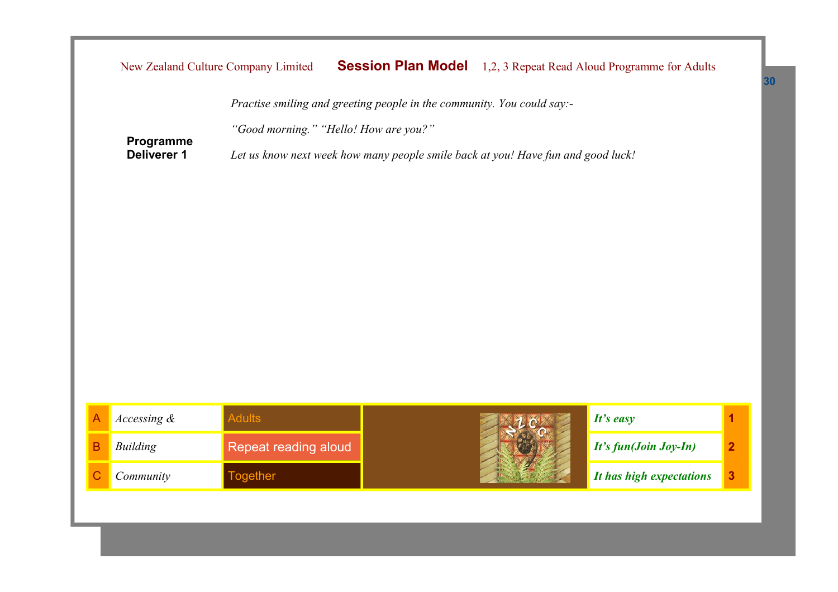|                | New Zealand Culture Company Limited |                                                                                  | <b>Session Plan Model</b> |                          | 1,2, 3 Repeat Read Aloud Programme for Adults |   |  |  |
|----------------|-------------------------------------|----------------------------------------------------------------------------------|---------------------------|--------------------------|-----------------------------------------------|---|--|--|
|                |                                     | Practise smiling and greeting people in the community. You could say:-           |                           |                          |                                               |   |  |  |
|                | Programme                           | "Good morning." "Hello! How are you?"                                            |                           |                          |                                               |   |  |  |
|                | <b>Deliverer 1</b>                  | Let us know next week how many people smile back at you! Have fun and good luck! |                           |                          |                                               |   |  |  |
|                |                                     |                                                                                  |                           |                          |                                               |   |  |  |
|                |                                     |                                                                                  |                           |                          |                                               |   |  |  |
|                |                                     |                                                                                  |                           |                          |                                               |   |  |  |
|                |                                     |                                                                                  |                           |                          |                                               |   |  |  |
|                |                                     |                                                                                  |                           |                          |                                               |   |  |  |
|                |                                     |                                                                                  |                           |                          |                                               |   |  |  |
|                |                                     |                                                                                  |                           |                          |                                               |   |  |  |
|                |                                     |                                                                                  |                           |                          |                                               |   |  |  |
| $\overline{A}$ | Accessing &                         | <b>Adults</b>                                                                    |                           |                          | It's easy                                     | 1 |  |  |
| B              | <b>Building</b>                     | Repeat reading aloud                                                             |                           | It's fun(Join Joy-In)    | $\overline{2}$                                |   |  |  |
| $\mathsf{C}$   | Community                           | <b>Together</b>                                                                  |                           | It has high expectations | 3                                             |   |  |  |
|                |                                     |                                                                                  |                           |                          |                                               |   |  |  |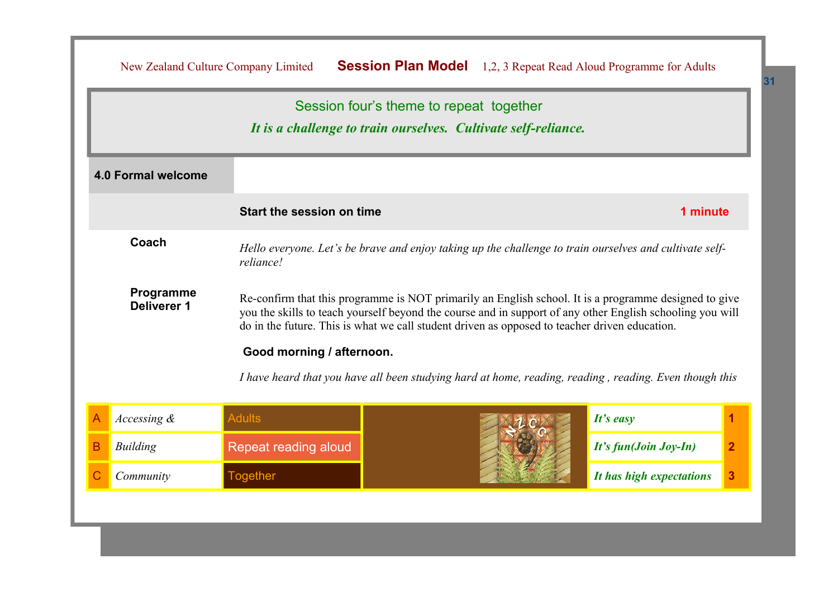|                                                                                                                                                                                                                                                                                                                                                        |                    |                                                                                                                      | Session four's theme to repeat together<br>It is a challenge to train ourselves. Cultivate self-reliance. |                          |                         |  |
|--------------------------------------------------------------------------------------------------------------------------------------------------------------------------------------------------------------------------------------------------------------------------------------------------------------------------------------------------------|--------------------|----------------------------------------------------------------------------------------------------------------------|-----------------------------------------------------------------------------------------------------------|--------------------------|-------------------------|--|
|                                                                                                                                                                                                                                                                                                                                                        | 4.0 Formal welcome |                                                                                                                      |                                                                                                           |                          |                         |  |
|                                                                                                                                                                                                                                                                                                                                                        |                    | Start the session on time                                                                                            |                                                                                                           | 1 minute                 |                         |  |
|                                                                                                                                                                                                                                                                                                                                                        | Coach              | Hello everyone. Let's be brave and enjoy taking up the challenge to train ourselves and cultivate self-<br>reliance! |                                                                                                           |                          |                         |  |
| Programme<br>Re-confirm that this programme is NOT primarily an English school. It is a programme designed to give<br><b>Deliverer 1</b><br>you the skills to teach yourself beyond the course and in support of any other English schooling you will<br>do in the future. This is what we call student driven as opposed to teacher driven education. |                    |                                                                                                                      |                                                                                                           |                          |                         |  |
|                                                                                                                                                                                                                                                                                                                                                        |                    | Good morning / afternoon.                                                                                            | I have heard that you have all been studying hard at home, reading, reading, reading. Even though this    |                          |                         |  |
| А                                                                                                                                                                                                                                                                                                                                                      | Accessing &        | <b>Adults</b>                                                                                                        |                                                                                                           | It's easy                |                         |  |
| В                                                                                                                                                                                                                                                                                                                                                      | <b>Building</b>    | Repeat reading aloud                                                                                                 |                                                                                                           | It's fun(Join Joy-In)    | $\overline{\mathbf{2}}$ |  |
|                                                                                                                                                                                                                                                                                                                                                        | Community          | <b>Together</b>                                                                                                      |                                                                                                           | It has high expectations | 3                       |  |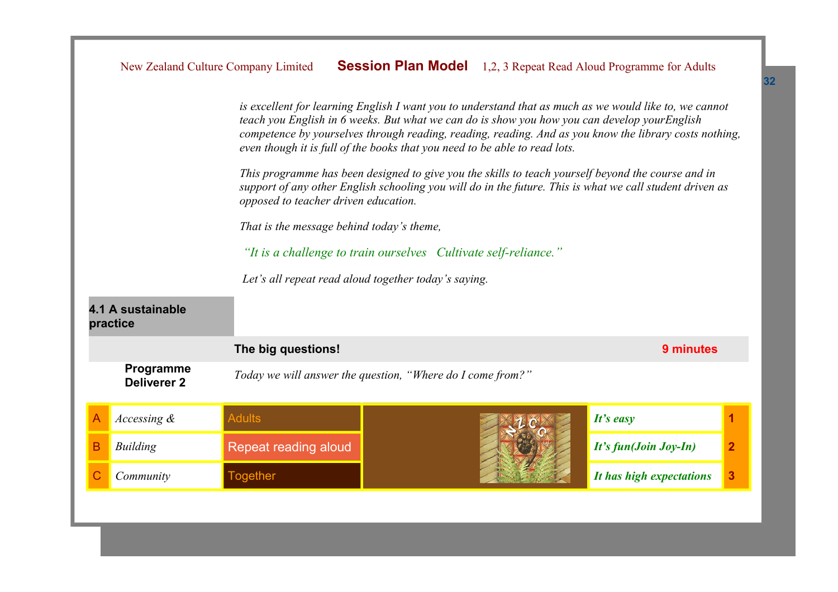|                                                      |                                                                 | New Zealand Culture Company Limited                                                                                                                                                                                                                    |  |                       | <b>Session Plan Model</b> 1,2, 3 Repeat Read Aloud Programme for Adults                                                                                                                                          |   |  |
|------------------------------------------------------|-----------------------------------------------------------------|--------------------------------------------------------------------------------------------------------------------------------------------------------------------------------------------------------------------------------------------------------|--|-----------------------|------------------------------------------------------------------------------------------------------------------------------------------------------------------------------------------------------------------|---|--|
|                                                      |                                                                 | teach you English in 6 weeks. But what we can do is show you how you can develop yourEnglish<br>even though it is full of the books that you need to be able to read lots.                                                                             |  |                       | is excellent for learning English I want you to understand that as much as we would like to, we cannot<br>competence by yourselves through reading, reading, reading. And as you know the library costs nothing, |   |  |
|                                                      |                                                                 | This programme has been designed to give you the skills to teach yourself beyond the course and in<br>support of any other English schooling you will do in the future. This is what we call student driven as<br>opposed to teacher driven education. |  |                       |                                                                                                                                                                                                                  |   |  |
|                                                      | That is the message behind today's theme,                       |                                                                                                                                                                                                                                                        |  |                       |                                                                                                                                                                                                                  |   |  |
|                                                      | "It is a challenge to train ourselves Cultivate self-reliance." |                                                                                                                                                                                                                                                        |  |                       |                                                                                                                                                                                                                  |   |  |
| Let's all repeat read aloud together today's saying. |                                                                 |                                                                                                                                                                                                                                                        |  |                       |                                                                                                                                                                                                                  |   |  |
|                                                      | 4.1 A sustainable<br>practice                                   |                                                                                                                                                                                                                                                        |  |                       |                                                                                                                                                                                                                  |   |  |
|                                                      |                                                                 | The big questions!                                                                                                                                                                                                                                     |  |                       | 9 minutes                                                                                                                                                                                                        |   |  |
|                                                      | Programme<br><b>Deliverer 2</b>                                 | Today we will answer the question, "Where do I come from?"                                                                                                                                                                                             |  |                       |                                                                                                                                                                                                                  |   |  |
|                                                      | Accessing $\&$                                                  | <b>Adults</b>                                                                                                                                                                                                                                          |  |                       | It's easy                                                                                                                                                                                                        | 1 |  |
| B                                                    | <b>Building</b>                                                 | Repeat reading aloud                                                                                                                                                                                                                                   |  | It's fun(Join Joy-In) | $\overline{2}$                                                                                                                                                                                                   |   |  |
|                                                      | Community                                                       | <b>Together</b>                                                                                                                                                                                                                                        |  |                       | It has high expectations                                                                                                                                                                                         | 3 |  |
|                                                      |                                                                 |                                                                                                                                                                                                                                                        |  |                       |                                                                                                                                                                                                                  |   |  |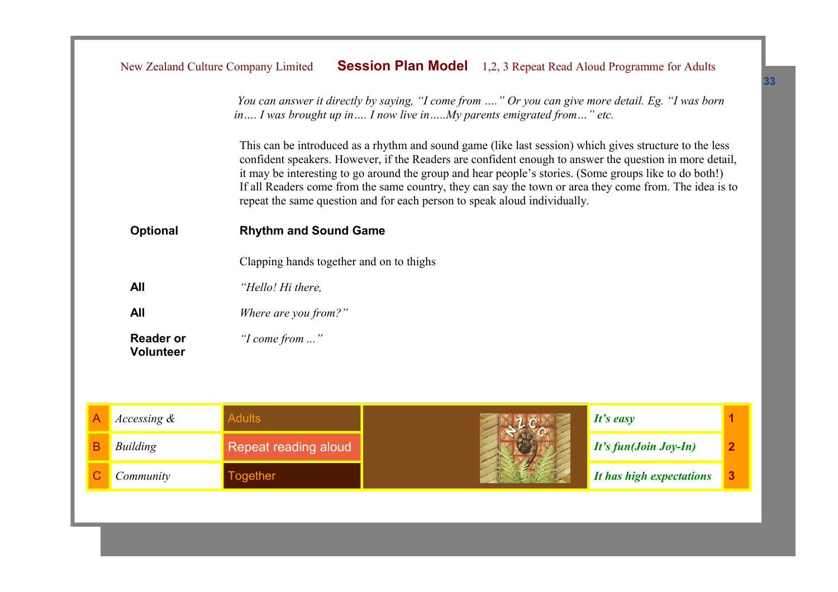|                                      | You can answer it directly by saying, "I come from " Or you can give more detail. Eg. "I was born<br>in I was brought up in I now live inMy parents emigrated from" etc.                                                                                                                                                                                                                                                                                                                                             |  |  |
|--------------------------------------|----------------------------------------------------------------------------------------------------------------------------------------------------------------------------------------------------------------------------------------------------------------------------------------------------------------------------------------------------------------------------------------------------------------------------------------------------------------------------------------------------------------------|--|--|
|                                      | This can be introduced as a rhythm and sound game (like last session) which gives structure to the less<br>confident speakers. However, if the Readers are confident enough to answer the question in more detail,<br>it may be interesting to go around the group and hear people's stories. (Some groups like to do both!)<br>If all Readers come from the same country, they can say the town or area they come from. The idea is to<br>repeat the same question and for each person to speak aloud individually. |  |  |
| <b>Optional</b>                      | <b>Rhythm and Sound Game</b>                                                                                                                                                                                                                                                                                                                                                                                                                                                                                         |  |  |
|                                      | Clapping hands together and on to thighs                                                                                                                                                                                                                                                                                                                                                                                                                                                                             |  |  |
| <b>All</b>                           | "Hello! Hi there,                                                                                                                                                                                                                                                                                                                                                                                                                                                                                                    |  |  |
| <b>All</b>                           | Where are you from?"                                                                                                                                                                                                                                                                                                                                                                                                                                                                                                 |  |  |
| <b>Reader or</b><br><b>Volunteer</b> | "I come from "                                                                                                                                                                                                                                                                                                                                                                                                                                                                                                       |  |  |

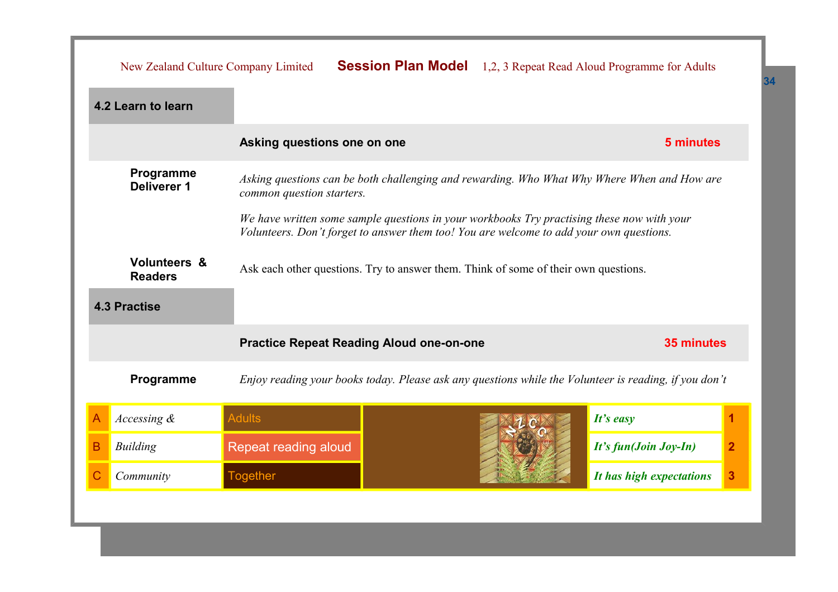|   | New Zealand Culture Company Limited                                                                                                                                                   |                                                 |  |  | <b>Session Plan Model</b> 1,2, 3 Repeat Read Aloud Programme for Adults                               |                |
|---|---------------------------------------------------------------------------------------------------------------------------------------------------------------------------------------|-------------------------------------------------|--|--|-------------------------------------------------------------------------------------------------------|----------------|
|   | 4.2 Learn to learn                                                                                                                                                                    |                                                 |  |  |                                                                                                       |                |
|   |                                                                                                                                                                                       | Asking questions one on one                     |  |  | 5 minutes                                                                                             |                |
|   | Programme<br>Asking questions can be both challenging and rewarding. Who What Why Where When and How are<br><b>Deliverer 1</b><br>common question starters.                           |                                                 |  |  |                                                                                                       |                |
|   | We have written some sample questions in your workbooks Try practising these now with your<br>Volunteers. Don't forget to answer them too! You are welcome to add your own questions. |                                                 |  |  |                                                                                                       |                |
|   | <b>Volunteers &amp;</b><br>Ask each other questions. Try to answer them. Think of some of their own questions.<br><b>Readers</b>                                                      |                                                 |  |  |                                                                                                       |                |
|   | <b>4.3 Practise</b>                                                                                                                                                                   |                                                 |  |  |                                                                                                       |                |
|   |                                                                                                                                                                                       |                                                 |  |  |                                                                                                       |                |
|   |                                                                                                                                                                                       | <b>Practice Repeat Reading Aloud one-on-one</b> |  |  | 35 minutes                                                                                            |                |
|   | Programme                                                                                                                                                                             |                                                 |  |  | Enjoy reading your books today. Please ask any questions while the Volunteer is reading, if you don't |                |
| A | Accessing $\&$                                                                                                                                                                        | <b>Adults</b>                                   |  |  | It's easy                                                                                             |                |
| B | <b>Building</b>                                                                                                                                                                       | Repeat reading aloud                            |  |  | It's fun(Join Joy-In)                                                                                 | $\overline{2}$ |
| C | Community                                                                                                                                                                             | <b>Together</b>                                 |  |  | It has high expectations                                                                              | 3              |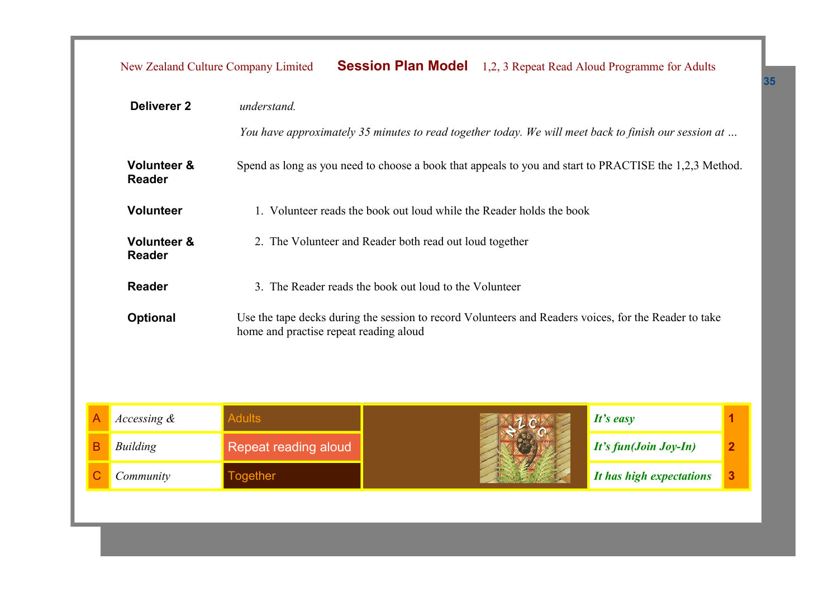|                                                                                          |                                         | New Zealand Culture Company Limited    |                                                         |  | <b>Session Plan Model</b> 1,2, 3 Repeat Read Aloud Programme for Adults                                |  |
|------------------------------------------------------------------------------------------|-----------------------------------------|----------------------------------------|---------------------------------------------------------|--|--------------------------------------------------------------------------------------------------------|--|
|                                                                                          | <b>Deliverer 2</b>                      | understand.                            |                                                         |  |                                                                                                        |  |
|                                                                                          |                                         |                                        |                                                         |  | You have approximately 35 minutes to read together today. We will meet back to finish our session at   |  |
|                                                                                          | <b>Volunteer &amp;</b><br><b>Reader</b> |                                        |                                                         |  | Spend as long as you need to choose a book that appeals to you and start to PRACTISE the 1,2,3 Method. |  |
| <b>Volunteer</b><br>1. Volunteer reads the book out loud while the Reader holds the book |                                         |                                        |                                                         |  |                                                                                                        |  |
|                                                                                          | <b>Volunteer &amp;</b><br><b>Reader</b> |                                        | 2. The Volunteer and Reader both read out loud together |  |                                                                                                        |  |
|                                                                                          | <b>Reader</b>                           |                                        | 3. The Reader reads the book out loud to the Volunteer  |  |                                                                                                        |  |
|                                                                                          | <b>Optional</b>                         | home and practise repeat reading aloud |                                                         |  | Use the tape decks during the session to record Volunteers and Readers voices, for the Reader to take  |  |
|                                                                                          |                                         |                                        |                                                         |  |                                                                                                        |  |
|                                                                                          | Accessing &                             | <b>Adults</b>                          |                                                         |  | It's easy                                                                                              |  |
|                                                                                          | $R$ uilding                             | Danaat raading aloud                   |                                                         |  | $H^{\prime}$ fund Loin Loy-Lu)                                                                         |  |

| <i>Accessing</i> & |                      | It's easy                               |  |
|--------------------|----------------------|-----------------------------------------|--|
| Building           | Repeat reading aloud | $\mid$ It's fun(Join Joy-In)            |  |
| Community          | pgether              | $\blacksquare$ It has high expectations |  |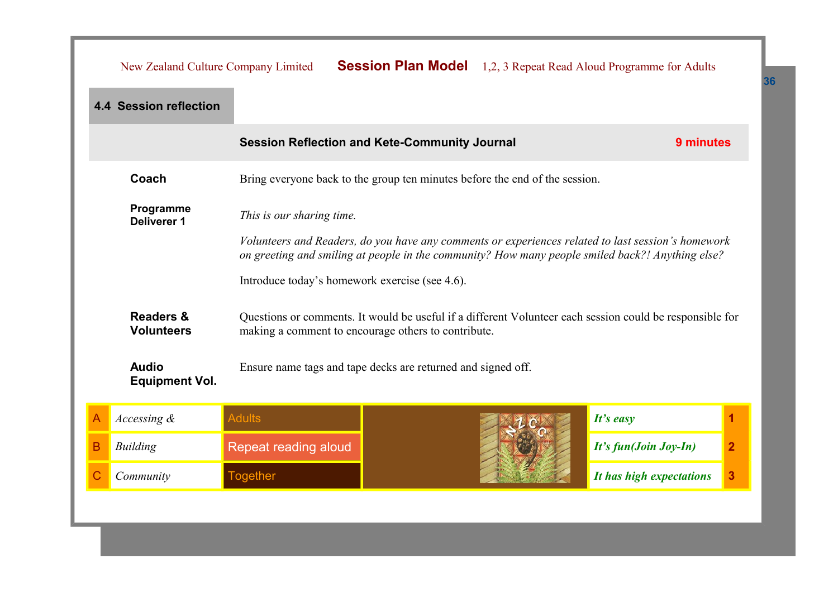|   | <b>Session Plan Model</b> 1,2, 3 Repeat Read Aloud Programme for Adults<br>New Zealand Culture Company Limited                                                                                         |                                                                             |  |                          |                                                                                                          |  |  |  |
|---|--------------------------------------------------------------------------------------------------------------------------------------------------------------------------------------------------------|-----------------------------------------------------------------------------|--|--------------------------|----------------------------------------------------------------------------------------------------------|--|--|--|
|   | <b>4.4 Session reflection</b>                                                                                                                                                                          |                                                                             |  |                          |                                                                                                          |  |  |  |
|   | <b>Session Reflection and Kete-Community Journal</b><br>9 minutes                                                                                                                                      |                                                                             |  |                          |                                                                                                          |  |  |  |
|   | Coach                                                                                                                                                                                                  | Bring everyone back to the group ten minutes before the end of the session. |  |                          |                                                                                                          |  |  |  |
|   | Programme<br>This is our sharing time.<br><b>Deliverer 1</b>                                                                                                                                           |                                                                             |  |                          |                                                                                                          |  |  |  |
|   | Volunteers and Readers, do you have any comments or experiences related to last session's homework<br>on greeting and smiling at people in the community? How many people smiled back?! Anything else? |                                                                             |  |                          |                                                                                                          |  |  |  |
|   |                                                                                                                                                                                                        | Introduce today's homework exercise (see 4.6).                              |  |                          |                                                                                                          |  |  |  |
|   | <b>Readers &amp;</b><br><b>Volunteers</b>                                                                                                                                                              | making a comment to encourage others to contribute.                         |  |                          | Questions or comments. It would be useful if a different Volunteer each session could be responsible for |  |  |  |
|   | <b>Audio</b><br><b>Equipment Vol.</b>                                                                                                                                                                  | Ensure name tags and tape decks are returned and signed off.                |  |                          |                                                                                                          |  |  |  |
|   | Accessing &                                                                                                                                                                                            | <b>Adults</b>                                                               |  |                          | It's easy                                                                                                |  |  |  |
| B | <b>Building</b>                                                                                                                                                                                        | Repeat reading aloud                                                        |  | It's fun(Join Joy-In)    | $\overline{\mathbf{2}}$                                                                                  |  |  |  |
|   | Community                                                                                                                                                                                              | <b>Together</b>                                                             |  | It has high expectations | 3                                                                                                        |  |  |  |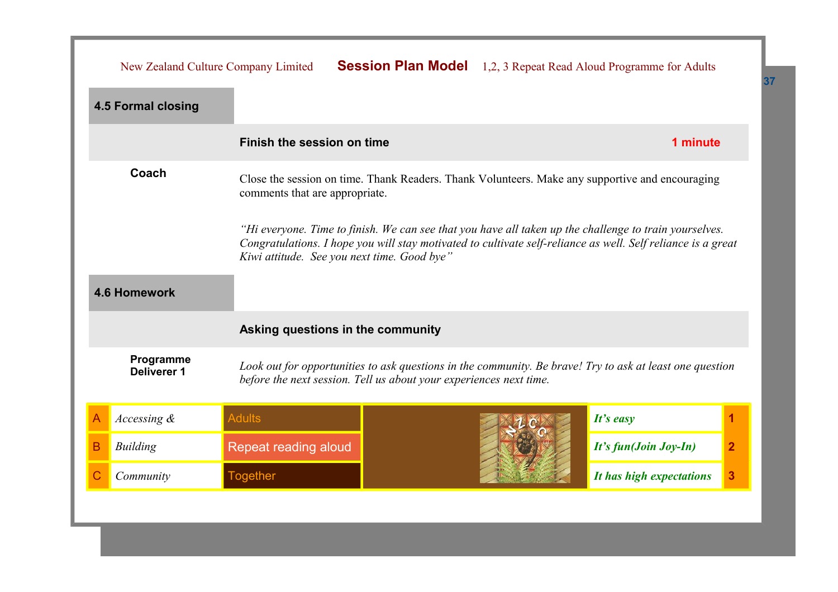|   | New Zealand Culture Company Limited                                                                                                                                                                                                                                   |                                                                    |  |                          | <b>Session Plan Model</b> 1,2, 3 Repeat Read Aloud Programme for Adults                                  |   |
|---|-----------------------------------------------------------------------------------------------------------------------------------------------------------------------------------------------------------------------------------------------------------------------|--------------------------------------------------------------------|--|--------------------------|----------------------------------------------------------------------------------------------------------|---|
|   | <b>4.5 Formal closing</b>                                                                                                                                                                                                                                             |                                                                    |  |                          |                                                                                                          |   |
|   |                                                                                                                                                                                                                                                                       | Finish the session on time                                         |  |                          | 1 minute                                                                                                 |   |
|   | Coach<br>Close the session on time. Thank Readers. Thank Volunteers. Make any supportive and encouraging<br>comments that are appropriate.                                                                                                                            |                                                                    |  |                          |                                                                                                          |   |
|   | "Hi everyone. Time to finish. We can see that you have all taken up the challenge to train yourselves.<br>Congratulations. I hope you will stay motivated to cultivate self-reliance as well. Self reliance is a great<br>Kiwi attitude. See you next time. Good bye" |                                                                    |  |                          |                                                                                                          |   |
|   | <b>4.6 Homework</b>                                                                                                                                                                                                                                                   |                                                                    |  |                          |                                                                                                          |   |
|   |                                                                                                                                                                                                                                                                       | Asking questions in the community                                  |  |                          |                                                                                                          |   |
|   | Programme<br><b>Deliverer 1</b>                                                                                                                                                                                                                                       | before the next session. Tell us about your experiences next time. |  |                          | Look out for opportunities to ask questions in the community. Be brave! Try to ask at least one question |   |
| A | Accessing &                                                                                                                                                                                                                                                           | <b>Adults</b>                                                      |  |                          | It's easy                                                                                                | 1 |
| в | <b>Building</b>                                                                                                                                                                                                                                                       | Repeat reading aloud                                               |  | It's fun(Join Joy-In)    | $\overline{2}$                                                                                           |   |
| С | Community                                                                                                                                                                                                                                                             | <b>Together</b>                                                    |  | It has high expectations | 3                                                                                                        |   |
|   |                                                                                                                                                                                                                                                                       |                                                                    |  |                          |                                                                                                          |   |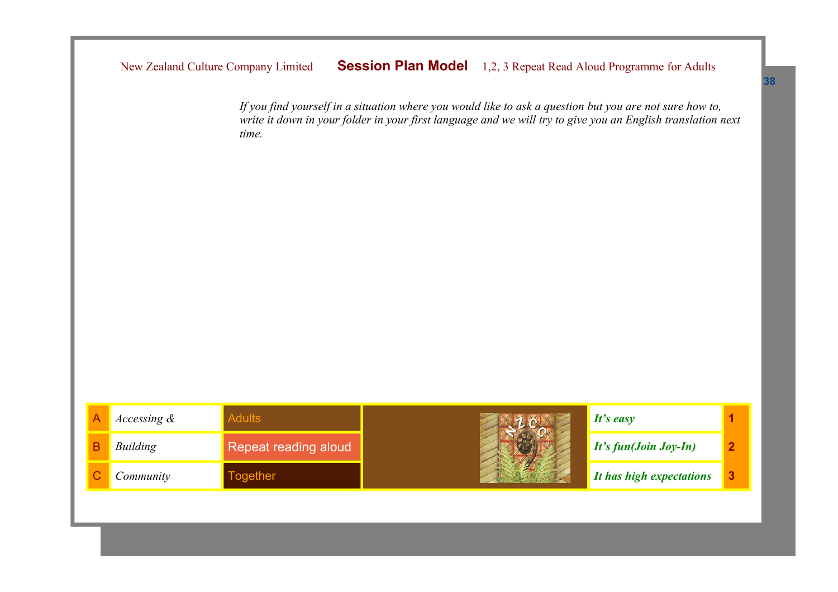New Zealand Culture Company Limited **Session Plan Model** 1,2, 3 Repeat Read Aloud Programme for Adults

*If you find yourself in a situation where you would like to ask a question but you are not sure how to, write it down in your folder in your first language and we will try to give you an English translation next time.*

| Accessing $\&$ |                      | It's easy                |  |
|----------------|----------------------|--------------------------|--|
| Building       | Repeat reading aloud | $It's fun(Join Joy-In)$  |  |
| Community      | ogether              | It has high expectations |  |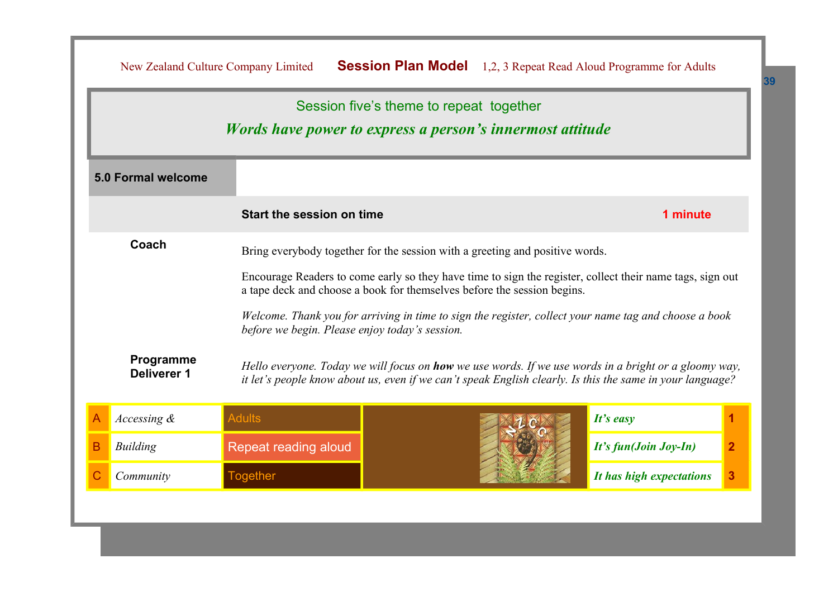| Session five's theme to repeat together |                                 |                                                |                                                                                                                                                                                                                           |                          |                |  |  |
|-----------------------------------------|---------------------------------|------------------------------------------------|---------------------------------------------------------------------------------------------------------------------------------------------------------------------------------------------------------------------------|--------------------------|----------------|--|--|
|                                         |                                 |                                                | <i>Words have power to express a person's innermost attitude</i>                                                                                                                                                          |                          |                |  |  |
|                                         | <b>5.0 Formal welcome</b>       |                                                |                                                                                                                                                                                                                           |                          |                |  |  |
|                                         |                                 | Start the session on time                      |                                                                                                                                                                                                                           | 1 minute                 |                |  |  |
| Coach                                   |                                 |                                                | Bring everybody together for the session with a greeting and positive words.                                                                                                                                              |                          |                |  |  |
|                                         |                                 |                                                | Encourage Readers to come early so they have time to sign the register, collect their name tags, sign out<br>a tape deck and choose a book for themselves before the session begins.                                      |                          |                |  |  |
|                                         |                                 | before we begin. Please enjoy today's session. | Welcome. Thank you for arriving in time to sign the register, collect your name tag and choose a book                                                                                                                     |                          |                |  |  |
|                                         | Programme<br><b>Deliverer 1</b> |                                                | Hello everyone. Today we will focus on <b>how</b> we use words. If we use words in a bright or a gloomy way,<br>it let's people know about us, even if we can't speak English clearly. Is this the same in your language? |                          |                |  |  |
|                                         | Accessing $\&$                  | <b>Adults</b>                                  |                                                                                                                                                                                                                           | $It's$ easy              |                |  |  |
| B                                       | <b>Building</b>                 | <b>Repeat reading aloud</b>                    |                                                                                                                                                                                                                           | It's fun(Join Joy-In)    | $\overline{2}$ |  |  |
|                                         | Community                       | <b>Together</b>                                |                                                                                                                                                                                                                           | It has high expectations | 3              |  |  |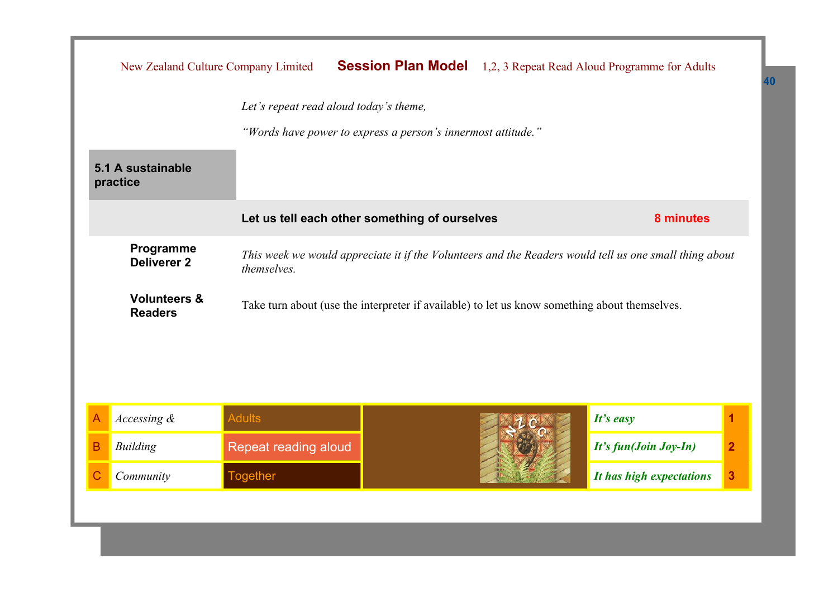|                                                                                                                                                          | New Zealand Culture Company Limited |                                        |                                               |                          | <b>Session Plan Model</b> 1,2, 3 Repeat Read Aloud Programme for Adults |   |
|----------------------------------------------------------------------------------------------------------------------------------------------------------|-------------------------------------|----------------------------------------|-----------------------------------------------|--------------------------|-------------------------------------------------------------------------|---|
|                                                                                                                                                          |                                     | Let's repeat read aloud today's theme, |                                               |                          |                                                                         |   |
| "Words have power to express a person's innermost attitude."                                                                                             |                                     |                                        |                                               |                          |                                                                         |   |
|                                                                                                                                                          | 5.1 A sustainable<br>practice       |                                        |                                               |                          |                                                                         |   |
|                                                                                                                                                          |                                     |                                        | Let us tell each other something of ourselves |                          | 8 minutes                                                               |   |
| Programme<br>This week we would appreciate it if the Volunteers and the Readers would tell us one small thing about<br><b>Deliverer 2</b><br>themselves. |                                     |                                        |                                               |                          |                                                                         |   |
| <b>Volunteers &amp;</b><br>Take turn about (use the interpreter if available) to let us know something about themselves.<br><b>Readers</b>               |                                     |                                        |                                               |                          |                                                                         |   |
|                                                                                                                                                          |                                     |                                        |                                               |                          |                                                                         |   |
|                                                                                                                                                          |                                     |                                        |                                               |                          |                                                                         |   |
|                                                                                                                                                          |                                     |                                        |                                               |                          |                                                                         |   |
| Α                                                                                                                                                        | Accessing $\&$                      | <b>Adults</b>                          |                                               |                          | It's easy                                                               | 1 |
| в                                                                                                                                                        | <b>Building</b>                     | <b>Repeat reading aloud</b>            |                                               | It's fun(Join Joy-In)    | $\overline{2}$                                                          |   |
| С                                                                                                                                                        | Community                           | <b>Together</b>                        |                                               | It has high expectations | 3                                                                       |   |
|                                                                                                                                                          |                                     |                                        |                                               |                          |                                                                         |   |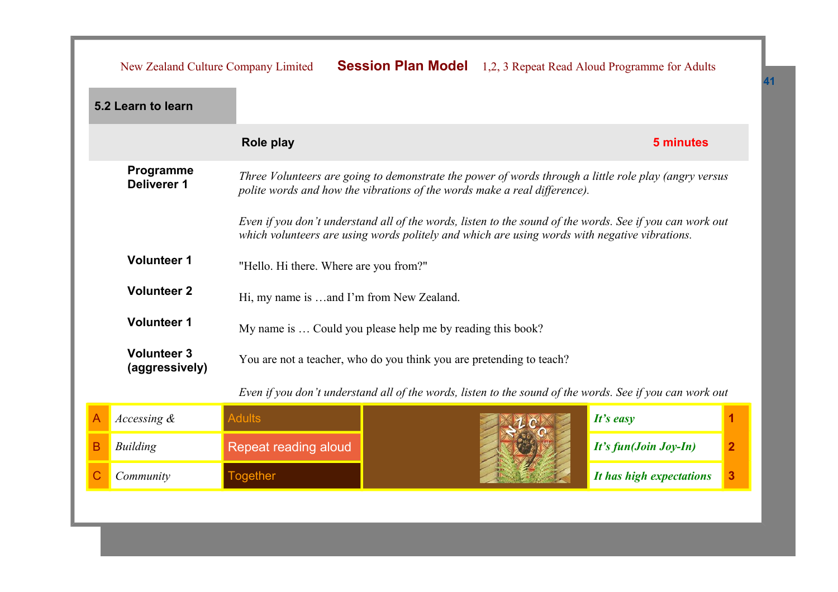|   | New Zealand Culture Company Limited                                                                                                                                                                                   |                                                                      |  |  | <b>Session Plan Model</b> 1,2, 3 Repeat Read Aloud Programme for Adults                                  |                |  |
|---|-----------------------------------------------------------------------------------------------------------------------------------------------------------------------------------------------------------------------|----------------------------------------------------------------------|--|--|----------------------------------------------------------------------------------------------------------|----------------|--|
|   | 5.2 Learn to learn                                                                                                                                                                                                    |                                                                      |  |  |                                                                                                          |                |  |
|   |                                                                                                                                                                                                                       | Role play                                                            |  |  | 5 minutes                                                                                                |                |  |
|   | Programme<br>Three Volunteers are going to demonstrate the power of words through a little role play (angry versus<br><b>Deliverer 1</b><br>polite words and how the vibrations of the words make a real difference). |                                                                      |  |  |                                                                                                          |                |  |
|   | Even if you don't understand all of the words, listen to the sound of the words. See if you can work out<br>which volunteers are using words politely and which are using words with negative vibrations.             |                                                                      |  |  |                                                                                                          |                |  |
|   | <b>Volunteer 1</b><br>"Hello. Hi there. Where are you from?"                                                                                                                                                          |                                                                      |  |  |                                                                                                          |                |  |
|   | <b>Volunteer 2</b>                                                                                                                                                                                                    | Hi, my name is and I'm from New Zealand.                             |  |  |                                                                                                          |                |  |
|   | <b>Volunteer 1</b>                                                                                                                                                                                                    | My name is  Could you please help me by reading this book?           |  |  |                                                                                                          |                |  |
|   | <b>Volunteer 3</b><br>(aggressively)                                                                                                                                                                                  | You are not a teacher, who do you think you are pretending to teach? |  |  |                                                                                                          |                |  |
|   |                                                                                                                                                                                                                       |                                                                      |  |  | Even if you don't understand all of the words, listen to the sound of the words. See if you can work out |                |  |
| A | Accessing &                                                                                                                                                                                                           | <b>Adults</b>                                                        |  |  | It's easy                                                                                                |                |  |
| B | <b>Building</b>                                                                                                                                                                                                       | Repeat reading aloud                                                 |  |  | It's fun(Join Joy-In)                                                                                    | $\overline{2}$ |  |
|   | Community                                                                                                                                                                                                             | <b>Together</b>                                                      |  |  | It has high expectations                                                                                 | 3              |  |
|   |                                                                                                                                                                                                                       |                                                                      |  |  |                                                                                                          |                |  |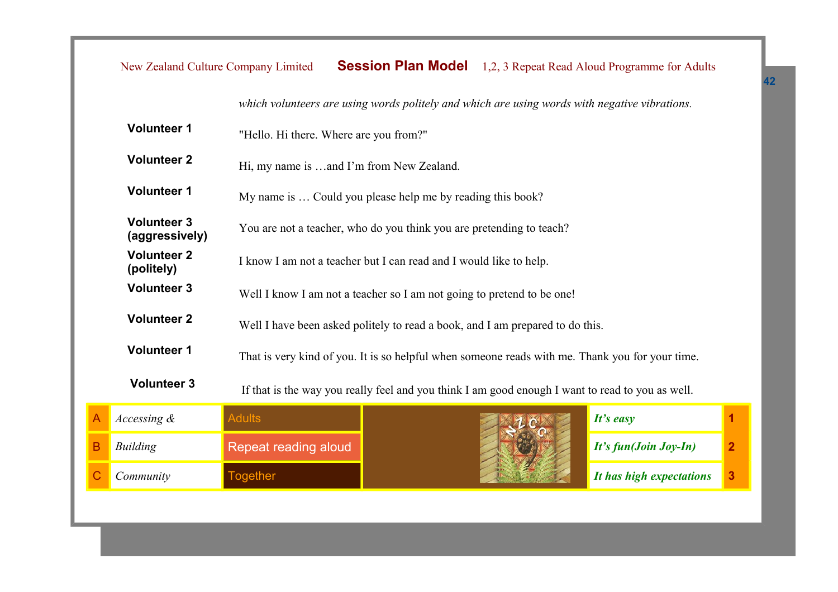|   | New Zealand Culture Company Limited  |                                                                                                  |                                                            |  | <b>Session Plan Model</b> 1,2, 3 Repeat Read Aloud Programme for Adults |                |  |  |
|---|--------------------------------------|--------------------------------------------------------------------------------------------------|------------------------------------------------------------|--|-------------------------------------------------------------------------|----------------|--|--|
|   |                                      | which volunteers are using words politely and which are using words with negative vibrations.    |                                                            |  |                                                                         |                |  |  |
|   | <b>Volunteer 1</b>                   | "Hello. Hi there. Where are you from?"                                                           |                                                            |  |                                                                         |                |  |  |
|   | <b>Volunteer 2</b>                   | Hi, my name is and I'm from New Zealand.                                                         |                                                            |  |                                                                         |                |  |  |
|   | <b>Volunteer 1</b>                   |                                                                                                  | My name is  Could you please help me by reading this book? |  |                                                                         |                |  |  |
|   | <b>Volunteer 3</b><br>(aggressively) | You are not a teacher, who do you think you are pretending to teach?                             |                                                            |  |                                                                         |                |  |  |
|   | <b>Volunteer 2</b><br>(politely)     | I know I am not a teacher but I can read and I would like to help.                               |                                                            |  |                                                                         |                |  |  |
|   | <b>Volunteer 3</b>                   | Well I know I am not a teacher so I am not going to pretend to be one!                           |                                                            |  |                                                                         |                |  |  |
|   | <b>Volunteer 2</b>                   | Well I have been asked politely to read a book, and I am prepared to do this.                    |                                                            |  |                                                                         |                |  |  |
|   | <b>Volunteer 1</b>                   | That is very kind of you. It is so helpful when someone reads with me. Thank you for your time.  |                                                            |  |                                                                         |                |  |  |
|   | <b>Volunteer 3</b>                   | If that is the way you really feel and you think I am good enough I want to read to you as well. |                                                            |  |                                                                         |                |  |  |
| А | Accessing &                          | <b>Adults</b>                                                                                    |                                                            |  | It's easy                                                               |                |  |  |
| B | <b>Building</b>                      | Repeat reading aloud                                                                             |                                                            |  | It's fun(Join Joy-In)                                                   | $\overline{2}$ |  |  |
| Ć | Community                            | <b>Together</b>                                                                                  |                                                            |  | It has high expectations                                                | 3              |  |  |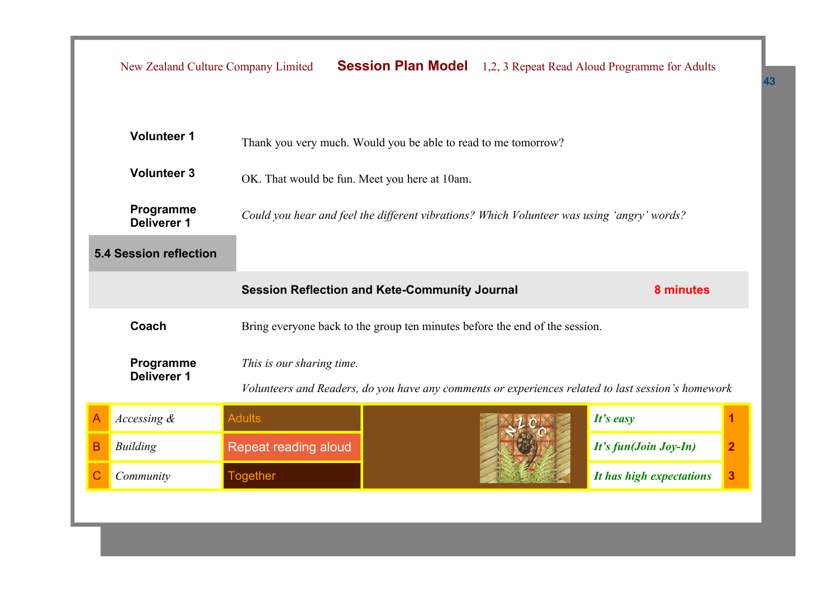|   | New Zealand Culture Company Limited                                                                                                                                                                                                                                                          |                           |                                                                             |                       | <b>Session Plan Model</b> 1,2, 3 Repeat Read Aloud Programme for Adults                            |   |  |
|---|----------------------------------------------------------------------------------------------------------------------------------------------------------------------------------------------------------------------------------------------------------------------------------------------|---------------------------|-----------------------------------------------------------------------------|-----------------------|----------------------------------------------------------------------------------------------------|---|--|
|   | <b>Volunteer 1</b><br>Thank you very much. Would you be able to read to me tomorrow?<br><b>Volunteer 3</b><br>OK. That would be fun. Meet you here at 10am.<br>Programme<br>Could you hear and feel the different vibrations? Which Volunteer was using 'angry' words?<br><b>Deliverer 1</b> |                           |                                                                             |                       |                                                                                                    |   |  |
|   | <b>5.4 Session reflection</b>                                                                                                                                                                                                                                                                |                           |                                                                             |                       |                                                                                                    |   |  |
|   |                                                                                                                                                                                                                                                                                              |                           | <b>Session Reflection and Kete-Community Journal</b>                        |                       | 8 minutes                                                                                          |   |  |
|   | Coach                                                                                                                                                                                                                                                                                        |                           | Bring everyone back to the group ten minutes before the end of the session. |                       |                                                                                                    |   |  |
|   | Programme<br><b>Deliverer 1</b>                                                                                                                                                                                                                                                              | This is our sharing time. |                                                                             |                       | Volunteers and Readers, do you have any comments or experiences related to last session's homework |   |  |
|   | Accessing &                                                                                                                                                                                                                                                                                  | <b>Adults</b>             |                                                                             |                       | It's easy                                                                                          |   |  |
| B | <b>Building</b>                                                                                                                                                                                                                                                                              | Repeat reading aloud      |                                                                             | It's fun(Join Joy-In) | $\overline{2}$                                                                                     |   |  |
| С | Community                                                                                                                                                                                                                                                                                    | <b>Together</b>           |                                                                             |                       | It has high expectations                                                                           | 3 |  |
|   |                                                                                                                                                                                                                                                                                              |                           |                                                                             |                       |                                                                                                    |   |  |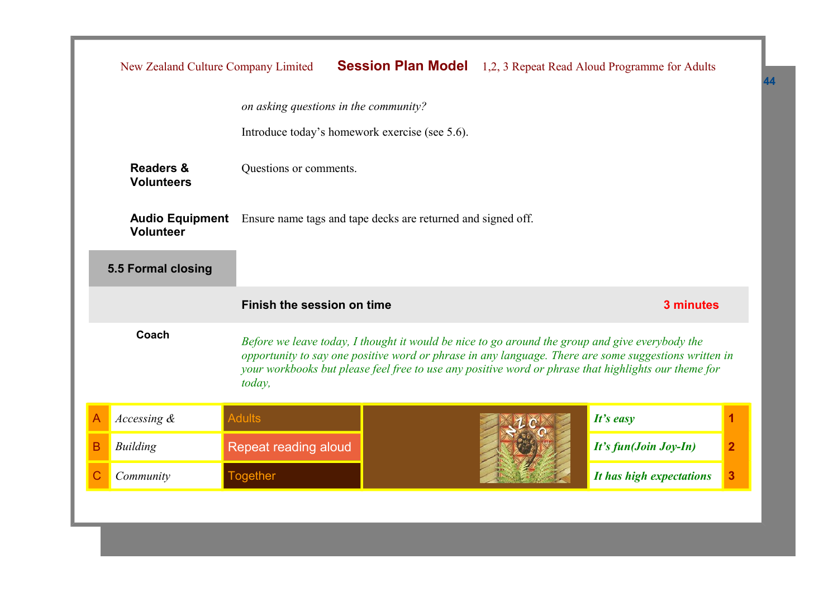|                                                                                                                                                                                                                                                                                                                                     | New Zealand Culture Company Limited                                                                        |                            |  |                       | <b>Session Plan Model</b> 1,2, 3 Repeat Read Aloud Programme for Adults |   |
|-------------------------------------------------------------------------------------------------------------------------------------------------------------------------------------------------------------------------------------------------------------------------------------------------------------------------------------|------------------------------------------------------------------------------------------------------------|----------------------------|--|-----------------------|-------------------------------------------------------------------------|---|
|                                                                                                                                                                                                                                                                                                                                     | on asking questions in the community?                                                                      |                            |  |                       |                                                                         |   |
|                                                                                                                                                                                                                                                                                                                                     | Introduce today's homework exercise (see 5.6).                                                             |                            |  |                       |                                                                         |   |
|                                                                                                                                                                                                                                                                                                                                     | <b>Readers &amp;</b><br>Questions or comments.<br><b>Volunteers</b>                                        |                            |  |                       |                                                                         |   |
|                                                                                                                                                                                                                                                                                                                                     | <b>Audio Equipment</b><br>Ensure name tags and tape decks are returned and signed off.<br><b>Volunteer</b> |                            |  |                       |                                                                         |   |
|                                                                                                                                                                                                                                                                                                                                     | 5.5 Formal closing                                                                                         |                            |  |                       |                                                                         |   |
|                                                                                                                                                                                                                                                                                                                                     |                                                                                                            | Finish the session on time |  |                       | 3 minutes                                                               |   |
| Coach<br>Before we leave today, I thought it would be nice to go around the group and give everybody the<br>opportunity to say one positive word or phrase in any language. There are some suggestions written in<br>your workbooks but please feel free to use any positive word or phrase that highlights our theme for<br>today, |                                                                                                            |                            |  |                       |                                                                         |   |
| Α                                                                                                                                                                                                                                                                                                                                   | Accessing &                                                                                                | <b>Adults</b>              |  |                       | $It's$ easy                                                             | 1 |
| B                                                                                                                                                                                                                                                                                                                                   | <b>Building</b>                                                                                            | Repeat reading aloud       |  | It's fun(Join Joy-In) | $\overline{2}$                                                          |   |
|                                                                                                                                                                                                                                                                                                                                     | Community                                                                                                  | <b>Together</b>            |  |                       | It has high expectations                                                | 3 |
|                                                                                                                                                                                                                                                                                                                                     |                                                                                                            |                            |  |                       |                                                                         |   |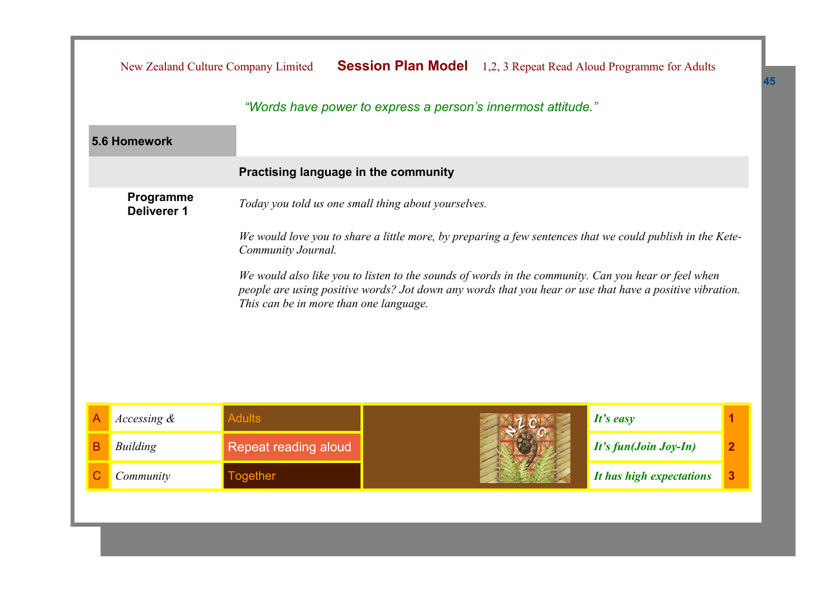|   | New Zealand Culture Company Limited                                                                                                                                                                                                                       |                                                              | <b>Session Plan Model</b> |                       | 1,2, 3 Repeat Read Aloud Programme for Adults |   |  |
|---|-----------------------------------------------------------------------------------------------------------------------------------------------------------------------------------------------------------------------------------------------------------|--------------------------------------------------------------|---------------------------|-----------------------|-----------------------------------------------|---|--|
|   |                                                                                                                                                                                                                                                           | "Words have power to express a person's innermost attitude." |                           |                       |                                               |   |  |
|   | 5.6 Homework                                                                                                                                                                                                                                              |                                                              |                           |                       |                                               |   |  |
|   |                                                                                                                                                                                                                                                           | Practising language in the community                         |                           |                       |                                               |   |  |
|   | Programme<br>Today you told us one small thing about yourselves.<br><b>Deliverer 1</b>                                                                                                                                                                    |                                                              |                           |                       |                                               |   |  |
|   | We would love you to share a little more, by preparing a few sentences that we could publish in the Kete-<br>Community Journal.                                                                                                                           |                                                              |                           |                       |                                               |   |  |
|   | We would also like you to listen to the sounds of words in the community. Can you hear or feel when<br>people are using positive words? Jot down any words that you hear or use that have a positive vibration.<br>This can be in more than one language. |                                                              |                           |                       |                                               |   |  |
| A | Accessing &                                                                                                                                                                                                                                               | <b>Adults</b>                                                |                           |                       | It's easy                                     |   |  |
| Β | <b>Building</b>                                                                                                                                                                                                                                           | <b>Repeat reading aloud</b>                                  |                           | It's fun(Join Joy-In) | $\overline{2}$                                |   |  |
|   | Community                                                                                                                                                                                                                                                 | <b>Together</b>                                              |                           |                       | It has high expectations                      | 3 |  |
|   |                                                                                                                                                                                                                                                           |                                                              |                           |                       |                                               |   |  |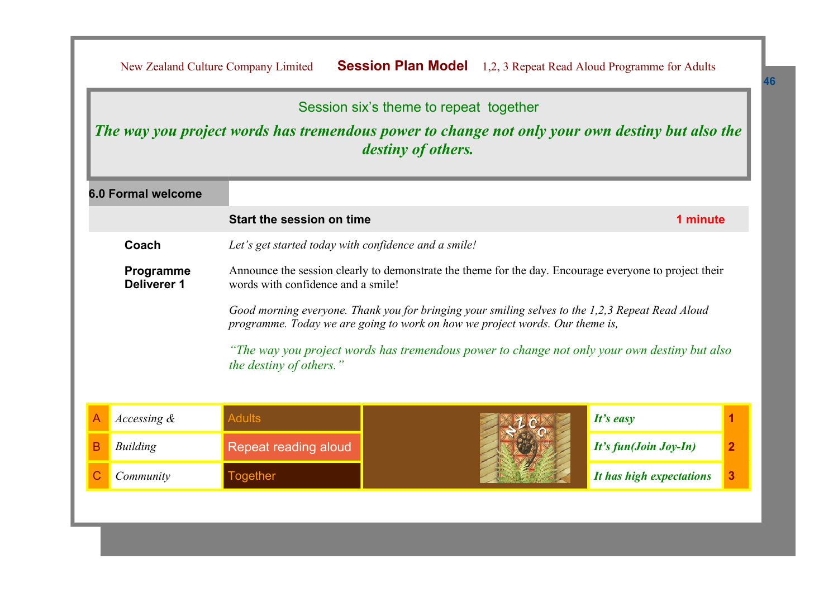| Session six's theme to repeat together<br>The way you project words has tremendous power to change not only your own destiny but also the<br><i>destiny of others.</i>                                                                                                       |                           |                         |                                                                                                                                                                              |                          |              |  |  |
|------------------------------------------------------------------------------------------------------------------------------------------------------------------------------------------------------------------------------------------------------------------------------|---------------------------|-------------------------|------------------------------------------------------------------------------------------------------------------------------------------------------------------------------|--------------------------|--------------|--|--|
|                                                                                                                                                                                                                                                                              | <b>6.0 Formal welcome</b> |                         |                                                                                                                                                                              |                          |              |  |  |
|                                                                                                                                                                                                                                                                              |                           | 1 minute                |                                                                                                                                                                              |                          |              |  |  |
|                                                                                                                                                                                                                                                                              | Coach                     |                         |                                                                                                                                                                              |                          |              |  |  |
| Announce the session clearly to demonstrate the theme for the day. Encourage everyone to project their<br>Programme<br>Deliverer 1<br>words with confidence and a smile!<br>Good morning everyone. Thank you for bringing your smiling selves to the 1,2,3 Repeat Read Aloud |                           |                         |                                                                                                                                                                              |                          |              |  |  |
|                                                                                                                                                                                                                                                                              |                           | the destiny of others." | programme. Today we are going to work on how we project words. Our theme is,<br>"The way you project words has tremendous power to change not only your own destiny but also |                          |              |  |  |
|                                                                                                                                                                                                                                                                              | Accessing &               | <b>Adults</b>           |                                                                                                                                                                              | It's easy                |              |  |  |
| в                                                                                                                                                                                                                                                                            | <b>Building</b>           | Repeat reading aloud    |                                                                                                                                                                              | It's fun(Join Joy-In)    | $\mathbf{2}$ |  |  |
|                                                                                                                                                                                                                                                                              | Community                 | <b>Together</b>         |                                                                                                                                                                              | It has high expectations | 3            |  |  |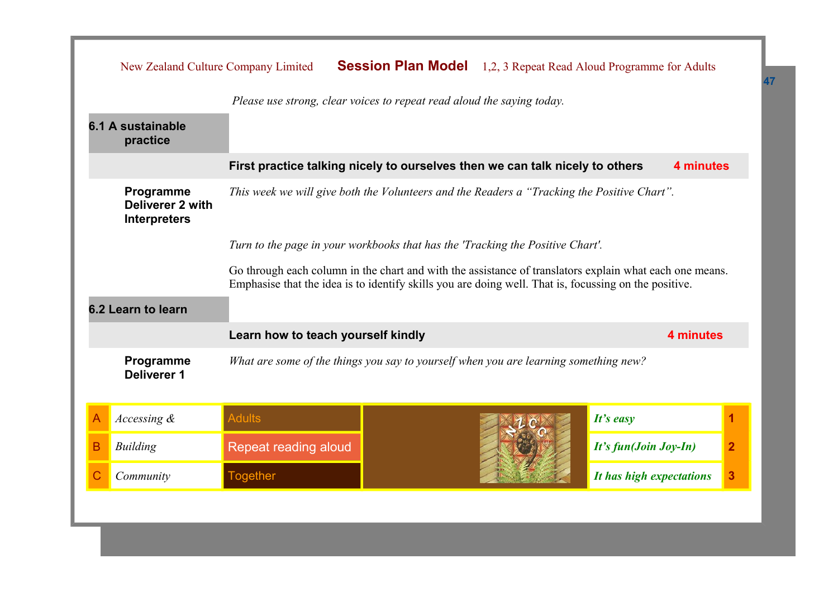|   | New Zealand Culture Company Limited                                                                                                                                                                              |                                                                                      |  |                          | <b>Session Plan Model</b> 1,2, 3 Repeat Read Aloud Programme for Adults |  |  |
|---|------------------------------------------------------------------------------------------------------------------------------------------------------------------------------------------------------------------|--------------------------------------------------------------------------------------|--|--------------------------|-------------------------------------------------------------------------|--|--|
|   | Please use strong, clear voices to repeat read aloud the saying today.                                                                                                                                           |                                                                                      |  |                          |                                                                         |  |  |
|   | 6.1 A sustainable<br>practice                                                                                                                                                                                    |                                                                                      |  |                          |                                                                         |  |  |
|   | First practice talking nicely to ourselves then we can talk nicely to others<br>4 minutes                                                                                                                        |                                                                                      |  |                          |                                                                         |  |  |
|   | This week we will give both the Volunteers and the Readers a "Tracking the Positive Chart".<br>Programme<br>Deliverer 2 with<br><b>Interpreters</b>                                                              |                                                                                      |  |                          |                                                                         |  |  |
|   | Turn to the page in your workbooks that has the 'Tracking the Positive Chart'.                                                                                                                                   |                                                                                      |  |                          |                                                                         |  |  |
|   | Go through each column in the chart and with the assistance of translators explain what each one means.<br>Emphasise that the idea is to identify skills you are doing well. That is, focussing on the positive. |                                                                                      |  |                          |                                                                         |  |  |
|   | 6.2 Learn to learn                                                                                                                                                                                               |                                                                                      |  |                          |                                                                         |  |  |
|   |                                                                                                                                                                                                                  | Learn how to teach yourself kindly                                                   |  |                          | 4 minutes                                                               |  |  |
|   | Programme<br><b>Deliverer 1</b>                                                                                                                                                                                  | What are some of the things you say to yourself when you are learning something new? |  |                          |                                                                         |  |  |
| A | Accessing &                                                                                                                                                                                                      | <b>Adults</b>                                                                        |  |                          | It's easy                                                               |  |  |
| в | <b>Building</b>                                                                                                                                                                                                  | Repeat reading aloud                                                                 |  | It's fun(Join Joy-In)    | $\overline{2}$                                                          |  |  |
| С | Community                                                                                                                                                                                                        | <b>Together</b>                                                                      |  | It has high expectations | 3                                                                       |  |  |
|   |                                                                                                                                                                                                                  |                                                                                      |  |                          |                                                                         |  |  |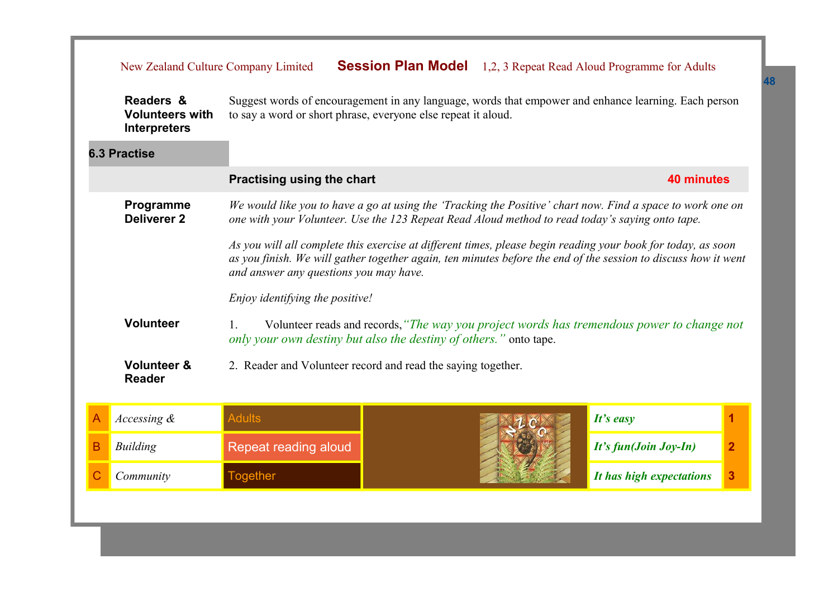|   | New Zealand Culture Company Limited                        |                                                                                                                                                                                                                                                                          |  | <b>Session Plan Model</b> 1,2, 3 Repeat Read Aloud Programme for Adults                    |                |
|---|------------------------------------------------------------|--------------------------------------------------------------------------------------------------------------------------------------------------------------------------------------------------------------------------------------------------------------------------|--|--------------------------------------------------------------------------------------------|----------------|
|   | Readers &<br><b>Volunteers with</b><br><b>Interpreters</b> | Suggest words of encouragement in any language, words that empower and enhance learning. Each person<br>to say a word or short phrase, everyone else repeat it aloud.                                                                                                    |  |                                                                                            |                |
|   | <b>6.3 Practise</b>                                        |                                                                                                                                                                                                                                                                          |  |                                                                                            |                |
|   |                                                            | <b>Practising using the chart</b>                                                                                                                                                                                                                                        |  | <b>40 minutes</b>                                                                          |                |
|   | Programme<br><b>Deliverer 2</b>                            | We would like you to have a go at using the 'Tracking the Positive' chart now. Find a space to work one on<br>one with your Volunteer. Use the 123 Repeat Read Aloud method to read today's saying onto tape.                                                            |  |                                                                                            |                |
|   |                                                            | As you will all complete this exercise at different times, please begin reading your book for today, as soon<br>as you finish. We will gather together again, ten minutes before the end of the session to discuss how it went<br>and answer any questions you may have. |  |                                                                                            |                |
|   |                                                            | Enjoy identifying the positive!                                                                                                                                                                                                                                          |  |                                                                                            |                |
|   | <b>Volunteer</b>                                           | only your own destiny but also the destiny of others." onto tape.                                                                                                                                                                                                        |  | Volunteer reads and records, "The way you project words has tremendous power to change not |                |
|   | <b>Volunteer &amp;</b><br><b>Reader</b>                    | 2. Reader and Volunteer record and read the saying together.                                                                                                                                                                                                             |  |                                                                                            |                |
| A | Accessing &                                                | <b>Adults</b>                                                                                                                                                                                                                                                            |  | It's easy                                                                                  | 1              |
| B | <b>Building</b>                                            | Repeat reading aloud                                                                                                                                                                                                                                                     |  | It's fun(Join Joy-In)                                                                      | $\overline{2}$ |

**C** *Community* **If the** *I* **Together** *I* **is a set of** *It has high expectations* **<b>3**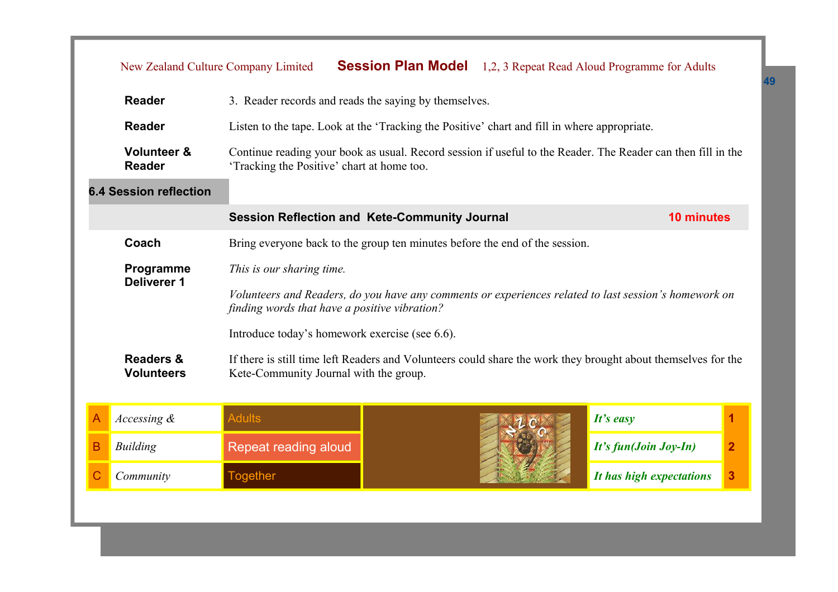|   | New Zealand Culture Company Limited                                                                                                                                                                   |                                                                                              |  |  | <b>Session Plan Model</b> 1,2, 3 Repeat Read Aloud Programme for Adults                                       |                |
|---|-------------------------------------------------------------------------------------------------------------------------------------------------------------------------------------------------------|----------------------------------------------------------------------------------------------|--|--|---------------------------------------------------------------------------------------------------------------|----------------|
|   | <b>Reader</b>                                                                                                                                                                                         | 3. Reader records and reads the saying by themselves.                                        |  |  |                                                                                                               |                |
|   | <b>Reader</b>                                                                                                                                                                                         | Listen to the tape. Look at the 'Tracking the Positive' chart and fill in where appropriate. |  |  |                                                                                                               |                |
|   | <b>Volunteer &amp;</b><br>Continue reading your book as usual. Record session if useful to the Reader. The Reader can then fill in the<br><b>Reader</b><br>'Tracking the Positive' chart at home too. |                                                                                              |  |  |                                                                                                               |                |
|   | <b>6.4 Session reflection</b>                                                                                                                                                                         |                                                                                              |  |  |                                                                                                               |                |
|   |                                                                                                                                                                                                       | <b>Session Reflection and Kete-Community Journal</b>                                         |  |  | <b>10 minutes</b>                                                                                             |                |
|   | Coach                                                                                                                                                                                                 | Bring everyone back to the group ten minutes before the end of the session.                  |  |  |                                                                                                               |                |
|   | Programme<br>Deliverer 1                                                                                                                                                                              | This is our sharing time.                                                                    |  |  |                                                                                                               |                |
|   |                                                                                                                                                                                                       | finding words that have a positive vibration?                                                |  |  | Volunteers and Readers, do you have any comments or experiences related to last session's homework on         |                |
|   |                                                                                                                                                                                                       | Introduce today's homework exercise (see 6.6).                                               |  |  |                                                                                                               |                |
|   | <b>Readers &amp;</b><br><b>Volunteers</b>                                                                                                                                                             | Kete-Community Journal with the group.                                                       |  |  | If there is still time left Readers and Volunteers could share the work they brought about themselves for the |                |
| A | Accessing $\&$                                                                                                                                                                                        | <b>Adults</b>                                                                                |  |  | $It's$ easy                                                                                                   | 1              |
| B | <b>Building</b>                                                                                                                                                                                       | Repeat reading aloud                                                                         |  |  | It's fun(Join Joy-In)                                                                                         | $\overline{2}$ |
| C | Community                                                                                                                                                                                             | <b>Together</b>                                                                              |  |  | It has high expectations                                                                                      | 3              |
|   |                                                                                                                                                                                                       |                                                                                              |  |  |                                                                                                               |                |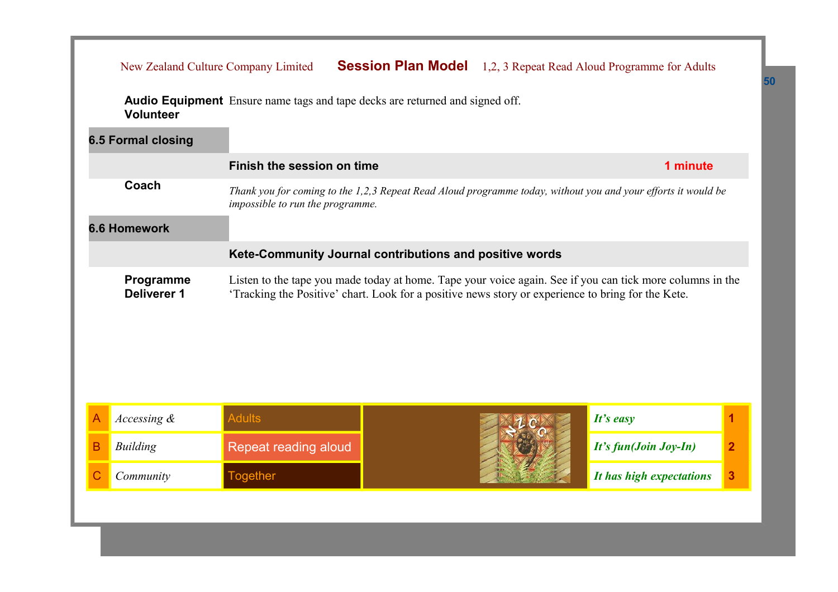|   | <b>Volunteer</b>                |                                  | <b>Audio Equipment</b> Ensure name tags and tape decks are returned and signed off.                                                                                                                             |                       |                |
|---|---------------------------------|----------------------------------|-----------------------------------------------------------------------------------------------------------------------------------------------------------------------------------------------------------------|-----------------------|----------------|
|   | <b>6.5 Formal closing</b>       |                                  |                                                                                                                                                                                                                 |                       |                |
|   |                                 | Finish the session on time       |                                                                                                                                                                                                                 | 1 minute              |                |
|   | Coach                           | impossible to run the programme. | Thank you for coming to the 1,2,3 Repeat Read Aloud programme today, without you and your efforts it would be                                                                                                   |                       |                |
|   | <b>6.6 Homework</b>             |                                  |                                                                                                                                                                                                                 |                       |                |
|   |                                 |                                  | Kete-Community Journal contributions and positive words                                                                                                                                                         |                       |                |
|   | Programme<br><b>Deliverer 1</b> |                                  | Listen to the tape you made today at home. Tape your voice again. See if you can tick more columns in the<br>'Tracking the Positive' chart. Look for a positive news story or experience to bring for the Kete. |                       |                |
|   |                                 |                                  |                                                                                                                                                                                                                 |                       |                |
| A | Accessing &                     | <b>Adults</b>                    |                                                                                                                                                                                                                 | It's easy             | 1              |
| B | <b>Building</b>                 | <b>Repeat reading aloud</b>      |                                                                                                                                                                                                                 | It's fun(Join Joy-In) | $\overline{2}$ |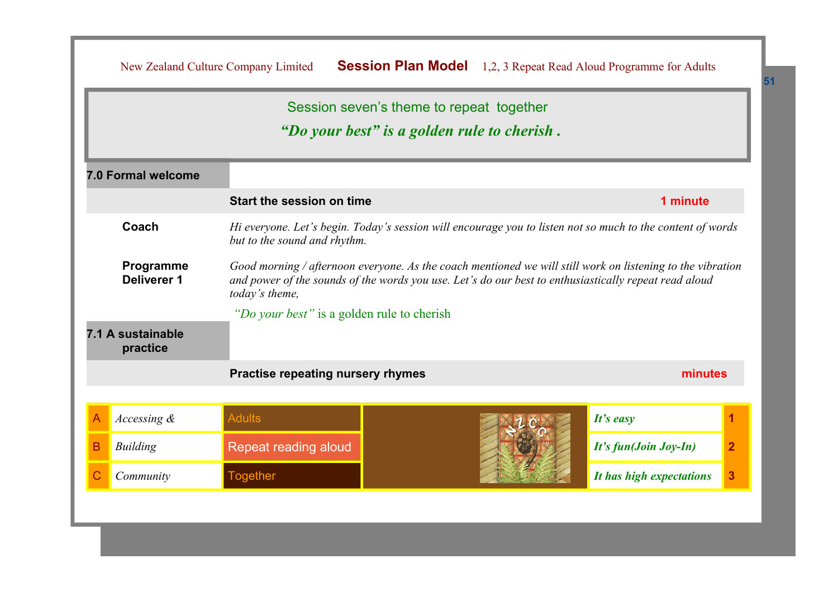|   |                                 | New Zealand Culture Company Limited        | <b>Session Plan Model</b>                                                                                                                                                                                           | 1,2, 3 Repeat Read Aloud Programme for Adults |                |
|---|---------------------------------|--------------------------------------------|---------------------------------------------------------------------------------------------------------------------------------------------------------------------------------------------------------------------|-----------------------------------------------|----------------|
|   |                                 |                                            | Session seven's theme to repeat together<br>"Do your best" is a golden rule to cherish.                                                                                                                             |                                               |                |
|   | 7.0 Formal welcome              |                                            |                                                                                                                                                                                                                     |                                               |                |
|   |                                 | Start the session on time                  |                                                                                                                                                                                                                     | 1 minute                                      |                |
|   | Coach                           | but to the sound and rhythm.               | Hi everyone. Let's begin. Today's session will encourage you to listen not so much to the content of words                                                                                                          |                                               |                |
|   | Programme<br><b>Deliverer 1</b> | today's theme,                             | Good morning / afternoon everyone. As the coach mentioned we will still work on listening to the vibration<br>and power of the sounds of the words you use. Let's do our best to enthusiastically repeat read aloud |                                               |                |
|   | 7.1 A sustainable<br>practice   | "Do your best" is a golden rule to cherish |                                                                                                                                                                                                                     |                                               |                |
|   |                                 | <b>Practise repeating nursery rhymes</b>   |                                                                                                                                                                                                                     | minutes                                       |                |
|   | Accessing &                     | <b>Adults</b>                              |                                                                                                                                                                                                                     | It's easy                                     | 1              |
| B | <b>Building</b>                 | Repeat reading aloud                       |                                                                                                                                                                                                                     | It's fun(Join Joy-In)                         | $\overline{2}$ |
|   | Community                       | <b>Together</b>                            |                                                                                                                                                                                                                     | It has high expectations                      | 3              |
|   |                                 |                                            |                                                                                                                                                                                                                     |                                               |                |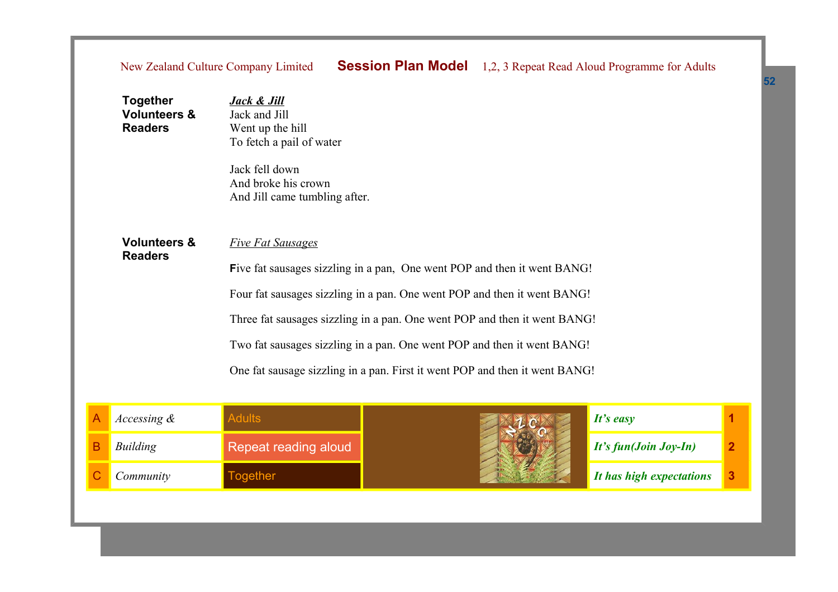## New Zealand Culture Company Limited **Session Plan Model** 1,2, 3 Repeat Read Aloud Programme for Adults

| Together<br><b>Volunteers &amp;</b><br><b>Readers</b> | <b>Jack &amp; Jill</b><br>Jack and Jill<br>Went up the hill<br>To fetch a pail of water<br>Jack fell down<br>And broke his crown<br>And Jill came tumbling after.                                                                                                                                                                                                                                                       |
|-------------------------------------------------------|-------------------------------------------------------------------------------------------------------------------------------------------------------------------------------------------------------------------------------------------------------------------------------------------------------------------------------------------------------------------------------------------------------------------------|
| <b>Volunteers &amp;</b><br><b>Readers</b>             | <b>Five Fat Sausages</b><br>Five fat sausages sizzling in a pan, One went POP and then it went BANG!<br>Four fat sausages sizzling in a pan. One went POP and then it went BANG!<br>Three fat sausages sizzling in a pan. One went POP and then it went BANG!<br>Two fat sausages sizzling in a pan. One went POP and then it went BANG!<br>One fat sausage sizzling in a pan. First it went POP and then it went BANG! |

| <i>Accessing &amp;</i> |                      | It's easy                    |  |
|------------------------|----------------------|------------------------------|--|
| Building               | Repeat reading aloud | $\mid$ It's fun(Join Joy-In) |  |
| Community              | ogether              | It has high expectations     |  |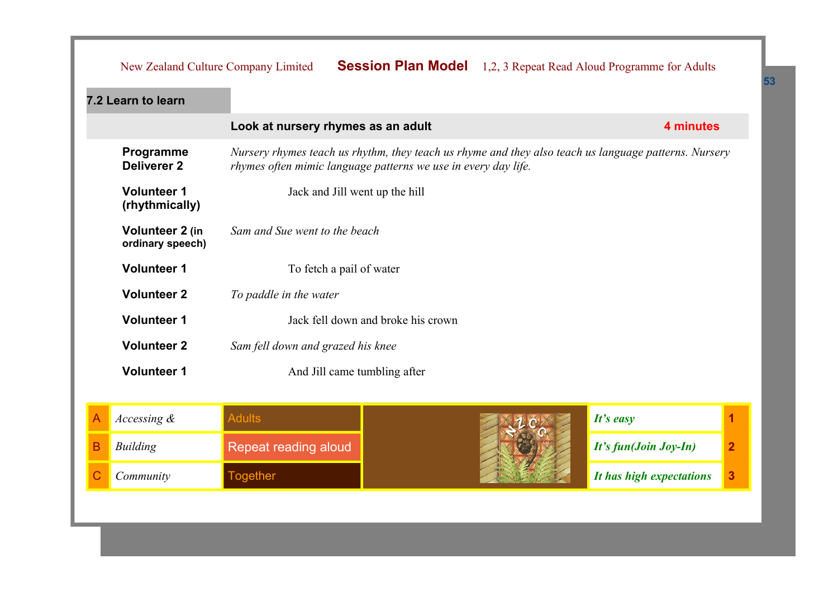|  |  | New Zealand Culture Company Limited <b>Session Plan Model</b> 1,2, 3 Repeat Read Aloud Programme for Adults |
|--|--|-------------------------------------------------------------------------------------------------------------|
|--|--|-------------------------------------------------------------------------------------------------------------|

| 7.2 Learn to learn                   |                                                                                                                                                                                |           |
|--------------------------------------|--------------------------------------------------------------------------------------------------------------------------------------------------------------------------------|-----------|
|                                      | Look at nursery rhymes as an adult                                                                                                                                             | 4 minutes |
| Programme<br><b>Deliverer 2</b>      | Nursery rhymes teach us rhythm, they teach us rhyme and they also teach us language patterns. Nursery<br><i>rhymes often mimic language patterns we use in every day life.</i> |           |
| <b>Volunteer 1</b><br>(rhythmically) | Jack and Jill went up the hill                                                                                                                                                 |           |
| Volunteer 2 (in<br>ordinary speech)  | Sam and Sue went to the beach                                                                                                                                                  |           |
| <b>Volunteer 1</b>                   | To fetch a pail of water                                                                                                                                                       |           |
| <b>Volunteer 2</b>                   | To paddle in the water                                                                                                                                                         |           |
| <b>Volunteer 1</b>                   | Jack fell down and broke his crown                                                                                                                                             |           |
| <b>Volunteer 2</b>                   | Sam fell down and grazed his knee                                                                                                                                              |           |
| <b>Volunteer 1</b>                   | And Jill came tumbling after                                                                                                                                                   |           |
|                                      |                                                                                                                                                                                |           |

| Accessing & |                      | It's easy                    |  |
|-------------|----------------------|------------------------------|--|
| Building    | Repeat reading aloud | $\int$ It's fun(Join Joy-In) |  |
| Community   | ogether              | It has high expectations     |  |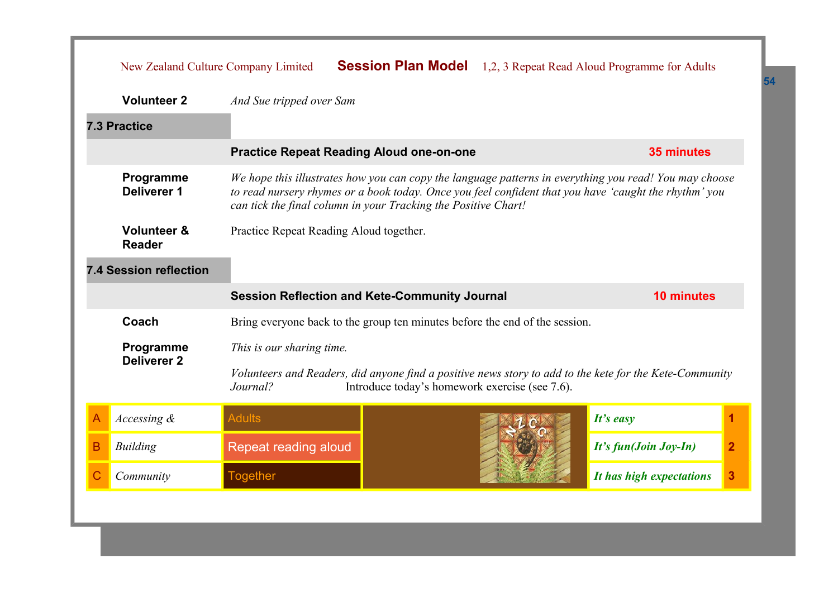|   | New Zealand Culture Company Limited                                                                                                                                                                                                                                                                           |                                                                             |                                                |  | <b>Session Plan Model</b> 1,2, 3 Repeat Read Aloud Programme for Adults                                 |                |
|---|---------------------------------------------------------------------------------------------------------------------------------------------------------------------------------------------------------------------------------------------------------------------------------------------------------------|-----------------------------------------------------------------------------|------------------------------------------------|--|---------------------------------------------------------------------------------------------------------|----------------|
|   | <b>Volunteer 2</b>                                                                                                                                                                                                                                                                                            | And Sue tripped over Sam                                                    |                                                |  |                                                                                                         |                |
|   | <b>7.3 Practice</b>                                                                                                                                                                                                                                                                                           |                                                                             |                                                |  |                                                                                                         |                |
|   |                                                                                                                                                                                                                                                                                                               | <b>Practice Repeat Reading Aloud one-on-one</b>                             |                                                |  | <b>35 minutes</b>                                                                                       |                |
|   | Programme<br>We hope this illustrates how you can copy the language patterns in everything you read! You may choose<br>Deliverer 1<br>to read nursery rhymes or a book today. Once you feel confident that you have 'caught the rhythm' you<br>can tick the final column in your Tracking the Positive Chart! |                                                                             |                                                |  |                                                                                                         |                |
|   | <b>Volunteer &amp;</b><br><b>Reader</b>                                                                                                                                                                                                                                                                       | Practice Repeat Reading Aloud together.                                     |                                                |  |                                                                                                         |                |
|   | <b>7.4 Session reflection</b>                                                                                                                                                                                                                                                                                 |                                                                             |                                                |  |                                                                                                         |                |
|   |                                                                                                                                                                                                                                                                                                               | <b>Session Reflection and Kete-Community Journal</b>                        |                                                |  | <b>10 minutes</b>                                                                                       |                |
|   | Coach                                                                                                                                                                                                                                                                                                         | Bring everyone back to the group ten minutes before the end of the session. |                                                |  |                                                                                                         |                |
|   | Programme                                                                                                                                                                                                                                                                                                     | This is our sharing time.                                                   |                                                |  |                                                                                                         |                |
|   | <b>Deliverer 2</b>                                                                                                                                                                                                                                                                                            | Journal?                                                                    | Introduce today's homework exercise (see 7.6). |  | Volunteers and Readers, did anyone find a positive news story to add to the kete for the Kete-Community |                |
| A | Accessing $\&$                                                                                                                                                                                                                                                                                                | <b>Adults</b>                                                               |                                                |  | It's easy                                                                                               | 1              |
| B | <b>Building</b>                                                                                                                                                                                                                                                                                               | Repeat reading aloud                                                        |                                                |  | It's fun(Join Joy-In)                                                                                   | $\overline{2}$ |
| С | Community                                                                                                                                                                                                                                                                                                     | <b>Together</b>                                                             |                                                |  | It has high expectations                                                                                | 3              |
|   |                                                                                                                                                                                                                                                                                                               |                                                                             |                                                |  |                                                                                                         |                |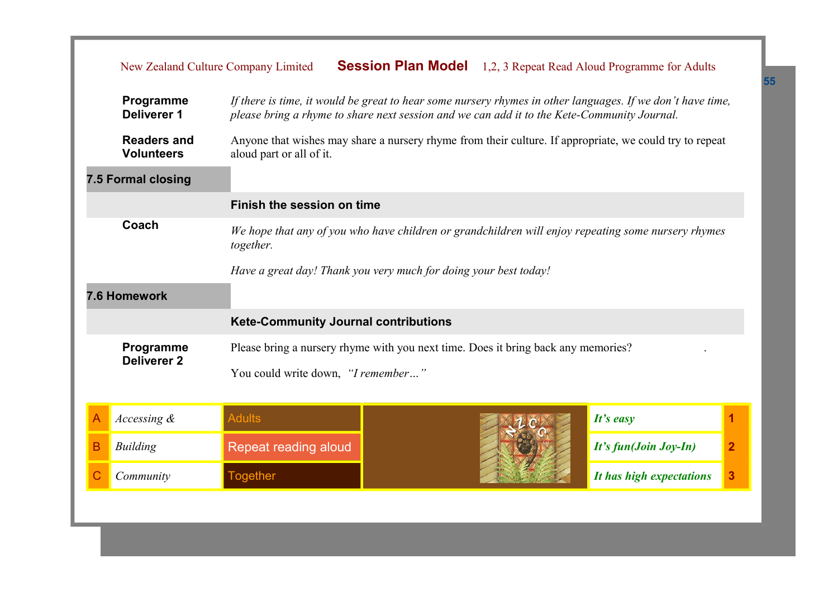|   | New Zealand Culture Company Limited                                                                                       |                                                                                                                                     |  |  | <b>Session Plan Model</b> 1,2, 3 Repeat Read Aloud Programme for Adults                                    |                         |
|---|---------------------------------------------------------------------------------------------------------------------------|-------------------------------------------------------------------------------------------------------------------------------------|--|--|------------------------------------------------------------------------------------------------------------|-------------------------|
|   | Programme<br><b>Deliverer 1</b>                                                                                           | please bring a rhyme to share next session and we can add it to the Kete-Community Journal.                                         |  |  | If there is time, it would be great to hear some nursery rhymes in other languages. If we don't have time, |                         |
|   | <b>Readers and</b><br><b>Volunteers</b>                                                                                   | Anyone that wishes may share a nursery rhyme from their culture. If appropriate, we could try to repeat<br>aloud part or all of it. |  |  |                                                                                                            |                         |
|   | 7.5 Formal closing                                                                                                        |                                                                                                                                     |  |  |                                                                                                            |                         |
|   |                                                                                                                           | Finish the session on time                                                                                                          |  |  |                                                                                                            |                         |
|   | Coach<br>We hope that any of you who have children or grandchildren will enjoy repeating some nursery rhymes<br>together. |                                                                                                                                     |  |  |                                                                                                            |                         |
|   |                                                                                                                           | Have a great day! Thank you very much for doing your best today!                                                                    |  |  |                                                                                                            |                         |
|   | 7.6 Homework                                                                                                              |                                                                                                                                     |  |  |                                                                                                            |                         |
|   |                                                                                                                           | <b>Kete-Community Journal contributions</b>                                                                                         |  |  |                                                                                                            |                         |
|   | Programme<br><b>Deliverer 2</b>                                                                                           | Please bring a nursery rhyme with you next time. Does it bring back any memories?                                                   |  |  |                                                                                                            |                         |
|   |                                                                                                                           | You could write down, "I remember"                                                                                                  |  |  |                                                                                                            |                         |
| A | $Accessing$ &                                                                                                             | <b>Adults</b>                                                                                                                       |  |  | It's easy                                                                                                  | 1                       |
| в | <b>Building</b>                                                                                                           | Repeat reading aloud                                                                                                                |  |  | It's fun(Join Joy-In)                                                                                      | $\overline{\mathbf{2}}$ |
|   | Community                                                                                                                 | <b>Together</b>                                                                                                                     |  |  | It has high expectations                                                                                   | 3                       |
|   |                                                                                                                           |                                                                                                                                     |  |  |                                                                                                            |                         |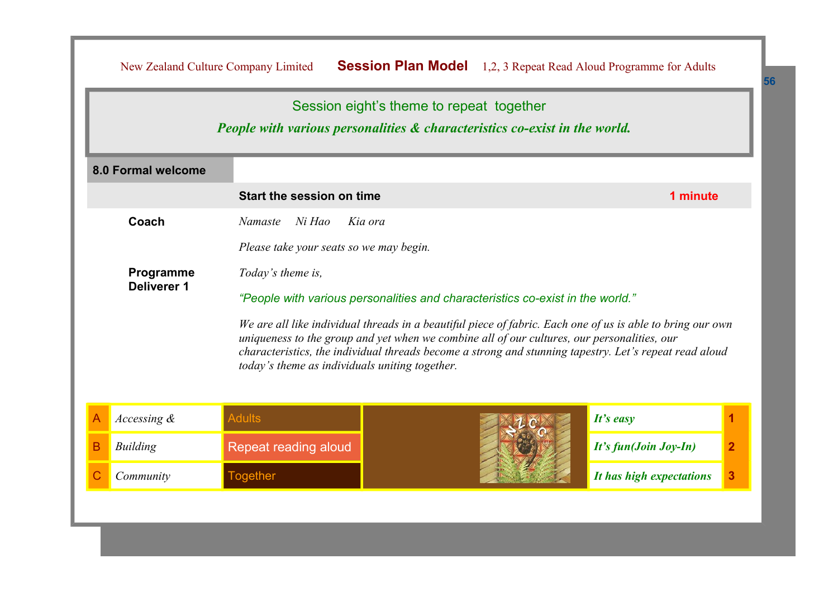|                                 |                                                                                | Session eight's theme to repeat together<br><b>People with various personalities &amp; characteristics co-exist in the world.</b>                                                                                                                                                                                   |                          |  |  |
|---------------------------------|--------------------------------------------------------------------------------|---------------------------------------------------------------------------------------------------------------------------------------------------------------------------------------------------------------------------------------------------------------------------------------------------------------------|--------------------------|--|--|
| <b>8.0 Formal welcome</b>       |                                                                                |                                                                                                                                                                                                                                                                                                                     |                          |  |  |
|                                 | Start the session on time                                                      |                                                                                                                                                                                                                                                                                                                     | 1 minute                 |  |  |
| Coach                           | <b>Namaste</b><br>Ni Hao                                                       | Kia ora                                                                                                                                                                                                                                                                                                             |                          |  |  |
|                                 | Please take your seats so we may begin.                                        |                                                                                                                                                                                                                                                                                                                     |                          |  |  |
| Programme<br><b>Deliverer 1</b> | Today's theme is,                                                              |                                                                                                                                                                                                                                                                                                                     |                          |  |  |
|                                 | "People with various personalities and characteristics co-exist in the world." |                                                                                                                                                                                                                                                                                                                     |                          |  |  |
|                                 | today's theme as individuals uniting together.                                 | We are all like individual threads in a beautiful piece of fabric. Each one of us is able to bring our own<br>uniqueness to the group and yet when we combine all of our cultures, our personalities, our<br>characteristics, the individual threads become a strong and stunning tapestry. Let's repeat read aloud |                          |  |  |
| Accessing $\&$                  | <b>Adults</b>                                                                  |                                                                                                                                                                                                                                                                                                                     | It's easy                |  |  |
| <b>Building</b>                 | Repeat reading aloud                                                           |                                                                                                                                                                                                                                                                                                                     | It's fun(Join Joy-In)    |  |  |
| Community                       | <b>Together</b>                                                                |                                                                                                                                                                                                                                                                                                                     | It has high expectations |  |  |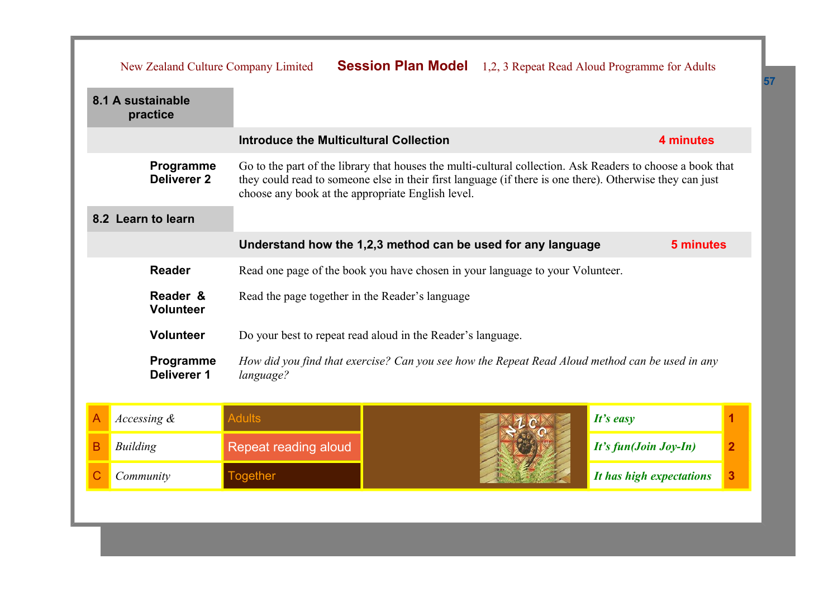|                                                                                                                                          | New Zealand Culture Company Limited                                                                                                                                                                                                                                                                            |                                                             |                                                                           |                       | <b>Session Plan Model</b> 1,2, 3 Repeat Read Aloud Programme for Adults |   |
|------------------------------------------------------------------------------------------------------------------------------------------|----------------------------------------------------------------------------------------------------------------------------------------------------------------------------------------------------------------------------------------------------------------------------------------------------------------|-------------------------------------------------------------|---------------------------------------------------------------------------|-----------------------|-------------------------------------------------------------------------|---|
|                                                                                                                                          | 8.1 A sustainable<br>practice                                                                                                                                                                                                                                                                                  |                                                             |                                                                           |                       |                                                                         |   |
|                                                                                                                                          |                                                                                                                                                                                                                                                                                                                | <b>Introduce the Multicultural Collection</b>               |                                                                           |                       | 4 minutes                                                               |   |
|                                                                                                                                          | Go to the part of the library that houses the multi-cultural collection. Ask Readers to choose a book that<br>Programme<br><b>Deliverer 2</b><br>they could read to someone else in their first language (if there is one there). Otherwise they can just<br>choose any book at the appropriate English level. |                                                             |                                                                           |                       |                                                                         |   |
|                                                                                                                                          | 8.2 Learn to learn                                                                                                                                                                                                                                                                                             |                                                             |                                                                           |                       |                                                                         |   |
|                                                                                                                                          |                                                                                                                                                                                                                                                                                                                |                                                             | Understand how the 1,2,3 method can be used for any language<br>5 minutes |                       |                                                                         |   |
| <b>Reader</b><br>Read one page of the book you have chosen in your language to your Volunteer.                                           |                                                                                                                                                                                                                                                                                                                |                                                             |                                                                           |                       |                                                                         |   |
|                                                                                                                                          | Reader &<br>Read the page together in the Reader's language<br><b>Volunteer</b>                                                                                                                                                                                                                                |                                                             |                                                                           |                       |                                                                         |   |
|                                                                                                                                          | <b>Volunteer</b>                                                                                                                                                                                                                                                                                               | Do your best to repeat read aloud in the Reader's language. |                                                                           |                       |                                                                         |   |
| Programme<br>How did you find that exercise? Can you see how the Repeat Read Aloud method can be used in any<br>Deliverer 1<br>language? |                                                                                                                                                                                                                                                                                                                |                                                             |                                                                           |                       |                                                                         |   |
|                                                                                                                                          | Accessing &                                                                                                                                                                                                                                                                                                    | <b>Adults</b>                                               |                                                                           |                       | It's easy                                                               |   |
| B                                                                                                                                        | <b>Building</b>                                                                                                                                                                                                                                                                                                | Repeat reading aloud                                        |                                                                           | It's fun(Join Joy-In) | $\overline{2}$                                                          |   |
| C                                                                                                                                        | Community                                                                                                                                                                                                                                                                                                      | <b>Together</b>                                             |                                                                           |                       | It has high expectations                                                | 3 |
|                                                                                                                                          |                                                                                                                                                                                                                                                                                                                |                                                             |                                                                           |                       |                                                                         |   |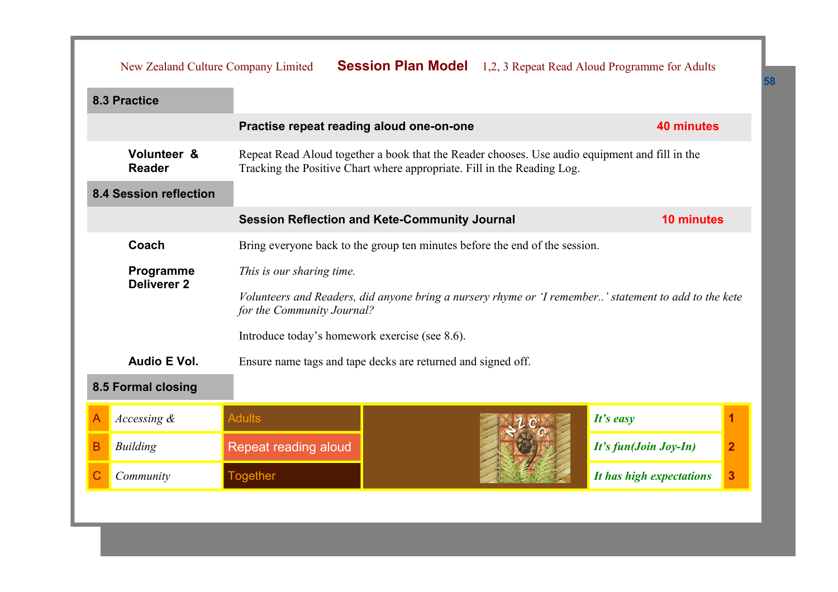|                                                              | New Zealand Culture Company Limited                                                  |                                                              |                                                                                                                                                                           |  | <b>Session Plan Model</b> 1,2, 3 Repeat Read Aloud Programme for Adults                               |                |  |
|--------------------------------------------------------------|--------------------------------------------------------------------------------------|--------------------------------------------------------------|---------------------------------------------------------------------------------------------------------------------------------------------------------------------------|--|-------------------------------------------------------------------------------------------------------|----------------|--|
|                                                              | 8.3 Practice                                                                         |                                                              |                                                                                                                                                                           |  |                                                                                                       |                |  |
|                                                              |                                                                                      | Practise repeat reading aloud one-on-one                     |                                                                                                                                                                           |  | <b>40 minutes</b>                                                                                     |                |  |
|                                                              | Volunteer &<br><b>Reader</b>                                                         |                                                              | Repeat Read Aloud together a book that the Reader chooses. Use audio equipment and fill in the<br>Tracking the Positive Chart where appropriate. Fill in the Reading Log. |  |                                                                                                       |                |  |
|                                                              | <b>8.4 Session reflection</b>                                                        |                                                              |                                                                                                                                                                           |  |                                                                                                       |                |  |
|                                                              |                                                                                      | <b>Session Reflection and Kete-Community Journal</b>         |                                                                                                                                                                           |  | <b>10 minutes</b>                                                                                     |                |  |
|                                                              | Coach<br>Bring everyone back to the group ten minutes before the end of the session. |                                                              |                                                                                                                                                                           |  |                                                                                                       |                |  |
| Programme<br>This is our sharing time.<br><b>Deliverer 2</b> |                                                                                      |                                                              |                                                                                                                                                                           |  |                                                                                                       |                |  |
|                                                              |                                                                                      | for the Community Journal?                                   |                                                                                                                                                                           |  | Volunteers and Readers, did anyone bring a nursery rhyme or 'I remember' statement to add to the kete |                |  |
|                                                              |                                                                                      | Introduce today's homework exercise (see 8.6).               |                                                                                                                                                                           |  |                                                                                                       |                |  |
|                                                              | Audio E Vol.                                                                         | Ensure name tags and tape decks are returned and signed off. |                                                                                                                                                                           |  |                                                                                                       |                |  |
|                                                              | 8.5 Formal closing                                                                   |                                                              |                                                                                                                                                                           |  |                                                                                                       |                |  |
|                                                              | Accessing &                                                                          | <b>Adults</b>                                                |                                                                                                                                                                           |  | It's easy                                                                                             | 1              |  |
| B                                                            | <b>Building</b>                                                                      | Repeat reading aloud                                         |                                                                                                                                                                           |  | It's fun(Join Joy-In)                                                                                 | $\overline{2}$ |  |
| C                                                            | Community                                                                            | <b>Together</b>                                              |                                                                                                                                                                           |  | It has high expectations                                                                              | 3              |  |
|                                                              |                                                                                      |                                                              |                                                                                                                                                                           |  |                                                                                                       |                |  |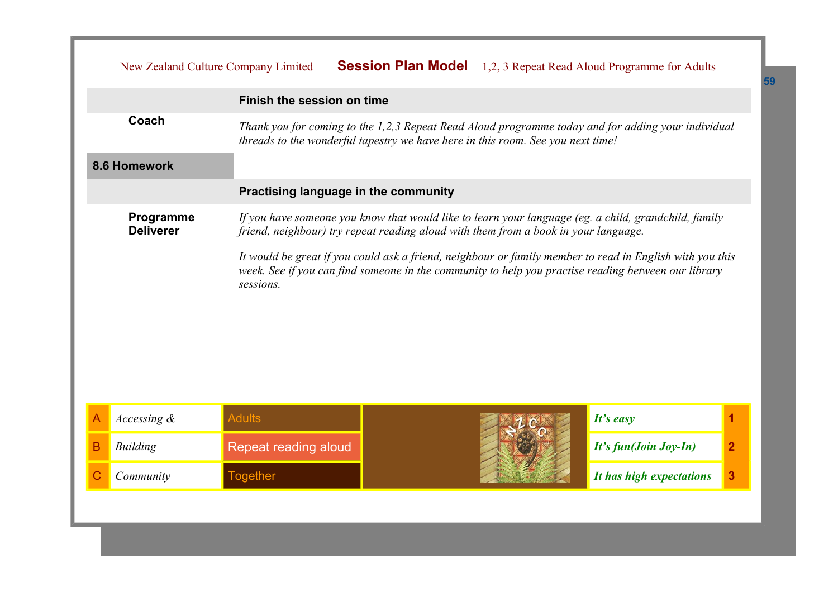|   |                               | New Zealand Culture Company Limited  |                                                                                     | <b>Session Plan Model</b> 1,2, 3 Repeat Read Aloud Programme for Adults                                                                                                                                         |                |
|---|-------------------------------|--------------------------------------|-------------------------------------------------------------------------------------|-----------------------------------------------------------------------------------------------------------------------------------------------------------------------------------------------------------------|----------------|
|   |                               | Finish the session on time           |                                                                                     |                                                                                                                                                                                                                 |                |
|   | Coach                         |                                      | threads to the wonderful tapestry we have here in this room. See you next time!     | Thank you for coming to the 1,2,3 Repeat Read Aloud programme today and for adding your individual                                                                                                              |                |
|   | 8.6 Homework                  |                                      |                                                                                     |                                                                                                                                                                                                                 |                |
|   |                               | Practising language in the community |                                                                                     |                                                                                                                                                                                                                 |                |
|   | Programme<br><b>Deliverer</b> |                                      | friend, neighbour) try repeat reading aloud with them from a book in your language. | If you have someone you know that would like to learn your language (eg. a child, grandchild, family                                                                                                            |                |
|   |                               | sessions.                            |                                                                                     | It would be great if you could ask a friend, neighbour or family member to read in English with you this<br>week. See if you can find someone in the community to help you practise reading between our library |                |
|   | Accessing $\&$                | <b>Adults</b>                        |                                                                                     | It's easy                                                                                                                                                                                                       | 1              |
| в | <b>Building</b>               | Repeat reading aloud                 |                                                                                     |                                                                                                                                                                                                                 | $\overline{2}$ |
|   |                               |                                      |                                                                                     | It's fun(Join Joy-In)                                                                                                                                                                                           |                |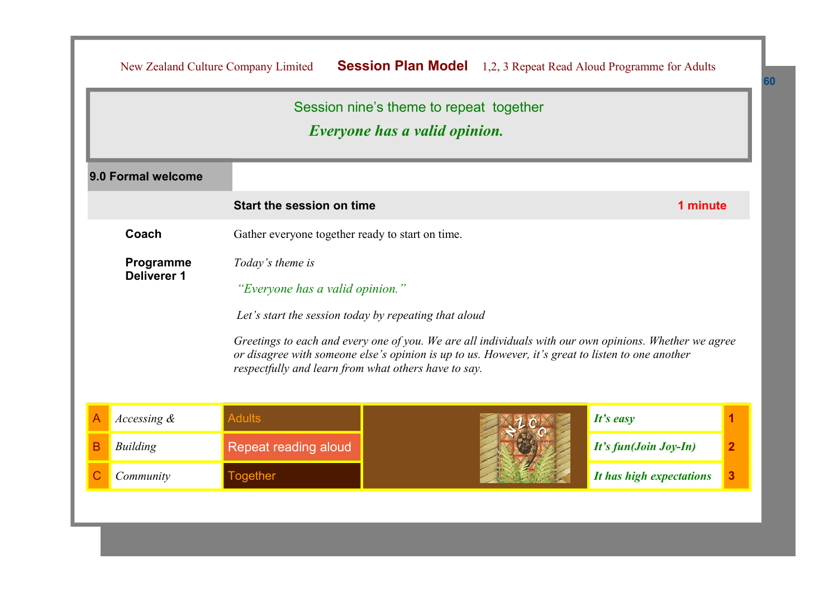|                    |                                                       | Session nine's theme to repeat together<br><i>Everyone has a valid opinion.</i>                                                                                                                             |                                         |  |  |
|--------------------|-------------------------------------------------------|-------------------------------------------------------------------------------------------------------------------------------------------------------------------------------------------------------------|-----------------------------------------|--|--|
| 9.0 Formal welcome |                                                       |                                                                                                                                                                                                             |                                         |  |  |
|                    | Start the session on time                             |                                                                                                                                                                                                             | 1 minute                                |  |  |
| Coach              | Gather everyone together ready to start on time.      |                                                                                                                                                                                                             |                                         |  |  |
| Programme          | Today's theme is                                      |                                                                                                                                                                                                             |                                         |  |  |
| Deliverer 1        | "Everyone has a valid opinion."                       |                                                                                                                                                                                                             |                                         |  |  |
|                    | Let's start the session today by repeating that aloud |                                                                                                                                                                                                             |                                         |  |  |
|                    | respectfully and learn from what others have to say.  | Greetings to each and every one of you. We are all individuals with our own opinions. Whether we agree<br>or disagree with someone else's opinion is up to us. However, it's great to listen to one another |                                         |  |  |
| Accessing &        | <b>Adults</b>                                         |                                                                                                                                                                                                             | It's easy                               |  |  |
| <b>Building</b>    | Repeat reading aloud                                  |                                                                                                                                                                                                             | It's fun(Join Joy-In)<br>$\overline{2}$ |  |  |
| Community          | <b>Together</b>                                       |                                                                                                                                                                                                             | It has high expectations<br>3           |  |  |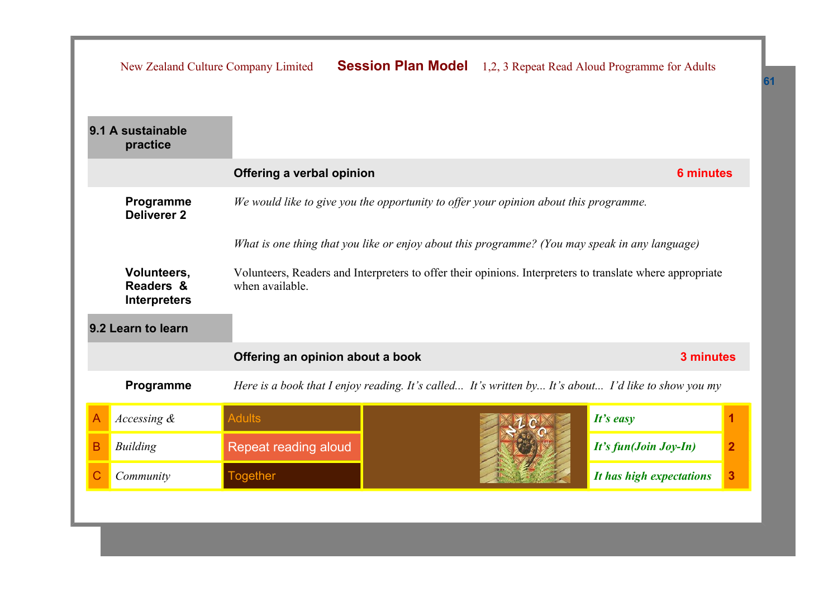|   |                                                                                                | New Zealand Culture Company Limited                                                   |  |  | <b>Session Plan Model</b> 1,2, 3 Repeat Read Aloud Programme for Adults                                   |                |
|---|------------------------------------------------------------------------------------------------|---------------------------------------------------------------------------------------|--|--|-----------------------------------------------------------------------------------------------------------|----------------|
|   | 9.1 A sustainable<br>practice                                                                  |                                                                                       |  |  |                                                                                                           |                |
|   |                                                                                                | Offering a verbal opinion                                                             |  |  | <b>6 minutes</b>                                                                                          |                |
|   | Programme<br><b>Deliverer 2</b>                                                                | We would like to give you the opportunity to offer your opinion about this programme. |  |  |                                                                                                           |                |
|   | What is one thing that you like or enjoy about this programme? (You may speak in any language) |                                                                                       |  |  |                                                                                                           |                |
|   | Volunteers,<br>Readers &<br><b>Interpreters</b>                                                | when available.                                                                       |  |  | Volunteers, Readers and Interpreters to offer their opinions. Interpreters to translate where appropriate |                |
|   | 9.2 Learn to learn                                                                             |                                                                                       |  |  |                                                                                                           |                |
|   |                                                                                                | Offering an opinion about a book                                                      |  |  | 3 minutes                                                                                                 |                |
|   | Programme                                                                                      |                                                                                       |  |  | Here is a book that I enjoy reading. It's called It's written by It's about I'd like to show you my       |                |
|   | Accessing $\&$                                                                                 | <b>Adults</b>                                                                         |  |  | It's easy                                                                                                 |                |
| B | <b>Building</b>                                                                                | Repeat reading aloud                                                                  |  |  | It's fun(Join Joy-In)                                                                                     | $\overline{2}$ |
|   | Community                                                                                      | <b>Together</b>                                                                       |  |  | It has high expectations                                                                                  | 3              |
|   |                                                                                                |                                                                                       |  |  |                                                                                                           |                |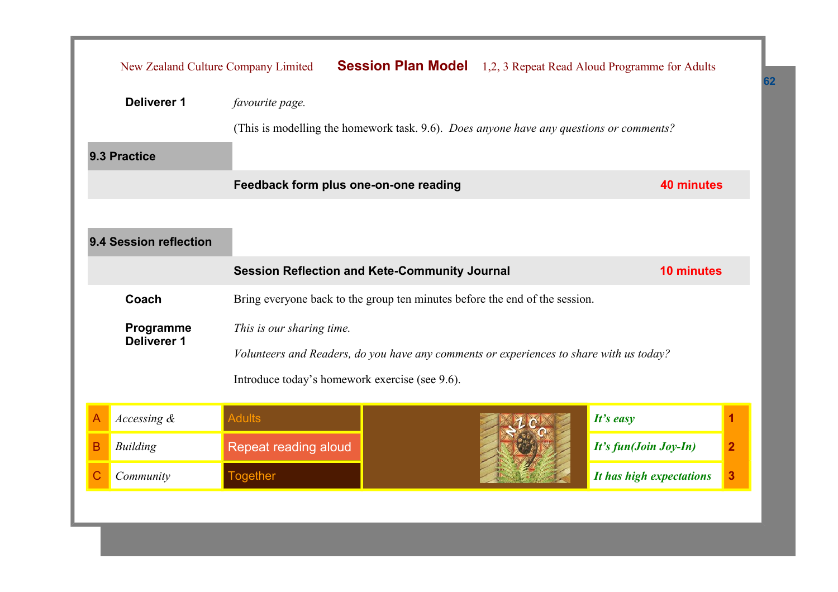|   | New Zealand Culture Company Limited                                                                                                                                                                       |                                                                                                            |  |                       | <b>Session Plan Model</b> 1,2, 3 Repeat Read Aloud Programme for Adults |   |
|---|-----------------------------------------------------------------------------------------------------------------------------------------------------------------------------------------------------------|------------------------------------------------------------------------------------------------------------|--|-----------------------|-------------------------------------------------------------------------|---|
|   | <b>Deliverer 1</b>                                                                                                                                                                                        | favourite page.<br>(This is modelling the homework task. 9.6). Does anyone have any questions or comments? |  |                       |                                                                         |   |
|   | 9.3 Practice                                                                                                                                                                                              |                                                                                                            |  |                       |                                                                         |   |
|   |                                                                                                                                                                                                           | Feedback form plus one-on-one reading                                                                      |  |                       | 40 minutes                                                              |   |
|   | 9.4 Session reflection                                                                                                                                                                                    |                                                                                                            |  |                       |                                                                         |   |
|   | <b>Session Reflection and Kete-Community Journal</b><br><b>10 minutes</b>                                                                                                                                 |                                                                                                            |  |                       |                                                                         |   |
|   | Coach                                                                                                                                                                                                     | Bring everyone back to the group ten minutes before the end of the session.                                |  |                       |                                                                         |   |
|   | Programme<br>This is our sharing time.<br><b>Deliverer 1</b><br>Volunteers and Readers, do you have any comments or experiences to share with us today?<br>Introduce today's homework exercise (see 9.6). |                                                                                                            |  |                       |                                                                         |   |
| A | Accessing &                                                                                                                                                                                               | <b>Adults</b>                                                                                              |  |                       | It's easy                                                               | 1 |
| B | <b>Building</b>                                                                                                                                                                                           | Repeat reading aloud                                                                                       |  | It's fun(Join Joy-In) | $\overline{2}$                                                          |   |
| С | Community                                                                                                                                                                                                 | <b>Together</b>                                                                                            |  |                       | It has high expectations                                                | 3 |
|   |                                                                                                                                                                                                           |                                                                                                            |  |                       |                                                                         |   |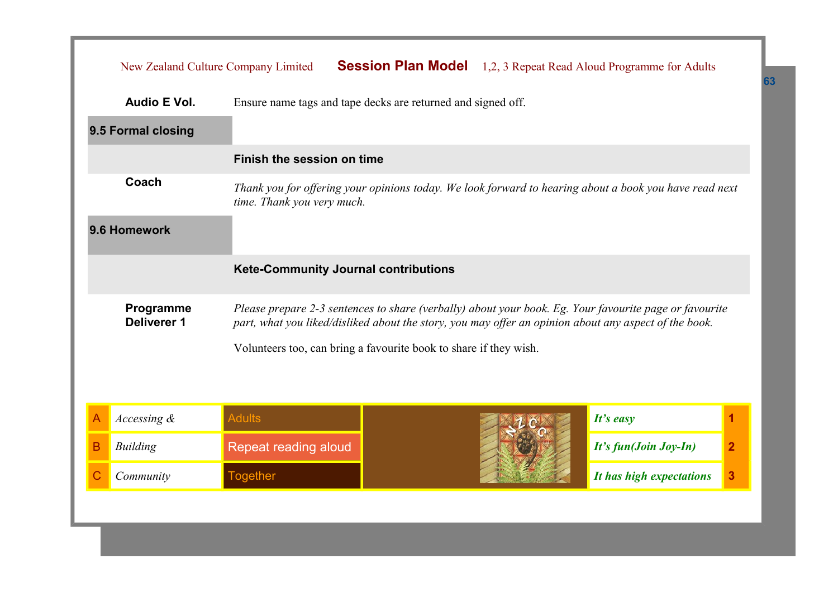|   | New Zealand Culture Company Limited         |                                                                                                       |  |                       | <b>Session Plan Model</b> 1,2, 3 Repeat Read Aloud Programme for Adults                                |   |
|---|---------------------------------------------|-------------------------------------------------------------------------------------------------------|--|-----------------------|--------------------------------------------------------------------------------------------------------|---|
|   | Audio E Vol.                                | Ensure name tags and tape decks are returned and signed off.                                          |  |                       |                                                                                                        |   |
|   | 9.5 Formal closing                          |                                                                                                       |  |                       |                                                                                                        |   |
|   |                                             | Finish the session on time                                                                            |  |                       |                                                                                                        |   |
|   | Coach                                       | time. Thank you very much.                                                                            |  |                       | Thank you for offering your opinions today. We look forward to hearing about a book you have read next |   |
|   | 9.6 Homework                                |                                                                                                       |  |                       |                                                                                                        |   |
|   | <b>Kete-Community Journal contributions</b> |                                                                                                       |  |                       |                                                                                                        |   |
|   | Programme<br>Deliverer 1                    | part, what you liked/disliked about the story, you may offer an opinion about any aspect of the book. |  |                       | Please prepare 2-3 sentences to share (verbally) about your book. Eg. Your favourite page or favourite |   |
|   |                                             | Volunteers too, can bring a favourite book to share if they wish.                                     |  |                       |                                                                                                        |   |
|   |                                             |                                                                                                       |  |                       |                                                                                                        |   |
|   | Accessing $\&$                              | <b>Adults</b>                                                                                         |  |                       | It's easy                                                                                              | 1 |
| В | <b>Building</b>                             | Repeat reading aloud                                                                                  |  | It's fun(Join Joy-In) | $\mathbf{2}$                                                                                           |   |
|   | Community                                   | <b>Together</b>                                                                                       |  |                       | It has high expectations                                                                               | 3 |
|   |                                             |                                                                                                       |  |                       |                                                                                                        |   |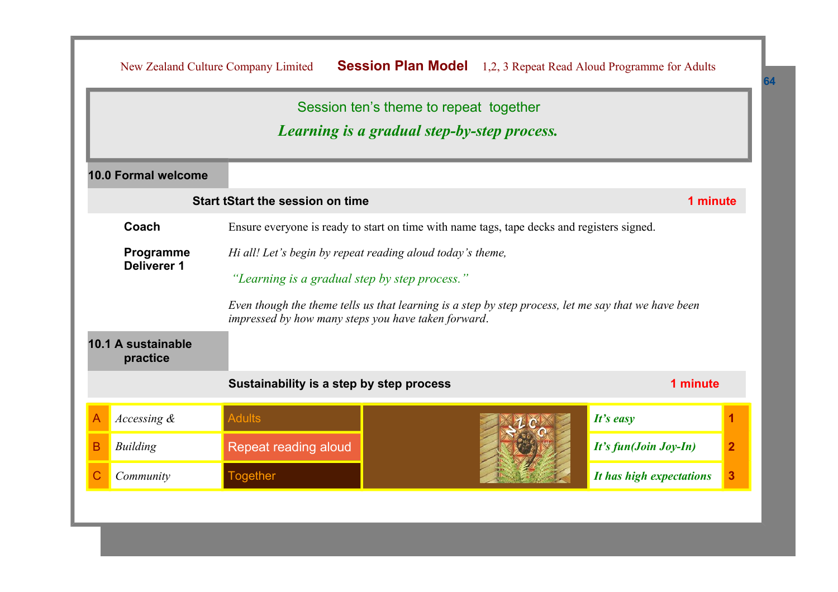|                                                                                        | New Zealand Culture Company Limited                 | <b>Session Plan Model</b> 1,2, 3 Repeat Read Aloud Programme for Adults                              |                                         |  |  |
|----------------------------------------------------------------------------------------|-----------------------------------------------------|------------------------------------------------------------------------------------------------------|-----------------------------------------|--|--|
|                                                                                        |                                                     | Session ten's theme to repeat together                                                               |                                         |  |  |
|                                                                                        |                                                     | Learning is a gradual step-by-step process.                                                          |                                         |  |  |
| 10.0 Formal welcome                                                                    |                                                     |                                                                                                      |                                         |  |  |
|                                                                                        | <b>Start tStart the session on time</b>             |                                                                                                      | 1 minute                                |  |  |
| Coach                                                                                  |                                                     | Ensure everyone is ready to start on time with name tags, tape decks and registers signed.           |                                         |  |  |
| Programme<br>Hi all! Let's begin by repeat reading aloud today's theme,<br>Deliverer 1 |                                                     |                                                                                                      |                                         |  |  |
|                                                                                        | "Learning is a gradual step by step process."       |                                                                                                      |                                         |  |  |
|                                                                                        | impressed by how many steps you have taken forward. | Even though the theme tells us that learning is a step by step process, let me say that we have been |                                         |  |  |
| 10.1 A sustainable<br>practice                                                         |                                                     |                                                                                                      |                                         |  |  |
|                                                                                        | Sustainability is a step by step process            |                                                                                                      | 1 minute                                |  |  |
| Accessing &<br>А                                                                       | <b>Adults</b>                                       |                                                                                                      | It's easy<br>1                          |  |  |
| <b>Building</b><br>В                                                                   | Repeat reading aloud                                |                                                                                                      | $\overline{2}$<br>It's fun(Join Joy-In) |  |  |
| Community                                                                              | <b>Together</b>                                     |                                                                                                      | 3<br>It has high expectations           |  |  |
|                                                                                        |                                                     |                                                                                                      |                                         |  |  |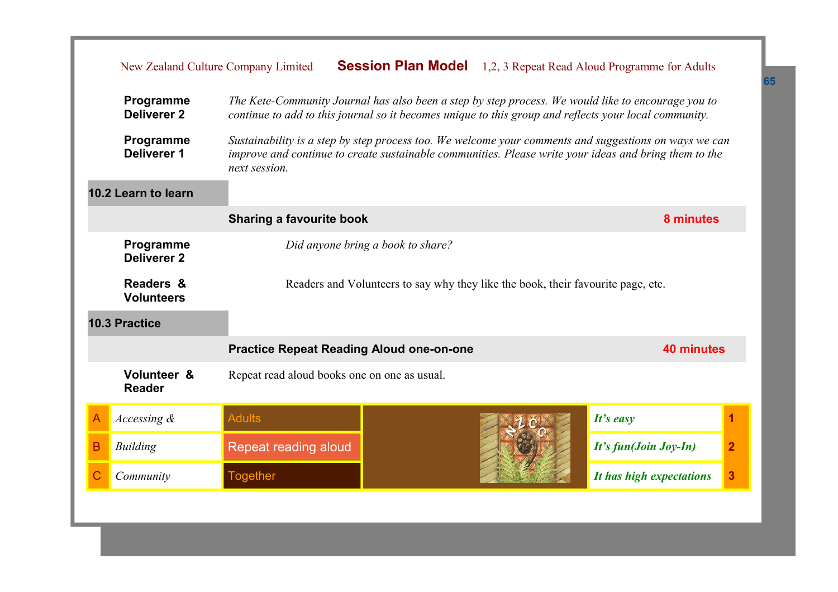|   |                                                                                                                    | New Zealand Culture Company Limited                                                                                                                                                                         |                                                                                                                                                                                                                |  | <b>Session Plan Model</b> 1,2, 3 Repeat Read Aloud Programme for Adults |                |  |
|---|--------------------------------------------------------------------------------------------------------------------|-------------------------------------------------------------------------------------------------------------------------------------------------------------------------------------------------------------|----------------------------------------------------------------------------------------------------------------------------------------------------------------------------------------------------------------|--|-------------------------------------------------------------------------|----------------|--|
|   | Programme<br><b>Deliverer 2</b>                                                                                    | The Kete-Community Journal has also been a step by step process. We would like to encourage you to<br>continue to add to this journal so it becomes unique to this group and reflects your local community. |                                                                                                                                                                                                                |  |                                                                         |                |  |
|   | Programme<br><b>Deliverer 1</b>                                                                                    | next session.                                                                                                                                                                                               | Sustainability is a step by step process too. We welcome your comments and suggestions on ways we can<br>improve and continue to create sustainable communities. Please write your ideas and bring them to the |  |                                                                         |                |  |
|   | 10.2 Learn to learn                                                                                                |                                                                                                                                                                                                             |                                                                                                                                                                                                                |  |                                                                         |                |  |
|   |                                                                                                                    | <b>Sharing a favourite book</b>                                                                                                                                                                             |                                                                                                                                                                                                                |  | 8 minutes                                                               |                |  |
|   | Programme<br><b>Deliverer 2</b>                                                                                    |                                                                                                                                                                                                             | Did anyone bring a book to share?                                                                                                                                                                              |  |                                                                         |                |  |
|   | Readers &<br>Readers and Volunteers to say why they like the book, their favourite page, etc.<br><b>Volunteers</b> |                                                                                                                                                                                                             |                                                                                                                                                                                                                |  |                                                                         |                |  |
|   | <b>10.3 Practice</b>                                                                                               |                                                                                                                                                                                                             |                                                                                                                                                                                                                |  |                                                                         |                |  |
|   |                                                                                                                    | <b>Practice Repeat Reading Aloud one-on-one</b>                                                                                                                                                             |                                                                                                                                                                                                                |  | <b>40 minutes</b>                                                       |                |  |
|   | Volunteer &<br><b>Reader</b>                                                                                       | Repeat read aloud books one on one as usual.                                                                                                                                                                |                                                                                                                                                                                                                |  |                                                                         |                |  |
| A | Accessing $\&$                                                                                                     | <b>Adults</b>                                                                                                                                                                                               |                                                                                                                                                                                                                |  | It's easy                                                               |                |  |
| B | <b>Building</b>                                                                                                    | Repeat reading aloud                                                                                                                                                                                        |                                                                                                                                                                                                                |  | It's fun(Join Joy-In)                                                   | $\overline{2}$ |  |
| C | Community                                                                                                          | <b>Together</b>                                                                                                                                                                                             |                                                                                                                                                                                                                |  | It has high expectations                                                | 3              |  |
|   |                                                                                                                    |                                                                                                                                                                                                             |                                                                                                                                                                                                                |  |                                                                         |                |  |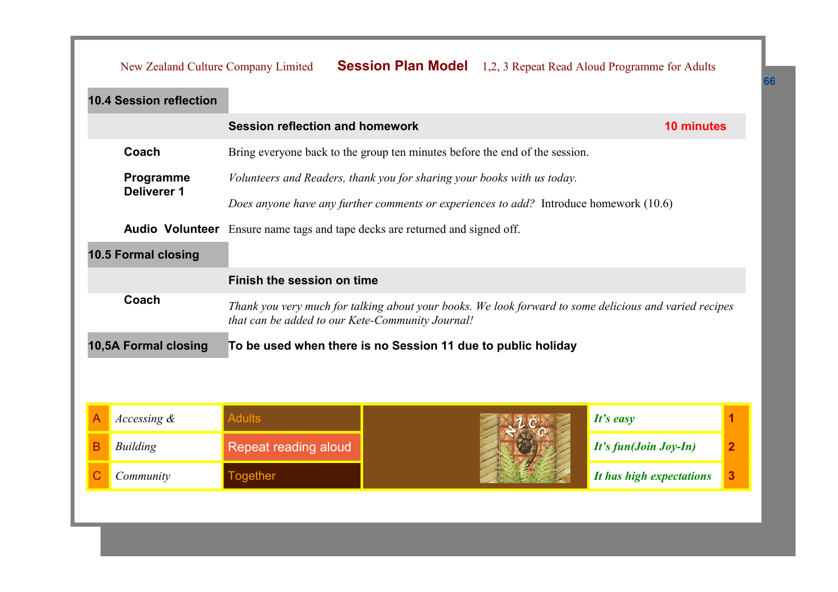|   | New Zealand Culture Company Limited                                                                 |                                        | <b>Session Plan Model</b> 1,2, 3 Repeat Read Aloud Programme for Adults                                                                                    |  |                          |                |
|---|-----------------------------------------------------------------------------------------------------|----------------------------------------|------------------------------------------------------------------------------------------------------------------------------------------------------------|--|--------------------------|----------------|
|   | <b>10.4 Session reflection</b>                                                                      |                                        |                                                                                                                                                            |  |                          |                |
|   |                                                                                                     | <b>Session reflection and homework</b> |                                                                                                                                                            |  | <b>10 minutes</b>        |                |
|   | Coach                                                                                               |                                        | Bring everyone back to the group ten minutes before the end of the session.                                                                                |  |                          |                |
|   | Programme<br>Volunteers and Readers, thank you for sharing your books with us today.<br>Deliverer 1 |                                        |                                                                                                                                                            |  |                          |                |
|   |                                                                                                     |                                        | Does anyone have any further comments or experiences to add? Introduce homework (10.6)                                                                     |  |                          |                |
|   | <b>Audio Volunteer</b>                                                                              |                                        | Ensure name tags and tape decks are returned and signed off.                                                                                               |  |                          |                |
|   | 10.5 Formal closing                                                                                 |                                        |                                                                                                                                                            |  |                          |                |
|   |                                                                                                     | Finish the session on time             |                                                                                                                                                            |  |                          |                |
|   | Coach                                                                                               |                                        | Thank you very much for talking about your books. We look forward to some delicious and varied recipes<br>that can be added to our Kete-Community Journal! |  |                          |                |
|   | 10,5A Formal closing                                                                                |                                        | To be used when there is no Session 11 due to public holiday                                                                                               |  |                          |                |
|   |                                                                                                     |                                        |                                                                                                                                                            |  |                          |                |
|   |                                                                                                     |                                        |                                                                                                                                                            |  |                          |                |
| A | Accessing &                                                                                         | <b>Adults</b>                          |                                                                                                                                                            |  | $It's$ easy              | 1              |
| B | <b>Building</b>                                                                                     | Repeat reading aloud                   |                                                                                                                                                            |  | It's fun(Join Joy-In)    | $\overline{2}$ |
|   | Community                                                                                           | <b>Together</b>                        |                                                                                                                                                            |  | It has high expectations | 3              |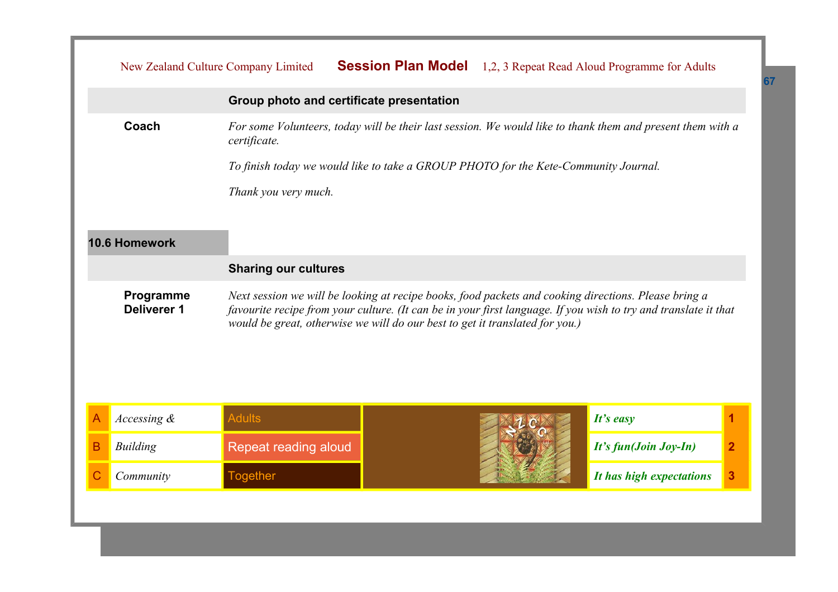|              | New Zealand Culture Company Limited |                             | <b>Session Plan Model</b> 1,2, 3 Repeat Read Aloud Programme for Adults                                                                                                                                                                                                                                 |  |                          |                |
|--------------|-------------------------------------|-----------------------------|---------------------------------------------------------------------------------------------------------------------------------------------------------------------------------------------------------------------------------------------------------------------------------------------------------|--|--------------------------|----------------|
|              |                                     |                             | Group photo and certificate presentation                                                                                                                                                                                                                                                                |  |                          |                |
|              | Coach                               | certificate.                | For some Volunteers, today will be their last session. We would like to thank them and present them with a                                                                                                                                                                                              |  |                          |                |
|              |                                     |                             | To finish today we would like to take a GROUP PHOTO for the Kete-Community Journal.                                                                                                                                                                                                                     |  |                          |                |
|              |                                     | Thank you very much.        |                                                                                                                                                                                                                                                                                                         |  |                          |                |
|              |                                     |                             |                                                                                                                                                                                                                                                                                                         |  |                          |                |
|              | 10.6 Homework                       |                             |                                                                                                                                                                                                                                                                                                         |  |                          |                |
|              |                                     | <b>Sharing our cultures</b> |                                                                                                                                                                                                                                                                                                         |  |                          |                |
|              | Programme<br><b>Deliverer 1</b>     |                             | Next session we will be looking at recipe books, food packets and cooking directions. Please bring a<br>favourite recipe from your culture. (It can be in your first language. If you wish to try and translate it that<br>would be great, otherwise we will do our best to get it translated for you.) |  |                          |                |
| A            | Accessing &                         | <b>Adults</b>               |                                                                                                                                                                                                                                                                                                         |  | It's easy                | 1              |
| в            | <b>Building</b>                     | Repeat reading aloud        |                                                                                                                                                                                                                                                                                                         |  | It's fun(Join Joy-In)    | $\overline{2}$ |
| $\mathsf{C}$ | Community                           | <b>Together</b>             |                                                                                                                                                                                                                                                                                                         |  | It has high expectations | 3              |
|              |                                     |                             |                                                                                                                                                                                                                                                                                                         |  |                          |                |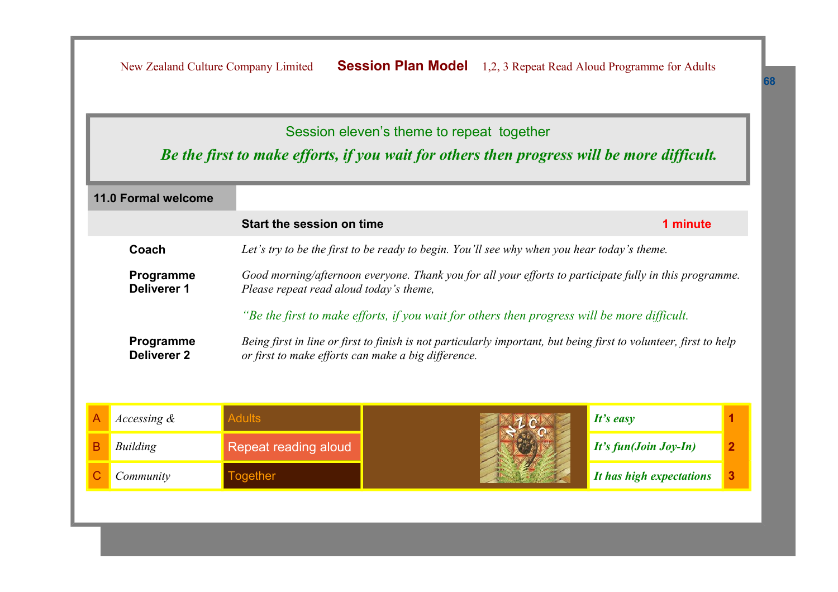New Zealand Culture Company Limited **Session Plan Model** 1,2, 3 Repeat Read Aloud Programme for Adults

## Session eleven's theme to repeat together

## *Be the first to make efforts, if you wait for others then progress will be more difficult.*

|                                                                                             | <b>11.0 Formal welcome</b>                                                                           |                                                                                                                                                    |                                                                                                                   |                          |   |  |  |
|---------------------------------------------------------------------------------------------|------------------------------------------------------------------------------------------------------|----------------------------------------------------------------------------------------------------------------------------------------------------|-------------------------------------------------------------------------------------------------------------------|--------------------------|---|--|--|
|                                                                                             |                                                                                                      | Start the session on time                                                                                                                          |                                                                                                                   | 1 minute                 |   |  |  |
|                                                                                             | Coach<br>Let's try to be the first to be ready to begin. You'll see why when you hear today's theme. |                                                                                                                                                    |                                                                                                                   |                          |   |  |  |
|                                                                                             | Programme<br><b>Deliverer 1</b>                                                                      | Good morning/afternoon everyone. Thank you for all your efforts to participate fully in this programme.<br>Please repeat read aloud today's theme, |                                                                                                                   |                          |   |  |  |
| "Be the first to make efforts, if you wait for others then progress will be more difficult. |                                                                                                      |                                                                                                                                                    |                                                                                                                   |                          |   |  |  |
| Programme<br><b>Deliverer 2</b>                                                             |                                                                                                      | or first to make efforts can make a big difference.                                                                                                | Being first in line or first to finish is not particularly important, but being first to volunteer, first to help |                          |   |  |  |
| Α                                                                                           | Accessing $\&$                                                                                       | <b>Adults</b>                                                                                                                                      |                                                                                                                   | It's easy                |   |  |  |
| В                                                                                           | Building                                                                                             | Repeat reading aloud                                                                                                                               |                                                                                                                   | It's fun(Join Joy-In)    | 2 |  |  |
|                                                                                             | Community                                                                                            | <b>Together</b>                                                                                                                                    |                                                                                                                   | It has high expectations | 3 |  |  |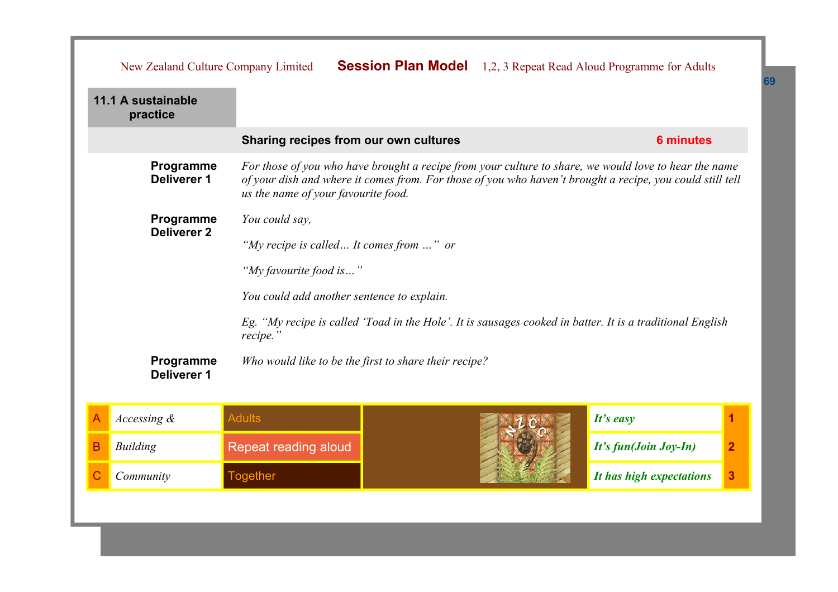|                                                                                                                                                                     | New Zealand Culture Company Limited                                                                                                                                                                                                                                                          |                                                       |                                       |                       | <b>Session Plan Model</b> 1,2, 3 Repeat Read Aloud Programme for Adults |   |  |
|---------------------------------------------------------------------------------------------------------------------------------------------------------------------|----------------------------------------------------------------------------------------------------------------------------------------------------------------------------------------------------------------------------------------------------------------------------------------------|-------------------------------------------------------|---------------------------------------|-----------------------|-------------------------------------------------------------------------|---|--|
|                                                                                                                                                                     | 11.1 A sustainable<br>practice                                                                                                                                                                                                                                                               |                                                       |                                       |                       |                                                                         |   |  |
|                                                                                                                                                                     |                                                                                                                                                                                                                                                                                              |                                                       | Sharing recipes from our own cultures |                       |                                                                         |   |  |
|                                                                                                                                                                     | Programme<br>For those of you who have brought a recipe from your culture to share, we would love to hear the name<br><b>Deliverer 1</b><br>of your dish and where it comes from. For those of you who haven't brought a recipe, you could still tell<br>us the name of your favourite food. |                                                       |                                       |                       |                                                                         |   |  |
|                                                                                                                                                                     | Programme<br><b>Deliverer 2</b>                                                                                                                                                                                                                                                              | You could say,                                        |                                       |                       |                                                                         |   |  |
|                                                                                                                                                                     |                                                                                                                                                                                                                                                                                              | "My recipe is called It comes from " or               |                                       |                       |                                                                         |   |  |
| "My favourite food is"                                                                                                                                              |                                                                                                                                                                                                                                                                                              |                                                       |                                       |                       |                                                                         |   |  |
| You could add another sentence to explain.<br>Eg. "My recipe is called 'Toad in the Hole'. It is sausages cooked in batter. It is a traditional English<br>recipe." |                                                                                                                                                                                                                                                                                              |                                                       |                                       |                       |                                                                         |   |  |
|                                                                                                                                                                     |                                                                                                                                                                                                                                                                                              |                                                       |                                       |                       |                                                                         |   |  |
|                                                                                                                                                                     | Programme<br><b>Deliverer 1</b>                                                                                                                                                                                                                                                              | Who would like to be the first to share their recipe? |                                       |                       |                                                                         |   |  |
|                                                                                                                                                                     | Accessing &                                                                                                                                                                                                                                                                                  | <b>Adults</b>                                         |                                       |                       | It's easy                                                               | 1 |  |
| в                                                                                                                                                                   | <b>Building</b>                                                                                                                                                                                                                                                                              | Repeat reading aloud                                  |                                       | It's fun(Join Joy-In) | $\overline{2}$                                                          |   |  |
|                                                                                                                                                                     | Community                                                                                                                                                                                                                                                                                    | <b>Together</b>                                       |                                       |                       | It has high expectations                                                | 3 |  |
|                                                                                                                                                                     |                                                                                                                                                                                                                                                                                              |                                                       |                                       |                       |                                                                         |   |  |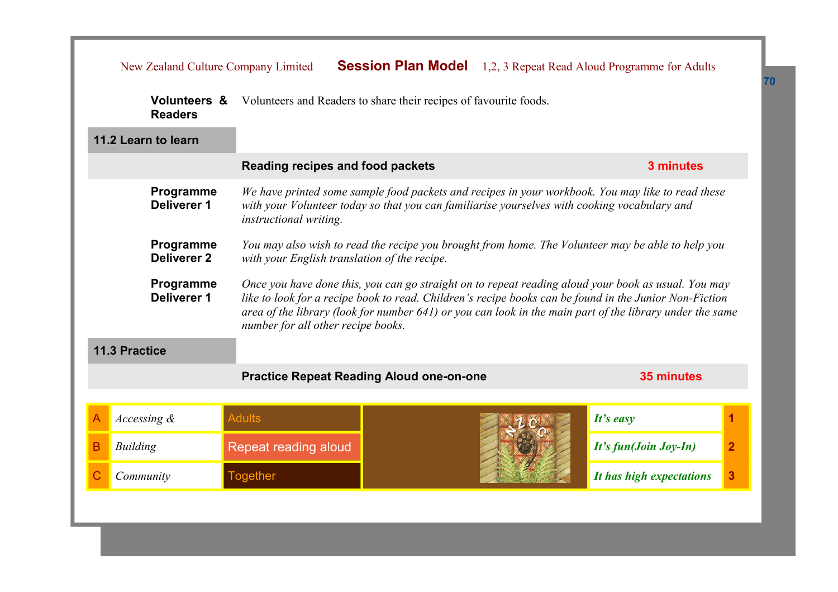|   | New Zealand Culture Company Limited                                                                                                                                                                                                                     |                                                                                                                                                                                                                                                                                                                                                                 | <b>Session Plan Model</b> 1,2, 3 Repeat Read Aloud Programme for Adults |                                         |  |  |  |
|---|---------------------------------------------------------------------------------------------------------------------------------------------------------------------------------------------------------------------------------------------------------|-----------------------------------------------------------------------------------------------------------------------------------------------------------------------------------------------------------------------------------------------------------------------------------------------------------------------------------------------------------------|-------------------------------------------------------------------------|-----------------------------------------|--|--|--|
|   | <b>Volunteers &amp;</b><br>Volunteers and Readers to share their recipes of favourite foods.<br><b>Readers</b>                                                                                                                                          |                                                                                                                                                                                                                                                                                                                                                                 |                                                                         |                                         |  |  |  |
|   | 11.2 Learn to learn                                                                                                                                                                                                                                     |                                                                                                                                                                                                                                                                                                                                                                 |                                                                         |                                         |  |  |  |
|   |                                                                                                                                                                                                                                                         | Reading recipes and food packets                                                                                                                                                                                                                                                                                                                                | 3 minutes                                                               |                                         |  |  |  |
|   | Programme<br>We have printed some sample food packets and recipes in your workbook. You may like to read these<br>Deliverer 1<br>with your Volunteer today so that you can familiarise yourselves with cooking vocabulary and<br>instructional writing. |                                                                                                                                                                                                                                                                                                                                                                 |                                                                         |                                         |  |  |  |
|   | Programme<br><b>Deliverer 2</b>                                                                                                                                                                                                                         | You may also wish to read the recipe you brought from home. The Volunteer may be able to help you<br>with your English translation of the recipe.                                                                                                                                                                                                               |                                                                         |                                         |  |  |  |
|   | Programme<br><b>Deliverer 1</b>                                                                                                                                                                                                                         | Once you have done this, you can go straight on to repeat reading aloud your book as usual. You may<br>like to look for a recipe book to read. Children's recipe books can be found in the Junior Non-Fiction<br>area of the library (look for number 641) or you can look in the main part of the library under the same<br>number for all other recipe books. |                                                                         |                                         |  |  |  |
|   | 11.3 Practice                                                                                                                                                                                                                                           |                                                                                                                                                                                                                                                                                                                                                                 |                                                                         |                                         |  |  |  |
|   |                                                                                                                                                                                                                                                         | <b>Practice Repeat Reading Aloud one-on-one</b>                                                                                                                                                                                                                                                                                                                 | 35 minutes                                                              |                                         |  |  |  |
|   | Accessing &                                                                                                                                                                                                                                             | <b>Adults</b>                                                                                                                                                                                                                                                                                                                                                   |                                                                         | 1<br>It's easy                          |  |  |  |
| В | <b>Building</b>                                                                                                                                                                                                                                         | Repeat reading aloud                                                                                                                                                                                                                                                                                                                                            |                                                                         | $\overline{2}$<br>It's fun(Join Joy-In) |  |  |  |
|   | Community                                                                                                                                                                                                                                               | <b>Together</b>                                                                                                                                                                                                                                                                                                                                                 |                                                                         | 3<br>It has high expectations           |  |  |  |
|   |                                                                                                                                                                                                                                                         |                                                                                                                                                                                                                                                                                                                                                                 |                                                                         |                                         |  |  |  |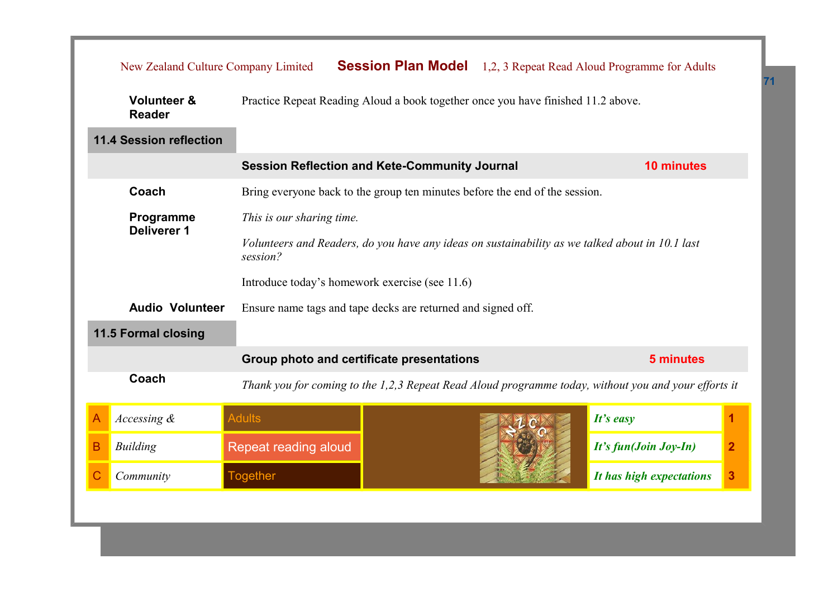| New Zealand Culture Company Limited     |                                                                                                                                   | <b>Session Plan Model</b> 1,2, 3 Repeat Read Aloud Programme for Adults |  |                          |                |  |  |
|-----------------------------------------|-----------------------------------------------------------------------------------------------------------------------------------|-------------------------------------------------------------------------|--|--------------------------|----------------|--|--|
| <b>Volunteer &amp;</b><br><b>Reader</b> | Practice Repeat Reading Aloud a book together once you have finished 11.2 above.                                                  |                                                                         |  |                          |                |  |  |
| <b>11.4 Session reflection</b>          |                                                                                                                                   |                                                                         |  |                          |                |  |  |
|                                         |                                                                                                                                   | <b>Session Reflection and Kete-Community Journal</b>                    |  |                          |                |  |  |
| Coach                                   | Bring everyone back to the group ten minutes before the end of the session.                                                       |                                                                         |  |                          |                |  |  |
| Programme                               | This is our sharing time.                                                                                                         |                                                                         |  |                          |                |  |  |
|                                         | <b>Deliverer 1</b><br>Volunteers and Readers, do you have any ideas on sustainability as we talked about in 10.1 last<br>session? |                                                                         |  |                          |                |  |  |
|                                         | Introduce today's homework exercise (see 11.6)                                                                                    |                                                                         |  |                          |                |  |  |
| <b>Audio Volunteer</b>                  | Ensure name tags and tape decks are returned and signed off.                                                                      |                                                                         |  |                          |                |  |  |
| 11.5 Formal closing                     |                                                                                                                                   |                                                                         |  |                          |                |  |  |
|                                         | Group photo and certificate presentations                                                                                         |                                                                         |  | 5 minutes                |                |  |  |
| Coach                                   | Thank you for coming to the 1,2,3 Repeat Read Aloud programme today, without you and your efforts it                              |                                                                         |  |                          |                |  |  |
| Accessing $\&$<br>Α                     | <b>Adults</b>                                                                                                                     |                                                                         |  | It's easy                |                |  |  |
| В<br><b>Building</b>                    | Repeat reading aloud                                                                                                              |                                                                         |  | It's fun(Join Joy-In)    | $\overline{2}$ |  |  |
| Community                               | <b>Together</b>                                                                                                                   |                                                                         |  | It has high expectations | 3              |  |  |
|                                         |                                                                                                                                   |                                                                         |  |                          |                |  |  |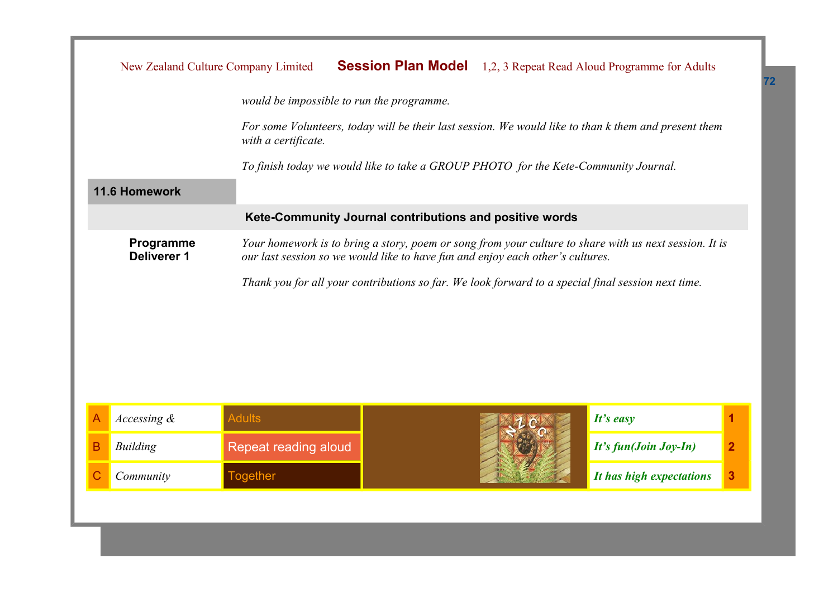|                                                                                                    | New Zealand Culture Company Limited                                                                                                                                                      |  |                          | <b>Session Plan Model</b> 1,2, 3 Repeat Read Aloud Programme for Adults |   |
|----------------------------------------------------------------------------------------------------|------------------------------------------------------------------------------------------------------------------------------------------------------------------------------------------|--|--------------------------|-------------------------------------------------------------------------|---|
|                                                                                                    | would be impossible to run the programme.                                                                                                                                                |  |                          |                                                                         |   |
|                                                                                                    | For some Volunteers, today will be their last session. We would like to than k them and present them<br>with a certificate.                                                              |  |                          |                                                                         |   |
|                                                                                                    | To finish today we would like to take a GROUP PHOTO for the Kete-Community Journal.                                                                                                      |  |                          |                                                                         |   |
| 11.6 Homework                                                                                      |                                                                                                                                                                                          |  |                          |                                                                         |   |
|                                                                                                    | Kete-Community Journal contributions and positive words                                                                                                                                  |  |                          |                                                                         |   |
| Programme<br>Deliverer 1                                                                           | Your homework is to bring a story, poem or song from your culture to share with us next session. It is<br>our last session so we would like to have fun and enjoy each other's cultures. |  |                          |                                                                         |   |
| Thank you for all your contributions so far. We look forward to a special final session next time. |                                                                                                                                                                                          |  |                          |                                                                         |   |
| Accessing &<br>A                                                                                   | <b>Adults</b>                                                                                                                                                                            |  |                          | It's easy                                                               | 1 |
| B<br><b>Building</b>                                                                               | Repeat reading aloud                                                                                                                                                                     |  | It's fun(Join Joy-In)    | $\overline{2}$                                                          |   |
| Community                                                                                          | <b>Together</b>                                                                                                                                                                          |  | It has high expectations | 3                                                                       |   |
|                                                                                                    |                                                                                                                                                                                          |  |                          |                                                                         |   |

**72**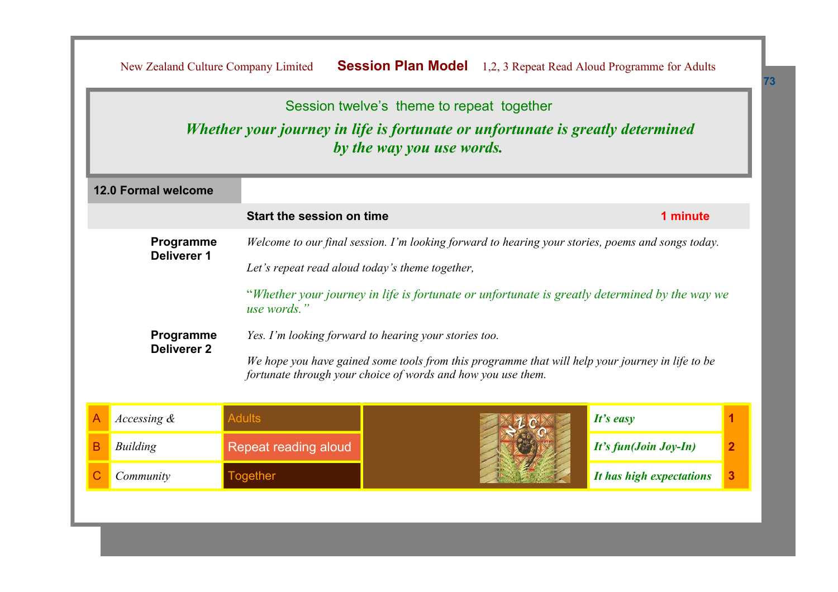|                                 |                                                       |                                                                                                                                                                  | Session twelve's theme to repeat together                                                                   |                       |  |  |
|---------------------------------|-------------------------------------------------------|------------------------------------------------------------------------------------------------------------------------------------------------------------------|-------------------------------------------------------------------------------------------------------------|-----------------------|--|--|
|                                 |                                                       |                                                                                                                                                                  | Whether your journey in life is fortunate or unfortunate is greatly determined<br>by the way you use words. |                       |  |  |
|                                 | <b>12.0 Formal welcome</b>                            |                                                                                                                                                                  |                                                                                                             |                       |  |  |
|                                 |                                                       | Start the session on time                                                                                                                                        |                                                                                                             | 1 minute              |  |  |
|                                 | Programme                                             |                                                                                                                                                                  | Welcome to our final session. I'm looking forward to hearing your stories, poems and songs today.           |                       |  |  |
| Deliverer 1                     | Let's repeat read aloud today's theme together,       |                                                                                                                                                                  |                                                                                                             |                       |  |  |
|                                 |                                                       | "Whether your journey in life is fortunate or unfortunate is greatly determined by the way we<br>use words."                                                     |                                                                                                             |                       |  |  |
| Programme<br><b>Deliverer 2</b> | Yes. I'm looking forward to hearing your stories too. |                                                                                                                                                                  |                                                                                                             |                       |  |  |
|                                 |                                                       | We hope you have gained some tools from this programme that will help your journey in life to be<br>fortunate through your choice of words and how you use them. |                                                                                                             |                       |  |  |
|                                 | Accessing &                                           | <b>Adults</b>                                                                                                                                                    |                                                                                                             | It's easy             |  |  |
|                                 | <b>Building</b>                                       | Repeat reading aloud                                                                                                                                             |                                                                                                             | It's fun(Join Joy-In) |  |  |
|                                 |                                                       |                                                                                                                                                                  |                                                                                                             |                       |  |  |

**73**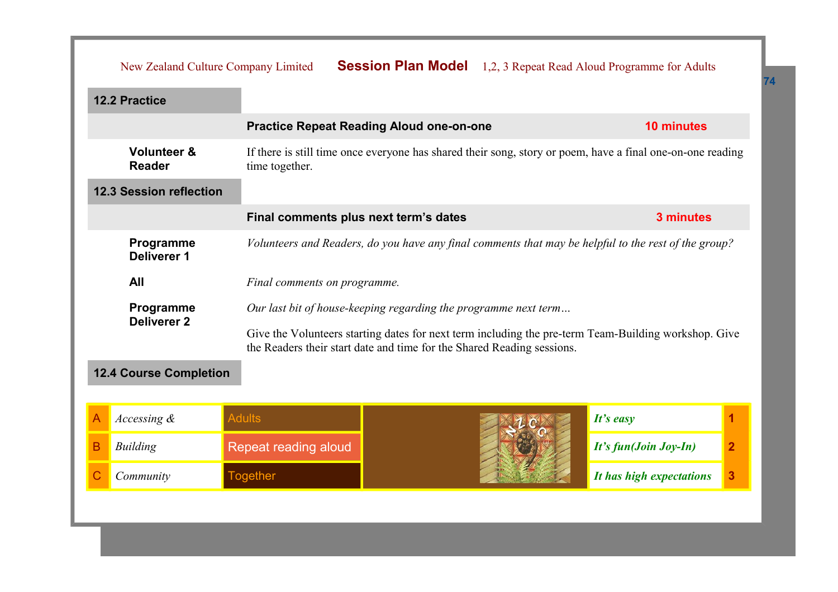| New Zealand Culture Company Limited     |                                                                                                                                                                                                                                                   |  |  | <b>Session Plan Model</b> 1,2, 3 Repeat Read Aloud Programme for Adults |                |
|-----------------------------------------|---------------------------------------------------------------------------------------------------------------------------------------------------------------------------------------------------------------------------------------------------|--|--|-------------------------------------------------------------------------|----------------|
| <b>12.2 Practice</b>                    |                                                                                                                                                                                                                                                   |  |  |                                                                         |                |
|                                         | <b>Practice Repeat Reading Aloud one-on-one</b>                                                                                                                                                                                                   |  |  | <b>10 minutes</b>                                                       |                |
| <b>Volunteer &amp;</b><br><b>Reader</b> | If there is still time once everyone has shared their song, story or poem, have a final one-on-one reading<br>time together.                                                                                                                      |  |  |                                                                         |                |
| <b>12.3 Session reflection</b>          |                                                                                                                                                                                                                                                   |  |  |                                                                         |                |
|                                         | Final comments plus next term's dates                                                                                                                                                                                                             |  |  | 3 minutes                                                               |                |
| Programme<br>Deliverer 1                | Volunteers and Readers, do you have any final comments that may be helpful to the rest of the group?                                                                                                                                              |  |  |                                                                         |                |
| All                                     | Final comments on programme.                                                                                                                                                                                                                      |  |  |                                                                         |                |
| Programme<br><b>Deliverer 2</b>         | Our last bit of house-keeping regarding the programme next term<br>Give the Volunteers starting dates for next term including the pre-term Team-Building workshop. Give<br>the Readers their start date and time for the Shared Reading sessions. |  |  |                                                                         |                |
| <b>12.4 Course Completion</b>           |                                                                                                                                                                                                                                                   |  |  |                                                                         |                |
| Accessing &<br>Α                        | <b>Adults</b>                                                                                                                                                                                                                                     |  |  | $It's$ easy                                                             | 1              |
| B<br><b>Building</b>                    | Repeat reading aloud                                                                                                                                                                                                                              |  |  | It's fun(Join Joy-In)                                                   | $\overline{2}$ |

C *Community* Together *It has high expectations* **3**

**74**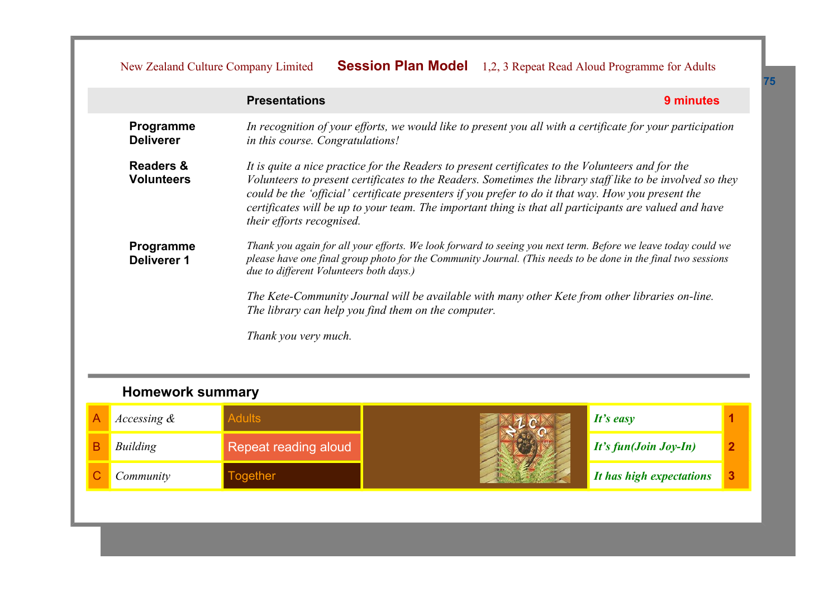## New Zealand Culture Company Limited **Session Plan Model** 1,2, 3 Repeat Read Aloud Programme for Adults

|                                           | <b>Presentations</b><br>9 minutes                                                                                                                                                                                                                                                                                                                                                                                                                             |
|-------------------------------------------|---------------------------------------------------------------------------------------------------------------------------------------------------------------------------------------------------------------------------------------------------------------------------------------------------------------------------------------------------------------------------------------------------------------------------------------------------------------|
| Programme<br><b>Deliverer</b>             | In recognition of your efforts, we would like to present you all with a certificate for your participation<br>in this course. Congratulations!                                                                                                                                                                                                                                                                                                                |
| <b>Readers &amp;</b><br><b>Volunteers</b> | It is quite a nice practice for the Readers to present certificates to the Volunteers and for the<br>Volunteers to present certificates to the Readers. Sometimes the library staff like to be involved so they<br>could be the 'official' certificate presenters if you prefer to do it that way. How you present the<br>certificates will be up to your team. The important thing is that all participants are valued and have<br>their efforts recognised. |
| Programme<br>Deliverer 1                  | Thank you again for all your efforts. We look forward to seeing you next term. Before we leave today could we<br>please have one final group photo for the Community Journal. (This needs to be done in the final two sessions<br>due to different Volunteers both days.)<br>The Kete-Community Journal will be available with many other Kete from other libraries on-line.<br>The library can help you find them on the computer.                           |
|                                           | Thank you very much.                                                                                                                                                                                                                                                                                                                                                                                                                                          |

## **Homework summary**